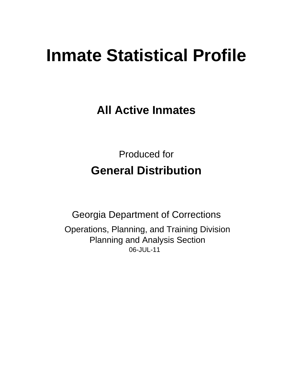# **Inmate Statistical Profile**

**All Active Inmates** 

**Produced for General Distribution** 

**Georgia Department of Corrections** Operations, Planning, and Training Division **Planning and Analysis Section** 06-JUL-11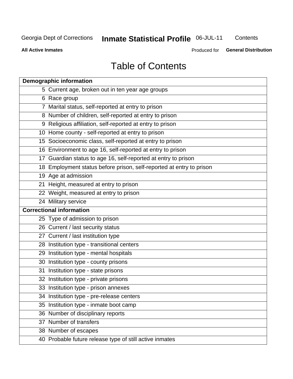## **Inmate Statistical Profile 06-JUL-11**

Contents

**All Active Inmates** 

Produced for **General Distribution** 

## **Table of Contents**

|    | <b>Demographic information</b>                                       |
|----|----------------------------------------------------------------------|
|    | 5 Current age, broken out in ten year age groups                     |
|    | 6 Race group                                                         |
|    | 7 Marital status, self-reported at entry to prison                   |
|    | 8 Number of children, self-reported at entry to prison               |
|    | 9 Religious affiliation, self-reported at entry to prison            |
|    | 10 Home county - self-reported at entry to prison                    |
|    | 15 Socioeconomic class, self-reported at entry to prison             |
|    | 16 Environment to age 16, self-reported at entry to prison           |
|    | 17 Guardian status to age 16, self-reported at entry to prison       |
|    | 18 Employment status before prison, self-reported at entry to prison |
|    | 19 Age at admission                                                  |
|    | 21 Height, measured at entry to prison                               |
|    | 22 Weight, measured at entry to prison                               |
|    | 24 Military service                                                  |
|    | <b>Correctional information</b>                                      |
|    | 25 Type of admission to prison                                       |
|    | 26 Current / last security status                                    |
|    | 27 Current / last institution type                                   |
|    | 28 Institution type - transitional centers                           |
|    | 29 Institution type - mental hospitals                               |
|    | 30 Institution type - county prisons                                 |
|    | 31 Institution type - state prisons                                  |
|    | 32 Institution type - private prisons                                |
|    | 33 Institution type - prison annexes                                 |
|    | 34 Institution type - pre-release centers                            |
| 35 | Institution type - inmate boot camp                                  |
|    | 36 Number of disciplinary reports                                    |
|    | 37 Number of transfers                                               |
|    | 38 Number of escapes                                                 |
|    | 40 Probable future release type of still active inmates              |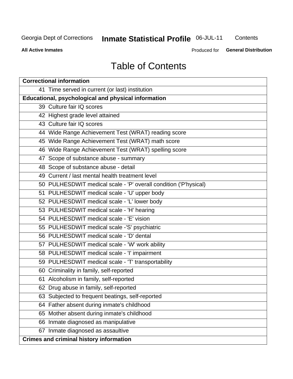## **Inmate Statistical Profile 06-JUL-11**

Contents

**All Active Inmates** 

Produced for **General Distribution** 

## **Table of Contents**

| <b>Correctional information</b>                                  |
|------------------------------------------------------------------|
| 41 Time served in current (or last) institution                  |
| Educational, psychological and physical information              |
| 39 Culture fair IQ scores                                        |
| 42 Highest grade level attained                                  |
| 43 Culture fair IQ scores                                        |
| 44 Wide Range Achievement Test (WRAT) reading score              |
| 45 Wide Range Achievement Test (WRAT) math score                 |
| 46 Wide Range Achievement Test (WRAT) spelling score             |
| 47 Scope of substance abuse - summary                            |
| 48 Scope of substance abuse - detail                             |
| 49 Current / last mental health treatment level                  |
| 50 PULHESDWIT medical scale - 'P' overall condition ('P'hysical) |
| 51 PULHESDWIT medical scale - 'U' upper body                     |
| 52 PULHESDWIT medical scale - 'L' lower body                     |
| 53 PULHESDWIT medical scale - 'H' hearing                        |
| 54 PULHESDWIT medical scale - 'E' vision                         |
| 55 PULHESDWIT medical scale -'S' psychiatric                     |
| 56 PULHESDWIT medical scale - 'D' dental                         |
| 57 PULHESDWIT medical scale - 'W' work ability                   |
| 58 PULHESDWIT medical scale - 'I' impairment                     |
| 59 PULHESDWIT medical scale - 'T' transportability               |
| 60 Criminality in family, self-reported                          |
| 61 Alcoholism in family, self-reported                           |
| 62 Drug abuse in family, self-reported                           |
| 63 Subjected to frequent beatings, self-reported                 |
| 64 Father absent during inmate's childhood                       |
| 65 Mother absent during inmate's childhood                       |
| 66 Inmate diagnosed as manipulative                              |
| 67 Inmate diagnosed as assaultive                                |
| <b>Crimes and criminal history information</b>                   |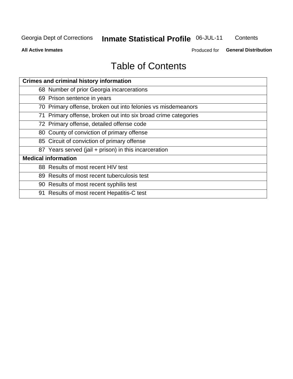## **Inmate Statistical Profile 06-JUL-11**

Contents

**All Active Inmates** 

Produced for **General Distribution** 

## **Table of Contents**

| <b>Crimes and criminal history information</b>                 |
|----------------------------------------------------------------|
| 68 Number of prior Georgia incarcerations                      |
| 69 Prison sentence in years                                    |
| 70 Primary offense, broken out into felonies vs misdemeanors   |
| 71 Primary offense, broken out into six broad crime categories |
| 72 Primary offense, detailed offense code                      |
| 80 County of conviction of primary offense                     |
| 85 Circuit of conviction of primary offense                    |
| 87 Years served (jail + prison) in this incarceration          |
| <b>Medical information</b>                                     |
| 88 Results of most recent HIV test                             |
| 89 Results of most recent tuberculosis test                    |
| 90 Results of most recent syphilis test                        |
| 91 Results of most recent Hepatitis-C test                     |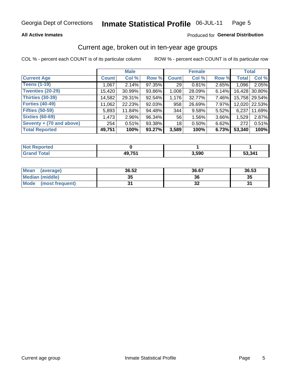#### **All Active Inmates**

#### Produced for General Distribution

### Current age, broken out in ten-year age groups

COL % - percent each COUNT is of its particular column

|                          |              | <b>Male</b> |        |                 | <b>Female</b> |       | <b>Total</b> |               |
|--------------------------|--------------|-------------|--------|-----------------|---------------|-------|--------------|---------------|
| <b>Current Age</b>       | <b>Count</b> | Col %       | Row %  | <b>Count</b>    | Col %         | Row % | <b>Total</b> | Col %         |
| <b>Teens (1-19)</b>      | 1,067        | 2.14%       | 97.35% | 29 <sub>1</sub> | 0.81%         | 2.65% | 1,096        | 2.05%         |
| <b>Twenties (20-29)</b>  | 15,420       | $30.99\%$   | 93.86% | 1,008           | 28.09%        | 6.14% | 16,428       | 30.80%        |
| <b>Thirties (30-39)</b>  | 14,582       | 29.31%      | 92.54% | 1,176           | 32.77%        | 7.46% |              | 15,758 29.54% |
| <b>Forties (40-49)</b>   | 11,062       | 22.23%      | 92.03% | 958             | 26.69%        | 7.97% |              | 12,020 22.53% |
| <b>Fifties (50-59)</b>   | 5,893        | 11.84%      | 94.48% | 344             | 9.58%         | 5.52% | 6,237        | 11.69%        |
| <b>Sixties (60-69)</b>   | 1,473        | $2.96\%$    | 96.34% | 56              | 1.56%         | 3.66% | 1,529        | 2.87%         |
| Seventy + (70 and above) | 254          | 0.51%       | 93.38% | 18              | 0.50%         | 6.62% | 272          | 0.51%         |
| <b>Total Reported</b>    | 49,751       | 100%        | 93.27% | 3,589           | 100%          | 6.73% | 53,340       | 100%          |

| <b>Not Reported</b> |        |       |        |
|---------------------|--------|-------|--------|
| <b>Grand Total</b>  | 49,751 | 3,590 | 53,341 |

| Mean<br>(average)       | 36.52 | 36.67 | 36.53 |
|-------------------------|-------|-------|-------|
| <b>Median (middle)</b>  | 35    | 36    | 35    |
| Mode<br>(most frequent) | ŋ,    | JZ    | .     |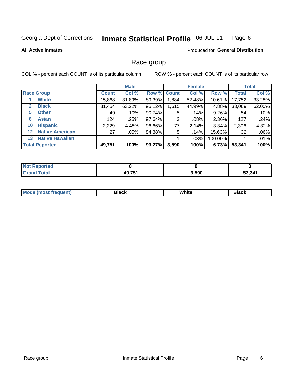#### **Inmate Statistical Profile 06-JUL-11** Page 6

**All Active Inmates** 

**Produced for General Distribution** 

### Race group

COL % - percent each COUNT is of its particular column

|         |                        |              | <b>Male</b> |        |             | <b>Female</b> |           |              | <b>Total</b> |
|---------|------------------------|--------------|-------------|--------|-------------|---------------|-----------|--------------|--------------|
|         | <b>Race Group</b>      | <b>Count</b> | Col %       |        | Row % Count | Col %         | Row %     | <b>Total</b> | Col %        |
|         | <b>White</b>           | 15,868       | 31.89%      | 89.39% | .884        | 52.48%        | $10.61\%$ | 17,752       | 33.28%       |
| 2       | <b>Black</b>           | 31,454       | 63.22%      | 95.12% | 1,615       | 44.99%        | 4.88%     | 33,069       | 62.00%       |
| 5.      | <b>Other</b>           | 49           | .10%        | 90.74% | 5           | .14%          | 9.26%     | 54           | .10%         |
| 6       | <b>Asian</b>           | 124          | .25%        | 97.64% | 3           | $.08\%$       | 2.36%     | 127          | .24%         |
| 10      | <b>Hispanic</b>        | 2,229        | 4.48%       | 96.66% | 77          | 2.14%         | 3.34%     | 2,306        | 4.32%        |
| $12 \,$ | <b>Native American</b> | 27           | $.05\%$     | 84.38% | 5           | .14%          | 15.63%    | 32           | .06%         |
| 13      | <b>Native Hawaiian</b> |              |             |        |             | .03%          | 100.00%   |              | .01%         |
|         | <b>Total Reported</b>  | 49,751       | 100%        | 93.27% | 3,590       | 100%          | 6.73%     | 53,341       | 100%         |

| eported<br>NG            |        |       |        |
|--------------------------|--------|-------|--------|
| <b>c</b> otal<br>' Grano | 49,751 | 3,590 | 53,341 |

| <b>Mode</b><br>---<br>. . | DIACK | White | חטוע |
|---------------------------|-------|-------|------|
|                           |       |       |      |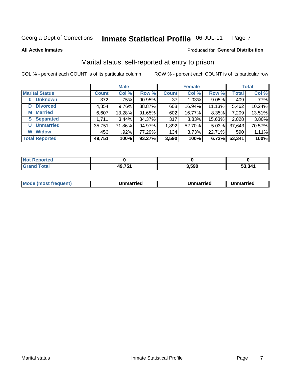#### **Inmate Statistical Profile 06-JUL-11** Page 7

**All Active Inmates** 

#### Produced for General Distribution

## Marital status, self-reported at entry to prison

COL % - percent each COUNT is of its particular column

|                            |              | <b>Male</b> |        |              | <b>Female</b> |          |              | <b>Total</b> |
|----------------------------|--------------|-------------|--------|--------------|---------------|----------|--------------|--------------|
| <b>Marital Status</b>      | <b>Count</b> | Col %       | Row %  | <b>Count</b> | Col %         | Row %    | <b>Total</b> | Col %        |
| <b>Unknown</b><br>$\bf{0}$ | 372          | .75%        | 90.95% | 37           | 1.03%         | 9.05%    | 409          | $.77\%$      |
| <b>Divorced</b><br>D       | 4,854        | $9.76\%$    | 88.87% | 608          | 16.94%        | 11.13%   | 5,462        | 10.24%       |
| <b>Married</b><br>М        | 6,607        | 13.28%      | 91.65% | 602          | 16.77%        | 8.35%    | 7,209        | 13.51%       |
| <b>Separated</b><br>S.     | 1,711        | $3.44\%$    | 84.37% | 317          | 8.83%         | 15.63%   | 2,028        | 3.80%        |
| <b>Unmarried</b><br>U      | 35,751       | 71.86%      | 94.97% | 1,892        | 52.70%        | $5.03\%$ | 37,643       | 70.57%       |
| <b>Widow</b><br>W          | 456          | .92%        | 77.29% | 134          | 3.73%         | 22.71%   | 590          | 1.11%        |
| <b>Total Reported</b>      | 49,751       | 100%        | 93.27% | 3,590        | 100%          | 6.73%    | 53,341       | 100%         |

| orted<br>NO |               |       |        |
|-------------|---------------|-------|--------|
| $\sim$ 100  | D 754<br>⁄1 J | 3.590 | 53.341 |

|--|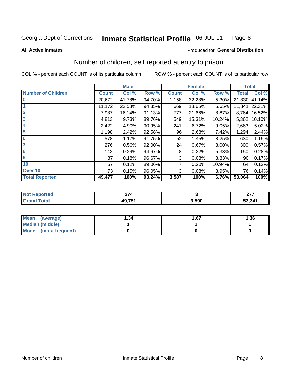#### **Inmate Statistical Profile 06-JUL-11** Page 8

**All Active Inmates** 

#### **Produced for General Distribution**

## Number of children, self reported at entry to prison

COL % - percent each COUNT is of its particular column

ROW % - percent each COUNT is of its particular row

|                           | <b>Male</b>  |        |        | <b>Female</b> |        |        | <b>Total</b> |        |
|---------------------------|--------------|--------|--------|---------------|--------|--------|--------------|--------|
| <b>Number of Children</b> | <b>Count</b> | Col %  | Row %  | <b>Count</b>  | Col %  | Row %  | <b>Total</b> | Col %  |
| $\bf{0}$                  | 20,672       | 41.78% | 94.70% | 1,158         | 32.28% | 5.30%  | 21,830       | 41.14% |
|                           | 11,172       | 22.58% | 94.35% | 669           | 18.65% | 5.65%  | 11,841       | 22.31% |
| $\overline{2}$            | 7,987        | 16.14% | 91.13% | 777           | 21.66% | 8.87%  | 8,764        | 16.52% |
| 3                         | 4,813        | 9.73%  | 89.76% | 549           | 15.31% | 10.24% | 5,362        | 10.10% |
| 4                         | 2,422        | 4.90%  | 90.95% | 241           | 6.72%  | 9.05%  | 2,663        | 5.02%  |
| 5                         | 1,198        | 2.42%  | 92.58% | 96            | 2.68%  | 7.42%  | 1,294        | 2.44%  |
| 6                         | 578          | 1.17%  | 91.75% | 52            | 1.45%  | 8.25%  | 630          | 1.19%  |
| 7                         | 276          | 0.56%  | 92.00% | 24            | 0.67%  | 8.00%  | 300          | 0.57%  |
| 8                         | 142          | 0.29%  | 94.67% | 8             | 0.22%  | 5.33%  | 150          | 0.28%  |
| $\boldsymbol{9}$          | 87           | 0.18%  | 96.67% | 3             | 0.08%  | 3.33%  | 90           | 0.17%  |
| 10                        | 57           | 0.12%  | 89.06% | 7             | 0.20%  | 10.94% | 64           | 0.12%  |
| Over 10                   | 73           | 0.15%  | 96.05% | 3             | 0.08%  | 3.95%  | 76           | 0.14%  |
| <b>Total Reported</b>     | 49,477       | 100%   | 93.24% | 3,587         | 100%   | 6.76%  | 53,064       | 100%   |

| N    | $\sim$ $\sim$ |      | $\sim$ |
|------|---------------|------|--------|
| υιαι | <b>49751</b>  | .590 | 53,341 |

| <b>Mean</b><br>(average) | 1.34 | 1.67 | 1.36 |  |
|--------------------------|------|------|------|--|
| Median (middle)          |      |      |      |  |
| Mode (most frequent)     |      |      |      |  |

Number of children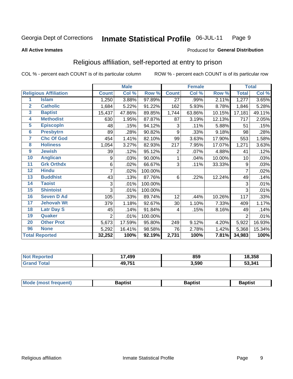#### **Inmate Statistical Profile 06-JUL-11** Page 9

#### **All Active Inmates**

#### Produced for General Distribution

## Religious affiliation, self-reported at entry to prison

COL % - percent each COUNT is of its particular column

|                |                              |                | <b>Male</b> |         |                | <b>Female</b> |        |              | <b>Total</b> |
|----------------|------------------------------|----------------|-------------|---------|----------------|---------------|--------|--------------|--------------|
|                | <b>Religious Affiliation</b> | <b>Count</b>   | Col %       | Row %   | <b>Count</b>   | Col %         | Row %  | <b>Total</b> | Col %        |
| 1              | <b>Islam</b>                 | 1,250          | 3.88%       | 97.89%  | 27             | .99%          | 2.11%  | 1,277        | 3.65%        |
| $\overline{2}$ | <b>Catholic</b>              | 1,684          | 5.22%       | 91.22%  | 162            | 5.93%         | 8.78%  | 1,846        | 5.28%        |
| 3              | <b>Baptist</b>               | 15,437         | 47.86%      | 89.85%  | 1,744          | 63.86%        | 10.15% | 17,181       | 49.11%       |
| 4              | <b>Methodist</b>             | 630            | 1.95%       | 87.87%  | 87             | 3.19%         | 12.13% | 717          | 2.05%        |
| 5              | <b>EpiscopIn</b>             | 48             | .15%        | 94.12%  | 3              | .11%          | 5.88%  | 51           | .15%         |
| 6              | <b>Presbytrn</b>             | 89             | .28%        | 90.82%  | 9              | .33%          | 9.18%  | 98           | .28%         |
| 7              | <b>Chc Of God</b>            | 454            | 1.41%       | 82.10%  | 99             | 3.63%         | 17.90% | 553          | 1.58%        |
| 8              | <b>Holiness</b>              | 1,054          | 3.27%       | 82.93%  | 217            | 7.95%         | 17.07% | 1,271        | 3.63%        |
| 9              | <b>Jewish</b>                | 39             | .12%        | 95.12%  | $\overline{2}$ | .07%          | 4.88%  | 41           | .12%         |
| 10             | <b>Anglican</b>              | 9              | .03%        | 90.00%  | 1              | .04%          | 10.00% | 10           | .03%         |
| 11             | <b>Grk Orthdx</b>            | 6              | .02%        | 66.67%  | 3              | .11%          | 33.33% | 9            | .03%         |
| 12             | <b>Hindu</b>                 | 7              | .02%        | 100.00% |                |               |        | 7            | .02%         |
| 13             | <b>Buddhist</b>              | 43             | .13%        | 87.76%  | 6              | .22%          | 12.24% | 49           | .14%         |
| 14             | <b>Taoist</b>                | 3              | .01%        | 100.00% |                |               |        | 3            | .01%         |
| 15             | <b>Shintoist</b>             | 3              | .01%        | 100.00% |                |               |        | 3            | .01%         |
| 16             | <b>Seven D Ad</b>            | 105            | .33%        | 89.74%  | 12             | .44%          | 10.26% | 117          | .33%         |
| 17             | <b>Jehovah Wt</b>            | 379            | 1.18%       | 92.67%  | 30             | 1.10%         | 7.33%  | 409          | 1.17%        |
| 18             | <b>Latr Day S</b>            | 45             | .14%        | 91.84%  | 4              | .15%          | 8.16%  | 49           | .14%         |
| 19             | Quaker                       | $\overline{2}$ | .01%        | 100.00% |                |               |        | 2            | .01%         |
| 20             | <b>Other Prot</b>            | 5,673          | 17.59%      | 95.80%  | 249            | 9.12%         | 4.20%  | 5,922        | 16.93%       |
| 96             | <b>None</b>                  | 5,292          | 16.41%      | 98.58%  | 76             | 2.78%         | 1.42%  | 5,368        | 15.34%       |
|                | <b>Total Reported</b>        | 32,252         | 100%        | 92.19%  | 2,731          | 100%          | 7.81%  | 34,983       | 100%         |

| <b>Not</b><br>Reported | 499,<br>י | 859   | 18,358 |
|------------------------|-----------|-------|--------|
| <b>Total</b>           | 49,751    | 3,590 | 53,341 |

| <b>Mode</b><br>aduenti | 2antiet | 3aptist<br>__ | Baptist |
|------------------------|---------|---------------|---------|
|                        |         |               |         |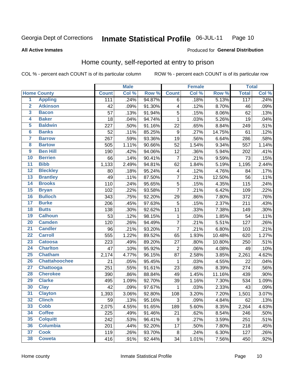#### Inmate Statistical Profile 06-JUL-11 Page 10

#### **All Active Inmates**

#### Produced for General Distribution

## Home county, self-reported at entry to prison

COL % - percent each COUNT is of its particular column

|                 |                      | <b>Male</b>  |       |        | <b>Female</b>           |       | <b>Total</b> |                  |       |
|-----------------|----------------------|--------------|-------|--------|-------------------------|-------|--------------|------------------|-------|
|                 | <b>Home County</b>   | <b>Count</b> | Col % | Row %  | <b>Count</b>            | Col % | Row %        | <b>Total</b>     | Col % |
| $\overline{1}$  | <b>Appling</b>       | 111          | .24%  | 94.87% | 6                       | .18%  | 5.13%        | $\overline{117}$ | .24%  |
| $\overline{2}$  | <b>Atkinson</b>      | 42           | .09%  | 91.30% | 4                       | .12%  | 8.70%        | 46               | .09%  |
| 3               | <b>Bacon</b>         | 57           | .13%  | 91.94% | $\mathbf 5$             | .15%  | 8.06%        | 62               | .13%  |
| 4               | <b>Baker</b>         | 18           | .04%  | 94.74% | $\mathbf{1}$            | .03%  | 5.26%        | 19               | .04%  |
| 5               | <b>Baldwin</b>       | 227          | .50%  | 91.16% | 22                      | .65%  | 8.84%        | 249              | .51%  |
| $6\phantom{1}6$ | <b>Banks</b>         | 52           | .11%  | 85.25% | $\boldsymbol{9}$        | .27%  | 14.75%       | 61               | .12%  |
| $\overline{7}$  | <b>Barrow</b>        | 267          | .59%  | 93.36% | 19                      | .56%  | 6.64%        | 286              | .58%  |
| 8               | <b>Bartow</b>        | 505          | 1.11% | 90.66% | 52                      | 1.54% | 9.34%        | 557              | 1.14% |
| $\overline{9}$  | <b>Ben Hill</b>      | 190          | .42%  | 94.06% | 12                      | .36%  | 5.94%        | 202              | .41%  |
| 10              | <b>Berrien</b>       | 66           | .14%  | 90.41% | $\overline{7}$          | .21%  | 9.59%        | 73               | .15%  |
| $\overline{11}$ | <b>Bibb</b>          | 1,133        | 2.49% | 94.81% | 62                      | 1.84% | 5.19%        | 1,195            | 2.44% |
| $\overline{12}$ | <b>Bleckley</b>      | 80           | .18%  | 95.24% | $\overline{\mathbf{4}}$ | .12%  | 4.76%        | 84               | .17%  |
| 13              | <b>Brantley</b>      | 49           | .11%  | 87.50% | $\overline{7}$          | .21%  | 12.50%       | 56               | .11%  |
| 14              | <b>Brooks</b>        | 110          | .24%  | 95.65% | $\overline{5}$          | .15%  | 4.35%        | 115              | .24%  |
| 15              | <b>Bryan</b>         | 102          | .22%  | 93.58% | $\overline{7}$          | .21%  | 6.42%        | 109              | .22%  |
| 16              | <b>Bulloch</b>       | 343          | .75%  | 92.20% | 29                      | .86%  | 7.80%        | 372              | .76%  |
| $\overline{17}$ | <b>Burke</b>         | 206          | .45%  | 97.63% | 5                       | .15%  | 2.37%        | 211              | .43%  |
| 18              | <b>Butts</b>         | 138          | .30%  | 92.62% | 11                      | .33%  | 7.38%        | 149              | .30%  |
| 19              | <b>Calhoun</b>       | 53           | .12%  | 98.15% | $\mathbf{1}$            | .03%  | 1.85%        | 54               | .11%  |
| $\overline{20}$ | <b>Camden</b>        | 120          | .26%  | 94.49% | $\overline{7}$          | .21%  | 5.51%        | 127              | .26%  |
| $\overline{21}$ | <b>Candler</b>       | 96           | .21%  | 93.20% | $\overline{7}$          | .21%  | 6.80%        | 103              | .21%  |
| $\overline{22}$ | <b>Carroll</b>       | 555          | 1.22% | 89.52% | 65                      | 1.93% | 10.48%       | 620              | 1.27% |
| 23              | <b>Catoosa</b>       | 223          | .49%  | 89.20% | 27                      | .80%  | 10.80%       | 250              | .51%  |
| $\overline{24}$ | <b>Charlton</b>      | 47           | .10%  | 95.92% | $\overline{2}$          | .06%  | 4.08%        | 49               | .10%  |
| $\overline{25}$ | <b>Chatham</b>       | 2,174        | 4.77% | 96.15% | 87                      | 2.58% | 3.85%        | 2,261            | 4.62% |
| 26              | <b>Chattahoochee</b> | 21           | .05%  | 95.45% | $\mathbf 1$             | .03%  | 4.55%        | 22               | .04%  |
| $\overline{27}$ | Chattooga            | 251          | .55%  | 91.61% | 23                      | .68%  | 8.39%        | 274              | .56%  |
| 28              | <b>Cherokee</b>      | 390          | .86%  | 88.84% | 49                      | 1.45% | 11.16%       | 439              | .90%  |
| 29              | <b>Clarke</b>        | 495          | 1.09% | 92.70% | 39                      | 1.16% | 7.30%        | 534              | 1.09% |
| 30              | <b>Clay</b>          | 42           | .09%  | 97.67% | $\mathbf 1$             | .03%  | 2.33%        | 43               | .09%  |
| 31              | <b>Clayton</b>       | 1,393        | 3.06% | 92.80% | 108                     | 3.20% | 7.20%        | 1,501            | 3.07% |
| 32              | <b>Clinch</b>        | 59           | .13%  | 95.16% | 3                       | .09%  | 4.84%        | 62               | .13%  |
| 33              | <b>Cobb</b>          | 2,075        | 4.55% | 91.65% | 189                     | 5.60% | 8.35%        | 2,264            | 4.63% |
| 34              | <b>Coffee</b>        | 225          | .49%  | 91.46% | 21                      | .62%  | 8.54%        | 246              | .50%  |
| 35              | <b>Colquitt</b>      | 242          | .53%  | 96.41% | 9                       | .27%  | 3.59%        | 251              | .51%  |
| 36              | <b>Columbia</b>      | 201          | .44%  | 92.20% | 17                      | .50%  | 7.80%        | 218              | .45%  |
| 37              | <b>Cook</b>          | 119          | .26%  | 93.70% | 8                       | .24%  | 6.30%        | 127              | .26%  |
| 38              | <b>Coweta</b>        | 416          | .91%  | 92.44% | 34                      | 1.01% | 7.56%        | 450              | .92%  |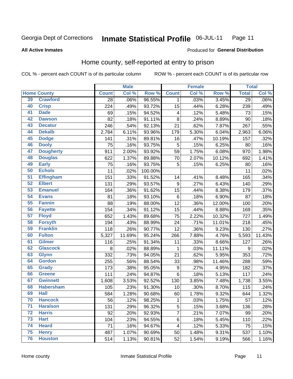#### Inmate Statistical Profile 06-JUL-11 Page 11

**All Active Inmates** 

#### Produced for General Distribution

## Home county, self-reported at entry to prison

COL % - percent each COUNT is of its particular column

|                 |                    |              | <b>Male</b> |         | <b>Female</b>    |       |        | <b>Total</b>    |        |
|-----------------|--------------------|--------------|-------------|---------|------------------|-------|--------|-----------------|--------|
|                 | <b>Home County</b> | <b>Count</b> | Col %       | Row %   | <b>Count</b>     | Col % | Row %  | <b>Total</b>    | Col %  |
| 39              | <b>Crawford</b>    | 28           | .06%        | 96.55%  | 1                | .03%  | 3.45%  | $\overline{29}$ | .06%   |
| 40              | <b>Crisp</b>       | 224          | .49%        | 93.72%  | 15               | .44%  | 6.28%  | 239             | .49%   |
| 41              | <b>Dade</b>        | 69           | .15%        | 94.52%  | $\overline{4}$   | .12%  | 5.48%  | 73              | .15%   |
| 42              | <b>Dawson</b>      | 82           | .18%        | 91.11%  | 8                | .24%  | 8.89%  | 90              | .18%   |
| 43              | <b>Decatur</b>     | 246          | .54%        | 92.13%  | 21               | .62%  | 7.87%  | 267             | .55%   |
| 44              | <b>Dekalb</b>      | 2,784        | 6.11%       | 93.96%  | 179              | 5.30% | 6.04%  | 2,963           | 6.06%  |
| 45              | <b>Dodge</b>       | 141          | .31%        | 89.81%  | 16               | .47%  | 10.19% | 157             | .32%   |
| 46              | <b>Dooly</b>       | 75           | .16%        | 93.75%  | 5                | .15%  | 6.25%  | 80              | .16%   |
| 47              | <b>Dougherty</b>   | 911          | 2.00%       | 93.92%  | 59               | 1.75% | 6.08%  | 970             | 1.98%  |
| 48              | <b>Douglas</b>     | 622          | 1.37%       | 89.88%  | 70               | 2.07% | 10.12% | 692             | 1.41%  |
| 49              | <b>Early</b>       | 75           | .16%        | 93.75%  | 5                | .15%  | 6.25%  | 80              | .16%   |
| 50              | <b>Echols</b>      | 11           | .02%        | 100.00% |                  |       |        | 11              | .02%   |
| 51              | <b>Effingham</b>   | 151          | .33%        | 91.52%  | 14               | .41%  | 8.48%  | 165             | .34%   |
| 52              | <b>Elbert</b>      | 131          | .29%        | 93.57%  | 9                | .27%  | 6.43%  | 140             | .29%   |
| 53              | <b>Emanuel</b>     | 164          | .36%        | 91.62%  | 15               | .44%  | 8.38%  | 179             | .37%   |
| 54              | <b>Evans</b>       | 81           | .18%        | 93.10%  | $\,6$            | .18%  | 6.90%  | 87              | .18%   |
| 55              | <b>Fannin</b>      | 88           | .19%        | 88.00%  | 12               | .36%  | 12.00% | 100             | .20%   |
| 56              | <b>Fayette</b>     | 154          | .34%        | 91.12%  | 15               | .44%  | 8.88%  | 169             | .35%   |
| 57              | <b>Floyd</b>       | 652          | 1.43%       | 89.68%  | 75               | 2.22% | 10.32% | 727             | 1.49%  |
| 58              | <b>Forsyth</b>     | 194          | .43%        | 88.99%  | 24               | .71%  | 11.01% | 218             | .45%   |
| 59              | <b>Franklin</b>    | 118          | .26%        | 90.77%  | 12               | .36%  | 9.23%  | 130             | .27%   |
| 60              | <b>Fulton</b>      | 5,327        | 11.69%      | 95.24%  | 266              | 7.88% | 4.76%  | 5,593           | 11.43% |
| 61              | Gilmer             | 116          | .25%        | 91.34%  | 11               | .33%  | 8.66%  | 127             | .26%   |
| 62              | <b>Glascock</b>    | 8            | .02%        | 88.89%  | $\mathbf{1}$     | .03%  | 11.11% | 9               | .02%   |
| 63              | <b>Glynn</b>       | 332          | .73%        | 94.05%  | 21               | .62%  | 5.95%  | 353             | .72%   |
| 64              | <b>Gordon</b>      | 255          | .56%        | 88.54%  | 33               | .98%  | 11.46% | 288             | .59%   |
| 65              | <b>Grady</b>       | 173          | .38%        | 95.05%  | $\boldsymbol{9}$ | .27%  | 4.95%  | 182             | .37%   |
| 66              | <b>Greene</b>      | 111          | .24%        | 94.87%  | $\,6$            | .18%  | 5.13%  | 117             | .24%   |
| 67              | <b>Gwinnett</b>    | 1,608        | 3.53%       | 92.52%  | 130              | 3.85% | 7.48%  | 1,738           | 3.55%  |
| 68              | <b>Habersham</b>   | 105          | .23%        | 91.30%  | 10               | .30%  | 8.70%  | 115             | .24%   |
| 69              | <b>Hall</b>        | 584          | 1.28%       | 90.68%  | 60               | 1.78% | 9.32%  | 644             | 1.32%  |
| 70              | <b>Hancock</b>     | 56           | .12%        | 98.25%  | 1                | .03%  | 1.75%  | 57              | .12%   |
| $\overline{71}$ | <b>Haralson</b>    | 131          | .29%        | 96.32%  | 5                | .15%  | 3.68%  | 136             | .28%   |
| 72              | <b>Harris</b>      | 92           | .20%        | 92.93%  | 7                | .21%  | 7.07%  | 99              | .20%   |
| 73              | <b>Hart</b>        | 104          | .23%        | 94.55%  | $\,6$            | .18%  | 5.45%  | 110             | .22%   |
| 74              | <b>Heard</b>       | 71           | .16%        | 94.67%  | 4                | .12%  | 5.33%  | 75              | .15%   |
| 75              | <b>Henry</b>       | 487          | 1.07%       | 90.69%  | 50               | 1.48% | 9.31%  | 537             | 1.10%  |
| 76              | <b>Houston</b>     | 514          | 1.13%       | 90.81%  | 52               | 1.54% | 9.19%  | 566             | 1.16%  |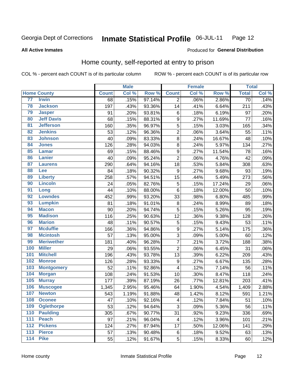#### **Inmate Statistical Profile 06-JUL-11** Page 12

**All Active Inmates** 

#### Produced for General Distribution

## Home county, self-reported at entry to prison

COL % - percent each COUNT is of its particular column

|                  |                    | <b>Male</b>  |       | <b>Female</b> |                  |       | <b>Total</b> |              |       |
|------------------|--------------------|--------------|-------|---------------|------------------|-------|--------------|--------------|-------|
|                  | <b>Home County</b> | <b>Count</b> | Col % | Row %         | <b>Count</b>     | Col % | Row %        | <b>Total</b> | Col % |
| 77               | <b>Irwin</b>       | 68           | .15%  | 97.14%        | 2                | .06%  | 2.86%        | 70           | .14%  |
| 78               | <b>Jackson</b>     | 197          | .43%  | 93.36%        | 14               | .41%  | 6.64%        | 211          | .43%  |
| 79               | <b>Jasper</b>      | 91           | .20%  | 93.81%        | $\,6$            | .18%  | 6.19%        | 97           | .20%  |
| 80               | <b>Jeff Davis</b>  | 68           | .15%  | 88.31%        | $\boldsymbol{9}$ | .27%  | 11.69%       | 77           | .16%  |
| $\overline{81}$  | <b>Jefferson</b>   | 160          | .35%  | 96.97%        | 5                | .15%  | 3.03%        | 165          | .34%  |
| 82               | <b>Jenkins</b>     | 53           | .12%  | 96.36%        | $\overline{2}$   | .06%  | 3.64%        | 55           | .11%  |
| 83               | <b>Johnson</b>     | 40           | .09%  | 83.33%        | $\overline{8}$   | .24%  | 16.67%       | 48           | .10%  |
| 84               | <b>Jones</b>       | 126          | .28%  | 94.03%        | 8                | .24%  | 5.97%        | 134          | .27%  |
| 85               | <b>Lamar</b>       | 69           | .15%  | 88.46%        | $\boldsymbol{9}$ | .27%  | 11.54%       | 78           | .16%  |
| 86               | <b>Lanier</b>      | 40           | .09%  | 95.24%        | $\overline{c}$   | .06%  | 4.76%        | 42           | .09%  |
| 87               | <b>Laurens</b>     | 290          | .64%  | 94.16%        | 18               | .53%  | 5.84%        | 308          | .63%  |
| 88               | <b>Lee</b>         | 84           | .18%  | 90.32%        | 9                | .27%  | 9.68%        | 93           | .19%  |
| 89               | <b>Liberty</b>     | 258          | .57%  | 94.51%        | 15               | .44%  | 5.49%        | 273          | .56%  |
| 90               | <b>Lincoln</b>     | 24           | .05%  | 82.76%        | 5                | .15%  | 17.24%       | 29           | .06%  |
| 91               | Long               | 44           | .10%  | 88.00%        | $\,6$            | .18%  | 12.00%       | 50           | .10%  |
| 92               | <b>Lowndes</b>     | 452          | .99%  | 93.20%        | 33               | .98%  | 6.80%        | 485          | .99%  |
| 93               | <b>Lumpkin</b>     | 81           | .18%  | 91.01%        | 8                | .24%  | 8.99%        | 89           | .18%  |
| 94               | <b>Macon</b>       | 90           | .20%  | 94.74%        | 5                | .15%  | 5.26%        | 95           | .19%  |
| 95               | <b>Madison</b>     | 116          | .25%  | 90.63%        | 12               | .36%  | 9.38%        | 128          | .26%  |
| 96               | <b>Marion</b>      | 48           | .11%  | 90.57%        | 5                | .15%  | 9.43%        | 53           | .11%  |
| 97               | <b>Mcduffie</b>    | 166          | .36%  | 94.86%        | $\boldsymbol{9}$ | .27%  | 5.14%        | 175          | .36%  |
| 98               | <b>Mcintosh</b>    | 57           | .13%  | 95.00%        | 3                | .09%  | 5.00%        | 60           | .12%  |
| 99               | <b>Meriwether</b>  | 181          | .40%  | 96.28%        | $\overline{7}$   | .21%  | 3.72%        | 188          | .38%  |
| 100              | <b>Miller</b>      | 29           | .06%  | 93.55%        | $\overline{2}$   | .06%  | 6.45%        | 31           | .06%  |
| 101              | <b>Mitchell</b>    | 196          | .43%  | 93.78%        | 13               | .39%  | 6.22%        | 209          | .43%  |
| 102              | <b>Monroe</b>      | 126          | .28%  | 93.33%        | $\boldsymbol{9}$ | .27%  | 6.67%        | 135          | .28%  |
| 103              | <b>Montgomery</b>  | 52           | .11%  | 92.86%        | 4                | .12%  | 7.14%        | 56           | .11%  |
| 104              | <b>Morgan</b>      | 108          | .24%  | 91.53%        | 10               | .30%  | 8.47%        | 118          | .24%  |
| 105              | <b>Murray</b>      | 177          | .39%  | 87.19%        | 26               | .77%  | 12.81%       | 203          | .41%  |
| 106              | <b>Muscogee</b>    | 1,345        | 2.95% | 95.46%        | 64               | 1.90% | 4.54%        | 1,409        | 2.88% |
| 107              | <b>Newton</b>      | 543          | 1.19% | 91.88%        | 48               | 1.42% | 8.12%        | 591          | 1.21% |
| 108              | <b>Oconee</b>      | 47           | .10%  | 92.16%        | 4                | .12%  | 7.84%        | 51           | .10%  |
| 109              | <b>Oglethorpe</b>  | 53           | .12%  | 94.64%        | 3                | .09%  | 5.36%        | 56           | .11%  |
| 110              | <b>Paulding</b>    | 305          | .67%  | 90.77%        | 31               | .92%  | 9.23%        | 336          | .69%  |
| 111              | <b>Peach</b>       | 97           | .21%  | 96.04%        | 4                | .12%  | 3.96%        | 101          | .21%  |
| 112              | <b>Pickens</b>     | 124          | .27%  | 87.94%        | 17               | .50%  | 12.06%       | 141          | .29%  |
| $\overline{113}$ | <b>Pierce</b>      | 57           | .13%  | 90.48%        | $\,6$            | .18%  | 9.52%        | 63           | .13%  |
| $\overline{114}$ | <b>Pike</b>        | 55           | .12%  | 91.67%        | 5                | .15%  | 8.33%        | 60           | .12%  |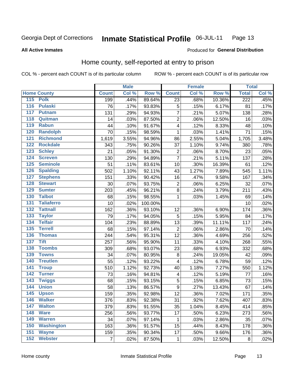#### **Inmate Statistical Profile 06-JUL-11** Page 13

#### **All Active Inmates**

#### Produced for General Distribution

## Home county, self-reported at entry to prison

COL % - percent each COUNT is of its particular column

|                  |                    |              | <b>Male</b> |         |                         | <b>Female</b> |        | <b>Total</b>     |       |
|------------------|--------------------|--------------|-------------|---------|-------------------------|---------------|--------|------------------|-------|
|                  | <b>Home County</b> | <b>Count</b> | Col %       | Row %   | <b>Count</b>            | Col %         | Row %  | <b>Total</b>     | Col % |
|                  | 115 Polk           | 199          | .44%        | 89.64%  | 23                      | .68%          | 10.36% | $\overline{222}$ | .45%  |
| 116              | <b>Pulaski</b>     | 76           | .17%        | 93.83%  | 5                       | .15%          | 6.17%  | 81               | .17%  |
| 117              | <b>Putnam</b>      | 131          | .29%        | 94.93%  | $\overline{7}$          | .21%          | 5.07%  | 138              | .28%  |
| 118              | Quitman            | 14           | .03%        | 87.50%  | $\mathbf 2$             | .06%          | 12.50% | 16               | .03%  |
| 119              | <b>Rabun</b>       | 44           | .10%        | 91.67%  | $\overline{\mathbf{4}}$ | .12%          | 8.33%  | 48               | .10%  |
| 120              | <b>Randolph</b>    | 70           | .15%        | 98.59%  | $\mathbf 1$             | .03%          | 1.41%  | $\overline{71}$  | .15%  |
| $\overline{121}$ | <b>Richmond</b>    | 1,619        | 3.55%       | 94.96%  | 86                      | 2.55%         | 5.04%  | 1,705            | 3.48% |
| 122              | <b>Rockdale</b>    | 343          | .75%        | 90.26%  | 37                      | 1.10%         | 9.74%  | 380              | .78%  |
| 123              | <b>Schley</b>      | 21           | .05%        | 91.30%  | $\overline{\mathbf{c}}$ | .06%          | 8.70%  | 23               | .05%  |
| 124              | <b>Screven</b>     | 130          | .29%        | 94.89%  | $\overline{7}$          | .21%          | 5.11%  | 137              | .28%  |
| 125              | <b>Seminole</b>    | 51           | .11%        | 83.61%  | 10                      | .30%          | 16.39% | 61               | .12%  |
| 126              | <b>Spalding</b>    | 502          | 1.10%       | 92.11%  | 43                      | 1.27%         | 7.89%  | 545              | 1.11% |
| 127              | <b>Stephens</b>    | 151          | .33%        | 90.42%  | 16                      | .47%          | 9.58%  | 167              | .34%  |
| 128              | <b>Stewart</b>     | 30           | .07%        | 93.75%  | $\overline{c}$          | .06%          | 6.25%  | 32               | .07%  |
| 129              | <b>Sumter</b>      | 203          | .45%        | 96.21%  | $\overline{8}$          | .24%          | 3.79%  | 211              | .43%  |
| 130              | <b>Talbot</b>      | 68           | .15%        | 98.55%  | 1                       | .03%          | 1.45%  | 69               | .14%  |
| 131              | <b>Taliaferro</b>  | 10           | .02%        | 100.00% |                         |               |        | 10               | .02%  |
| 132              | <b>Tattnall</b>    | 162          | .36%        | 93.10%  | 12                      | .36%          | 6.90%  | 174              | .36%  |
| 133              | <b>Taylor</b>      | 79           | .17%        | 94.05%  | 5                       | .15%          | 5.95%  | 84               | .17%  |
| 134              | <b>Telfair</b>     | 104          | .23%        | 88.89%  | 13                      | .39%          | 11.11% | 117              | .24%  |
| 135              | <b>Terrell</b>     | 68           | .15%        | 97.14%  | $\mathbf 2$             | .06%          | 2.86%  | 70               | .14%  |
| 136              | <b>Thomas</b>      | 244          | .54%        | 95.31%  | 12                      | .36%          | 4.69%  | 256              | .52%  |
| 137              | <b>Tift</b>        | 257          | .56%        | 95.90%  | 11                      | .33%          | 4.10%  | 268              | .55%  |
| 138              | <b>Toombs</b>      | 309          | .68%        | 93.07%  | 23                      | .68%          | 6.93%  | 332              | .68%  |
| 139              | <b>Towns</b>       | 34           | .07%        | 80.95%  | $\,8\,$                 | .24%          | 19.05% | 42               | .09%  |
| 140              | <b>Treutlen</b>    | 55           | .12%        | 93.22%  | $\overline{\mathbf{4}}$ | .12%          | 6.78%  | 59               | .12%  |
| 141              | <b>Troup</b>       | 510          | 1.12%       | 92.73%  | 40                      | 1.18%         | 7.27%  | 550              | 1.12% |
| 142              | <b>Turner</b>      | 73           | .16%        | 94.81%  | $\overline{\mathbf{4}}$ | .12%          | 5.19%  | 77               | .16%  |
| $\overline{143}$ | <b>Twiggs</b>      | 68           | .15%        | 93.15%  | 5                       | .15%          | 6.85%  | 73               | .15%  |
| 144              | <b>Union</b>       | 58           | .13%        | 86.57%  | $\boldsymbol{9}$        | .27%          | 13.43% | 67               | .14%  |
| $\overline{145}$ | <b>Upson</b>       | 159          | .35%        | 92.98%  | 12                      | .36%          | 7.02%  | 171              | .35%  |
| 146              | <b>Walker</b>      | 376          | .83%        | 92.38%  | 31                      | .92%          | 7.62%  | 407              | .83%  |
| 147              | <b>Walton</b>      | 379          | .83%        | 91.55%  | 35                      | 1.04%         | 8.45%  | 414              | .85%  |
| 148              | <b>Ware</b>        | 256          | .56%        | 93.77%  | 17                      | .50%          | 6.23%  | 273              | .56%  |
| 149              | <b>Warren</b>      | 34           | .07%        | 97.14%  | 1                       | .03%          | 2.86%  | 35               | .07%  |
| 150              | <b>Washington</b>  | 163          | .36%        | 91.57%  | 15                      | .44%          | 8.43%  | 178              | .36%  |
| 151              | <b>Wayne</b>       | 159          | .35%        | 90.34%  | 17                      | .50%          | 9.66%  | 176              | .36%  |
| 152              | <b>Webster</b>     | 7            | .02%        | 87.50%  | 1                       | .03%          | 12.50% | $\bf 8$          | .02%  |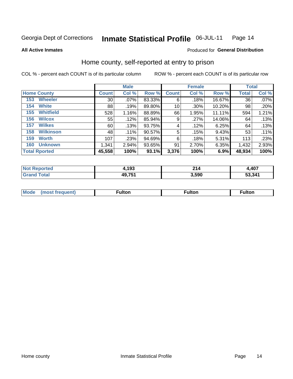#### Inmate Statistical Profile 06-JUL-11 Page 14

**All Active Inmates** 

#### Produced for General Distribution

## Home county, self-reported at entry to prison

COL % - percent each COUNT is of its particular column

|                         |                 | <b>Male</b> |           |              | <b>Female</b> |          |              | <b>Total</b> |  |
|-------------------------|-----------------|-------------|-----------|--------------|---------------|----------|--------------|--------------|--|
| <b>Home County</b>      | <b>Count</b>    | Col %       | Row %     | <b>Count</b> | Col %         | Row %    | <b>Total</b> | Col %        |  |
| <b>Wheeler</b><br>153   | 30 <sup>2</sup> | .07%        | 83.33%    | 6            | .18%          | 16.67%   | 36           | .07%         |  |
| <b>White</b><br>154     | 88              | .19%        | 89.80%    | 10           | .30%          | 10.20%   | 98           | .20%         |  |
| <b>Whitfield</b><br>155 | 528             | 1.16%       | 88.89%    | 66           | 1.95%         | 11.11%   | 594          | 1.21%        |  |
| <b>Wilcox</b><br>156    | 55              | .12%        | 85.94%    | 9            | .27%          | 14.06%   | 64           | .13%         |  |
| <b>Wilkes</b><br>157    | 60              | .13%        | 93.75%    | 4            | .12%          | 6.25%    | 64           | .13%         |  |
| <b>Wilkinson</b><br>158 | 48              | .11%        | 90.57%    | 5            | .15%          | 9.43%    | 53           | .11%         |  |
| 159<br><b>Worth</b>     | 107             | .23%        | $94.69\%$ | 6            | .18%          | $5.31\%$ | 113          | .23%         |  |
| <b>Unknown</b><br>160   | 1,341           | 2.94%       | 93.65%    | 91           | 2.70%         | 6.35%    | 1,432        | 2.93%        |  |
| <b>Total Rported</b>    | 45,558          | 100%        | 93.1%     | 3,376        | 100%          | 6.9%     | 48,934       | 100%         |  |

| rtec<br>-N. | ,193   | 24/<br>214 | 4,407  |
|-------------|--------|------------|--------|
| <b>otal</b> | 49,751 | 3,590      | 53,341 |

| <b>Mode</b><br>1100 | -----<br>וויי "ונט | <b>Fulton</b> | <b>Fulton</b> |
|---------------------|--------------------|---------------|---------------|
|                     |                    |               |               |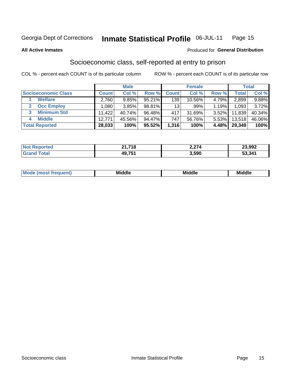#### Inmate Statistical Profile 06-JUL-11 Page 15

**All Active Inmates** 

#### **Produced for General Distribution**

## Socioeconomic class, self-reported at entry to prison

COL % - percent each COUNT is of its particular column

|                       |        | <b>Male</b> |        |                 | <b>Female</b> |       |        | <b>Total</b> |
|-----------------------|--------|-------------|--------|-----------------|---------------|-------|--------|--------------|
| Socioeconomic Class   | Count⊺ | Col %       | Row %  | <b>Count</b>    | Col %         | Row % | Total, | Col %        |
| <b>Welfare</b>        | 2,760  | 9.85%       | 95.21% | 139             | $10.56\%$     | 4.79% | 2,899  | 9.88%        |
| <b>Occ Employ</b>     | .080   | 3.85%       | 98.81% | 13 <sup>1</sup> | .99%          | 1.19% | 1,093  | 3.72%        |
| <b>Minimum Std</b>    | 11,422 | 40.74%      | 96.48% | 417             | 31.69%        | 3.52% | 11,839 | 40.34%       |
| <b>Middle</b><br>4    | 12.771 | 45.56%      | 94.47% | 747             | 56.76%        | 5.53% | 13,518 | 46.06%       |
| <b>Total Reported</b> | 28,033 | 100%        | 95.52% | 1,316           | 100%          | 4.48% | 29,349 | 100%         |

| <b>Not Reported</b> | 24.740<br>41.710 | 2,274 | 23,992 |
|---------------------|------------------|-------|--------|
|                     | 49,751           | 3,590 | 53,341 |

| ____<br>____ |
|--------------|
|--------------|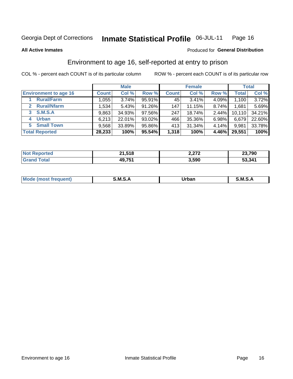#### Inmate Statistical Profile 06-JUL-11 Page 16

**All Active Inmates** 

#### Produced for General Distribution

## Environment to age 16, self-reported at entry to prison

COL % - percent each COUNT is of its particular column

|                                   |              | <b>Male</b> |        |              | <b>Female</b> |          |              | <b>Total</b> |
|-----------------------------------|--------------|-------------|--------|--------------|---------------|----------|--------------|--------------|
| <b>Environment to age 16</b>      | <b>Count</b> | Col %       | Row %  | <b>Count</b> | Col %         | Row %    | <b>Total</b> | Col %        |
| <b>Rural/Farm</b>                 | 1,055        | 3.74%       | 95.91% | 45           | 3.41%         | 4.09%    | 1,100        | 3.72%        |
| <b>Rural/Nfarm</b><br>$2^{\circ}$ | 1,534        | 5.43%       | 91.26% | 147          | 11.15%        | 8.74%    | 1,681        | 5.69%        |
| 3 S.M.S.A                         | 9,863        | 34.93%      | 97.56% | 247          | 18.74%        | $2.44\%$ | 10,110       | 34.21%       |
| <b>Urban</b><br>4                 | 6,213        | 22.01%      | 93.02% | 466          | 35.36%        | 6.98%    | 6,679        | 22.60%       |
| <b>Small Town</b><br>5.           | 9,568        | 33.89%      | 95.86% | 413          | 31.34%        | 4.14%    | 9,981        | 33.78%       |
| <b>Total Reported</b>             | 28,233       | 100%        | 95.54% | 1,318        | 100%          | 4.46%    | 29,551       | 100%         |

| <b>Not Reported</b> | 21,518 | 2,272 | 23,790 |
|---------------------|--------|-------|--------|
| <b>Grand Total</b>  | 49,751 | 3,590 | 53,341 |

| Mo | M | -----  | M |
|----|---|--------|---|
|    |   | ______ |   |
|    |   |        |   |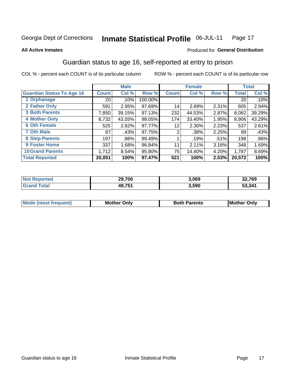#### Inmate Statistical Profile 06-JUL-11 Page 17

#### **All Active Inmates**

#### Produced for General Distribution

## Guardian status to age 16, self-reported at entry to prison

COL % - percent each COUNT is of its particular column

|                                  |                 | <b>Male</b> |           |                 | <b>Female</b> |       |        | <b>Total</b> |
|----------------------------------|-----------------|-------------|-----------|-----------------|---------------|-------|--------|--------------|
| <b>Guardian Status To Age 16</b> | <b>Count</b>    | Col %       | Row %     | <b>Count</b>    | Col %         | Row % | Total  | Col %        |
| 1 Orphanage                      | 20 <sub>1</sub> | .10%        | 100.00%   |                 |               |       | 20     | $.10\%$      |
| 2 Father Only                    | 591             | 2.95%       | $97.69\%$ | 14 <sub>1</sub> | 2.69%         | 2.31% | 605    | 2.94%        |
| <b>3 Both Parents</b>            | 7,850           | 39.15%      | 97.13%    | 232             | 44.53%        | 2.87% | 8,082  | 39.29%       |
| <b>4 Mother Only</b>             | 8,732           | 43.55%      | 98.05%    | 174             | 33.40%        | 1.95% | 8,906  | 43.29%       |
| <b>6 Oth Female</b>              | 525             | 2.62%       | 97.77%    | 12              | 2.30%         | 2.23% | 537    | 2.61%        |
| <b>7 Oth Male</b>                | 87              | .43%        | 97.75%    | 2               | .38%          | 2.25% | 89     | .43%         |
| 8 Step-Parents                   | 197             | .98%        | 99.49%    |                 | .19%          | .51%  | 198    | .96%         |
| 9 Foster Home                    | 337             | 1.68%       | 96.84%    | 11              | 2.11%         | 3.16% | 348    | 1.69%        |
| <b>10 Grand Parents</b>          | 1,712           | 8.54%       | 95.80%    | 75              | 14.40%        | 4.20% | 1,787  | 8.69%        |
| <b>Total Reported</b>            | 20,051          | 100%        | 97.47%    | 521             | 100%          | 2.53% | 20,572 | 100%         |

| <b>Not</b><br><b>Reported</b> | 29,700 | 3,069 | 32,769 |
|-------------------------------|--------|-------|--------|
| ™ota⊾                         | 49,751 | 3,590 | 53,341 |

| <b>Mode (most frequent)</b> | วทIv<br>- -<br>MΩ | <b>Roth</b><br>ີ <sup>ລ</sup> າrents | l Mc<br>Only<br>- - |
|-----------------------------|-------------------|--------------------------------------|---------------------|
|                             |                   |                                      |                     |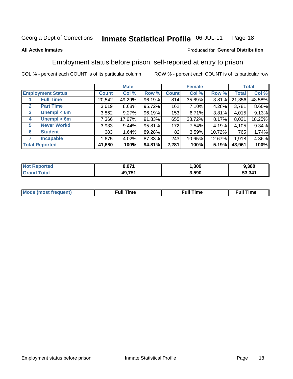#### Inmate Statistical Profile 06-JUL-11 Page 18

#### **All Active Inmates**

#### Produced for General Distribution

## Employment status before prison, self-reported at entry to prison

COL % - percent each COUNT is of its particular column

|                                  | <b>Male</b>  |        |        | <b>Female</b> |        |        | <b>Total</b> |        |
|----------------------------------|--------------|--------|--------|---------------|--------|--------|--------------|--------|
| <b>Employment Status</b>         | <b>Count</b> | Col %  | Row %  | <b>Count</b>  | Col %  | Row %  | Total        | Col %  |
| <b>Full Time</b>                 | 20,542       | 49.29% | 96.19% | 814           | 35.69% | 3.81%  | 21,356       | 48.58% |
| <b>Part Time</b><br>$\mathbf{2}$ | 3,619        | 8.68%  | 95.72% | 162           | 7.10%  | 4.28%  | 3,781        | 8.60%  |
| Unempl $<$ 6m<br>3               | 3,862        | 9.27%  | 96.19% | 153           | 6.71%  | 3.81%  | 4,015        | 9.13%  |
| Unempl > 6m<br>4                 | 7,366        | 17.67% | 91.83% | 655           | 28.72% | 8.17%  | 8,021        | 18.25% |
| <b>Never Workd</b><br>5          | 3,933        | 9.44%  | 95.81% | 172           | 7.54%  | 4.19%  | 4,105        | 9.34%  |
| <b>Student</b><br>6              | 683          | 1.64%  | 89.28% | 82            | 3.59%  | 10.72% | 765          | 1.74%  |
| <b>Incapable</b>                 | 1,675        | 4.02%  | 87.33% | 243           | 10.65% | 12.67% | 1,918        | 4.36%  |
| <b>Total Reported</b>            | 41,680       | 100%   | 94.81% | 2,281         | 100%   | 5.19%  | 43,961       | 100%   |

| orteo<br>. NOT | 8,071                 | .309  | ,380   |
|----------------|-----------------------|-------|--------|
| 140 M          | <b>49751</b><br>49.IJ | 3,590 | 53,341 |

| Mc | ∙u∥<br>----<br>ıme | ίuΙ<br>Πmε |
|----|--------------------|------------|
|    |                    |            |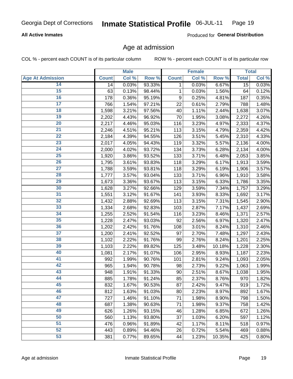#### **All Active Inmates**

Produced for General Distribution

## Age at admission

COL % - percent each COUNT is of its particular column

|                         |              | <b>Male</b> |        |              | <b>Female</b> |        |              | <b>Total</b> |
|-------------------------|--------------|-------------|--------|--------------|---------------|--------|--------------|--------------|
| <b>Age At Admission</b> | <b>Count</b> | Col %       | Row %  | <b>Count</b> | Col %         | Row %  | <b>Total</b> | Col %        |
| 14                      | 14           | 0.03%       | 93.33% | 1            | 0.03%         | 6.67%  | 15           | 0.03%        |
| 15                      | 63           | 0.13%       | 98.44% | 1            | 0.03%         | 1.56%  | 64           | 0.12%        |
| 16                      | 178          | 0.36%       | 95.19% | 9            | 0.25%         | 4.81%  | 187          | 0.35%        |
| 17                      | 766          | 1.54%       | 97.21% | 22           | 0.61%         | 2.79%  | 788          | 1.48%        |
| 18                      | 1,598        | 3.21%       | 97.56% | 40           | 1.11%         | 2.44%  | 1,638        | 3.07%        |
| 19                      | 2,202        | 4.43%       | 96.92% | 70           | 1.95%         | 3.08%  | 2,272        | 4.26%        |
| 20                      | 2,217        | 4.46%       | 95.03% | 116          | 3.23%         | 4.97%  | 2,333        | 4.37%        |
| 21                      | 2,246        | 4.51%       | 95.21% | 113          | 3.15%         | 4.79%  | 2,359        | 4.42%        |
| $\overline{22}$         | 2,184        | 4.39%       | 94.55% | 126          | 3.51%         | 5.45%  | 2,310        | 4.33%        |
| $\overline{23}$         | 2,017        | 4.05%       | 94.43% | 119          | 3.32%         | 5.57%  | 2,136        | 4.00%        |
| 24                      | 2,000        | 4.02%       | 93.72% | 134          | 3.73%         | 6.28%  | 2,134        | 4.00%        |
| 25                      | 1,920        | 3.86%       | 93.52% | 133          | 3.71%         | 6.48%  | 2,053        | 3.85%        |
| 26                      | 1,795        | 3.61%       | 93.83% | 118          | 3.29%         | 6.17%  | 1,913        | 3.59%        |
| $\overline{27}$         | 1,788        | 3.59%       | 93.81% | 118          | 3.29%         | 6.19%  | 1,906        | 3.57%        |
| 28                      | 1,777        | 3.57%       | 93.04% | 133          | 3.71%         | 6.96%  | 1,910        | 3.58%        |
| 29                      | 1,673        | 3.36%       | 93.67% | 113          | 3.15%         | 6.33%  | 1,786        | 3.35%        |
| 30                      | 1,628        | 3.27%       | 92.66% | 129          | 3.59%         | 7.34%  | 1,757        | 3.29%        |
| 31                      | 1,551        | 3.12%       | 91.67% | 141          | 3.93%         | 8.33%  | 1,692        | 3.17%        |
| 32                      | 1,432        | 2.88%       | 92.69% | 113          | 3.15%         | 7.31%  | 1,545        | 2.90%        |
| 33                      | 1,334        | 2.68%       | 92.83% | 103          | 2.87%         | 7.17%  | 1,437        | 2.69%        |
| $\overline{34}$         | 1,255        | 2.52%       | 91.54% | 116          | 3.23%         | 8.46%  | 1,371        | 2.57%        |
| 35                      | 1,228        | 2.47%       | 93.03% | 92           | 2.56%         | 6.97%  | 1,320        | 2.47%        |
| 36                      | 1,202        | 2.42%       | 91.76% | 108          | 3.01%         | 8.24%  | 1,310        | 2.46%        |
| 37                      | 1,200        | 2.41%       | 92.52% | 97           | 2.70%         | 7.48%  | 1,297        | 2.43%        |
| 38                      | 1,102        | 2.22%       | 91.76% | 99           | 2.76%         | 8.24%  | 1,201        | 2.25%        |
| 39                      | 1,103        | 2.22%       | 89.82% | 125          | 3.48%         | 10.18% | 1,228        | 2.30%        |
| 40                      | 1,081        | 2.17%       | 91.07% | 106          | 2.95%         | 8.93%  | 1,187        | 2.23%        |
| 41                      | 992          | 1.99%       | 90.76% | 101          | 2.81%         | 9.24%  | 1,093        | 2.05%        |
| 42                      | 965          | 1.94%       | 90.78% | 98           | 2.73%         | 9.22%  | 1,063        | 1.99%        |
| 43                      | 948          | 1.91%       | 91.33% | 90           | 2.51%         | 8.67%  | 1,038        | 1.95%        |
| 44                      | 885          | 1.78%       | 91.24% | 85           | 2.37%         | 8.76%  | 970          | 1.82%        |
| 45                      | 832          | 1.67%       | 90.53% | 87           | 2.42%         | 9.47%  | 919          | 1.72%        |
| 46                      | 812          | 1.63%       | 91.03% | 80           | 2.23%         | 8.97%  | 892          | 1.67%        |
| 47                      | 727          | 1.46%       | 91.10% | 71           | 1.98%         | 8.90%  | 798          | 1.50%        |
| 48                      | 687          | 1.38%       | 90.63% | 71           | 1.98%         | 9.37%  | 758          | 1.42%        |
| 49                      | 626          | 1.26%       | 93.15% | 46           | 1.28%         | 6.85%  | 672          | 1.26%        |
| 50                      | 560          | 1.13%       | 93.80% | 37           | 1.03%         | 6.20%  | 597          | 1.12%        |
| 51                      | 476          | 0.96%       | 91.89% | 42           | 1.17%         | 8.11%  | 518          | 0.97%        |
| 52                      | 443          | 0.89%       | 94.46% | 26           | 0.72%         | 5.54%  | 469          | 0.88%        |
| 53                      | 381          | 0.77%       | 89.65% | 44           | 1.23%         | 10.35% | 425          | 0.80%        |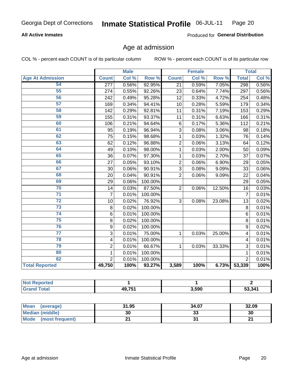#### **All Active Inmates**

Produced for General Distribution

## Age at admission

COL % - percent each COUNT is of its particular column

|                         | <b>Male</b>             |       | <b>Female</b> |                |       | <b>Total</b> |                |       |
|-------------------------|-------------------------|-------|---------------|----------------|-------|--------------|----------------|-------|
| <b>Age At Admission</b> | <b>Count</b>            | Col % | Row %         | <b>Count</b>   | Col % | Row %        | <b>Total</b>   | Col % |
| 54                      | $\overline{277}$        | 0.56% | 92.95%        | 21             | 0.59% | 7.05%        | 298            | 0.56% |
| $\overline{55}$         | 274                     | 0.55% | 92.26%        | 23             | 0.64% | 7.74%        | 297            | 0.56% |
| 56                      | 242                     | 0.49% | 95.28%        | 12             | 0.33% | 4.72%        | 254            | 0.48% |
| 57                      | 169                     | 0.34% | 94.41%        | 10             | 0.28% | 5.59%        | 179            | 0.34% |
| 58                      | 142                     | 0.29% | 92.81%        | 11             | 0.31% | 7.19%        | 153            | 0.29% |
| 59                      | 155                     | 0.31% | 93.37%        | 11             | 0.31% | 6.63%        | 166            | 0.31% |
| 60                      | 106                     | 0.21% | 94.64%        | 6              | 0.17% | 5.36%        | 112            | 0.21% |
| 61                      | 95                      | 0.19% | 96.94%        | 3              | 0.08% | 3.06%        | 98             | 0.18% |
| 62                      | 75                      | 0.15% | 98.68%        | 1              | 0.03% | 1.32%        | 76             | 0.14% |
| 63                      | 62                      | 0.12% | 96.88%        | $\overline{2}$ | 0.06% | 3.13%        | 64             | 0.12% |
| 64                      | 49                      | 0.10% | 98.00%        | 1              | 0.03% | 2.00%        | 50             | 0.09% |
| 65                      | 36                      | 0.07% | 97.30%        | 1              | 0.03% | 2.70%        | 37             | 0.07% |
| 66                      | 27                      | 0.05% | 93.10%        | $\overline{2}$ | 0.06% | 6.90%        | 29             | 0.05% |
| 67                      | 30                      | 0.06% | 90.91%        | 3              | 0.08% | 9.09%        | 33             | 0.06% |
| 68                      | 20                      | 0.04% | 90.91%        | $\overline{2}$ | 0.06% | 9.09%        | 22             | 0.04% |
| 69                      | 29                      | 0.06% | 100.00%       |                |       |              | 29             | 0.05% |
| 70                      | 14                      | 0.03% | 87.50%        | $\overline{2}$ | 0.06% | 12.50%       | 16             | 0.03% |
| $\overline{71}$         | $\overline{7}$          | 0.01% | 100.00%       |                |       |              | $\overline{7}$ | 0.01% |
| $\overline{72}$         | 10                      | 0.02% | 76.92%        | 3              | 0.08% | 23.08%       | 13             | 0.02% |
| $\overline{73}$         | 8                       | 0.02% | 100.00%       |                |       |              | 8              | 0.01% |
| 74                      | 6                       | 0.01% | 100.00%       |                |       |              | $\overline{6}$ | 0.01% |
| $\overline{75}$         | 8                       | 0.02% | 100.00%       |                |       |              | 8              | 0.01% |
| 76                      | 9                       | 0.02% | 100.00%       |                |       |              | 9              | 0.02% |
| $\overline{77}$         | $\overline{3}$          | 0.01% | 75.00%        | 1              | 0.03% | 25.00%       | 4              | 0.01% |
| 78                      | $\overline{\mathbf{4}}$ | 0.01% | 100.00%       |                |       |              | 4              | 0.01% |
| 79                      | $\overline{c}$          | 0.01% | 66.67%        | $\mathbf{1}$   | 0.03% | 33.33%       | 3              | 0.01% |
| 80                      | $\mathbf{1}$            | 0.01% | 100.00%       |                |       |              | $\mathbf{1}$   | 0.01% |
| 82                      | $\overline{2}$          | 0.01% | 100.00%       |                |       |              | $\overline{2}$ | 0.01% |
| <b>Total Reported</b>   | 49,750                  | 100%  | 93.27%        | 3,589          | 100%  | 6.73%        | 53,339         | 100%  |

| rted<br>NOT |               |       |        |
|-------------|---------------|-------|--------|
| int         | <b>AQ 751</b> | 3,590 | 53,341 |

| Mean<br>(average)    | 31.95 | 34.07   | 32.09 |
|----------------------|-------|---------|-------|
| Median (middle)      | 30    | ົ<br>აა | 30    |
| Mode (most frequent) |       |         | ົ     |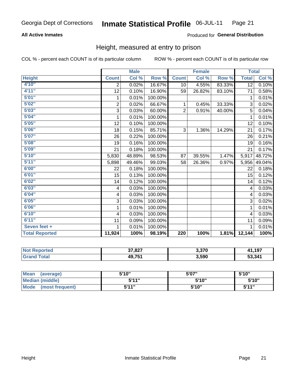#### **All Active Inmates**

#### Produced for General Distribution

### Height, measured at entry to prison

COL % - percent each COUNT is of its particular column

|                       |                         | <b>Male</b> |         |                | <b>Female</b> |        | <b>Total</b> |        |
|-----------------------|-------------------------|-------------|---------|----------------|---------------|--------|--------------|--------|
| <b>Height</b>         | <b>Count</b>            | Col %       | Row %   | <b>Count</b>   | Col %         | Row %  | <b>Total</b> | Col %  |
| 4'10"                 | $\overline{2}$          | 0.02%       | 16.67%  | 10             | 4.55%         | 83.33% | 12           | 0.10%  |
| 4'11''                | 12                      | 0.10%       | 16.90%  | 59             | 26.82%        | 83.10% | 71           | 0.58%  |
| 5'01''                | 1                       | 0.01%       | 100.00% |                |               |        | 1            | 0.01%  |
| 5'02''                | $\overline{\mathbf{c}}$ | 0.02%       | 66.67%  | 1              | 0.45%         | 33.33% | 3            | 0.02%  |
| 5'03''                | 3                       | 0.03%       | 60.00%  | $\overline{2}$ | 0.91%         | 40.00% | 5            | 0.04%  |
| 5'04''                | 1                       | 0.01%       | 100.00% |                |               |        | 1            | 0.01%  |
| 5'05''                | 12                      | 0.10%       | 100.00% |                |               |        | 12           | 0.10%  |
| 5'06''                | 18                      | 0.15%       | 85.71%  | 3              | 1.36%         | 14.29% | 21           | 0.17%  |
| 5'07''                | 26                      | 0.22%       | 100.00% |                |               |        | 26           | 0.21%  |
| 5'08''                | 19                      | 0.16%       | 100.00% |                |               |        | 19           | 0.16%  |
| 5'09''                | 21                      | 0.18%       | 100.00% |                |               |        | 21           | 0.17%  |
| 5'10''                | 5,830                   | 48.89%      | 98.53%  | 87             | 39.55%        | 1.47%  | 5,917        | 48.72% |
| 5'11''                | 5,898                   | 49.46%      | 99.03%  | 58             | 26.36%        | 0.97%  | 5,956        | 49.04% |
| 6'00''                | 22                      | 0.18%       | 100.00% |                |               |        | 22           | 0.18%  |
| 6'01''                | 15                      | 0.13%       | 100.00% |                |               |        | 15           | 0.12%  |
| 6'02''                | 14                      | 0.12%       | 100.00% |                |               |        | 14           | 0.12%  |
| 6'03''                | $\overline{\mathbf{4}}$ | 0.03%       | 100.00% |                |               |        | 4            | 0.03%  |
| 6'04''                | 4                       | 0.03%       | 100.00% |                |               |        | 4            | 0.03%  |
| 6'05''                | 3                       | 0.03%       | 100.00% |                |               |        | 3            | 0.02%  |
| 6'06''                | 1                       | 0.01%       | 100.00% |                |               |        | 1            | 0.01%  |
| 6'10''                | $\overline{\mathbf{4}}$ | 0.03%       | 100.00% |                |               |        | 4            | 0.03%  |
| 6'11''                | 11                      | 0.09%       | 100.00% |                |               |        | 11           | 0.09%  |
| Seven feet +          | 1                       | 0.01%       | 100.00% |                |               |        | 1            | 0.01%  |
| <b>Total Reported</b> | 11,924                  | 100%        | 98.19%  | 220            | 100%          | 1.81%  | 12,144       | 100%   |

| Reported<br>NOT | 37,827 | 3,370 | 107<br>3 |
|-----------------|--------|-------|----------|
| <b>Total</b>    | 49,751 | 3,590 | 53,341   |

| <b>Mean</b><br>(average)       | 5'10'' | 5'07" | 5'10" |
|--------------------------------|--------|-------|-------|
| <b>Median (middle)</b>         | 544"   | 5'10" | 5'10" |
| <b>Mode</b><br>(most frequent) | 544 "  | 5'10" | 544"  |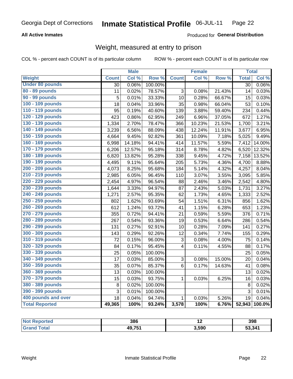#### **All Active Inmates**

#### Produced for General Distribution

## Weight, measured at entry to prison

COL % - percent each COUNT is of its particular column

|                        |              | <b>Male</b> |                  |                         | <b>Female</b> |                  | <b>Total</b> |                     |
|------------------------|--------------|-------------|------------------|-------------------------|---------------|------------------|--------------|---------------------|
| Weight                 | <b>Count</b> | Col %       | Row <sup>%</sup> | <b>Count</b>            | Col %         | Row <sup>%</sup> | <b>Total</b> | Col %               |
| <b>Under 80 pounds</b> | 30           | 0.06%       | 100.00%          |                         |               |                  | 30           | 0.06%               |
| 80 - 89 pounds         | 11           | 0.02%       | 78.57%           | 3                       | 0.08%         | 21.43%           | 14           | 0.03%               |
| 90 - 99 pounds         | 5            | 0.01%       | 33.33%           | 10                      | 0.28%         | 66.67%           | 15           | 0.03%               |
| 100 - 109 pounds       | 18           | 0.04%       | 33.96%           | 35                      | 0.98%         | 66.04%           | 53           | 0.10%               |
| 110 - 119 pounds       | 95           | 0.19%       | 40.60%           | 139                     | 3.88%         | 59.40%           | 234          | 0.44%               |
| 120 - 129 pounds       | 423          | 0.86%       | 62.95%           | 249                     | 6.96%         | 37.05%           | 672          | 1.27%               |
| 130 - 139 pounds       | 1,334        | 2.70%       | 78.47%           | 366                     | 10.23%        | 21.53%           | 1,700        | 3.21%               |
| 140 - 149 pounds       | 3,239        | 6.56%       | 88.09%           | 438                     | 12.24%        | 11.91%           | 3,677        | 6.95%               |
| 150 - 159 pounds       | 4,664        | 9.45%       | 92.82%           | 361                     | 10.09%        | 7.18%            | 5,025        | 9.49%               |
| 160 - 169 pounds       | 6,998        | 14.18%      | 94.41%           | 414                     | 11.57%        | 5.59%            | 7,412        | 14.00%              |
| 170 - 179 pounds       | 6,206        | 12.57%      | 95.18%           | 314                     | 8.78%         | 4.82%            | 6,520        | 12.32%              |
| 180 - 189 pounds       | 6,820        | 13.82%      | 95.28%           | 338                     | 9.45%         | 4.72%            | 7,158        | 13.52%              |
| 190 - 199 pounds       | 4,495        | 9.11%       | 95.64%           | 205                     | 5.73%         | 4.36%            | 4,700        | 8.88%               |
| 200 - 209 pounds       | 4,073        | 8.25%       | 95.68%           | 184                     | 5.14%         | 4.32%            | 4,257        | 8.04%               |
| 210 - 219 pounds       | 2,985        | 6.05%       | 96.45%           | 110                     | 3.07%         | 3.55%            | 3,095        | 5.85%               |
| 220 - 229 pounds       | 2,454        | 4.97%       | 96.54%           | 88                      | 2.46%         | 3.46%            | 2,542        | 4.80%               |
| 230 - 239 pounds       | 1,644        | 3.33%       | 94.97%           | 87                      | 2.43%         | 5.03%            | 1,731        | 3.27%               |
| 240 - 249 pounds       | 1,271        | 2.57%       | 95.35%           | 62                      | 1.73%         | 4.65%            | 1,333        | 2.52%               |
| 250 - 259 pounds       | 802          | 1.62%       | 93.69%           | 54                      | 1.51%         | 6.31%            | 856          | 1.62%               |
| 260 - 269 pounds       | 612          | 1.24%       | 93.72%           | 41                      | 1.15%         | 6.28%            | 653          | 1.23%               |
| 270 - 279 pounds       | 355          | 0.72%       | 94.41%           | 21                      | 0.59%         | 5.59%            | 376          | 0.71%               |
| 280 - 289 pounds       | 267          | 0.54%       | 93.36%           | 19                      | 0.53%         | 6.64%            | 286          | $\overline{0.54\%}$ |
| 290 - 299 pounds       | 131          | 0.27%       | 92.91%           | 10                      | 0.28%         | 7.09%            | 141          | 0.27%               |
| 300 - 309 pounds       | 143          | 0.29%       | 92.26%           | 12                      | 0.34%         | 7.74%            | 155          | 0.29%               |
| 310 - 319 pounds       | 72           | 0.15%       | 96.00%           | 3                       | 0.08%         | 4.00%            | 75           | 0.14%               |
| 320 - 329 pounds       | 84           | 0.17%       | 95.45%           | $\overline{\mathbf{4}}$ | 0.11%         | 4.55%            | 88           | 0.17%               |
| 330 - 339 pounds       | 25           | 0.05%       | 100.00%          |                         |               |                  | 25           | 0.05%               |
| 340 - 349 pounds       | 17           | 0.03%       | 85.00%           | 3                       | 0.08%         | 15.00%           | 20           | 0.04%               |
| 350 - 359 pounds       | 35           | 0.07%       | 85.37%           | 6                       | 0.17%         | 14.63%           | 41           | 0.08%               |
| 360 - 369 pounds       | 13           | 0.03%       | 100.00%          |                         |               |                  | 13           | 0.02%               |
| 370 - 379 pounds       | 15           | 0.03%       | 93.75%           | $\mathbf{1}$            | 0.03%         | 6.25%            | 16           | 0.03%               |
| 380 - 389 pounds       | $\bf 8$      | 0.02%       | 100.00%          |                         |               |                  | 8            | 0.02%               |
| 390 - 399 pounds       | 3            | 0.01%       | 100.00%          |                         |               |                  | 3            | 0.01%               |
| 400 pounds and over    | 18           | 0.04%       | 94.74%           | $\mathbf{1}$            | 0.03%         | 5.26%            | 19           | 0.04%               |
| <b>Total Reported</b>  | 49,365       | 100%        | 93.24%           | 3,578                   | 100%          | 6.76%            | 52,943       | 100.0%              |

| N<br>тео | 386   | . .   | 398    |
|----------|-------|-------|--------|
|          | 49,75 | 3,590 | 53,341 |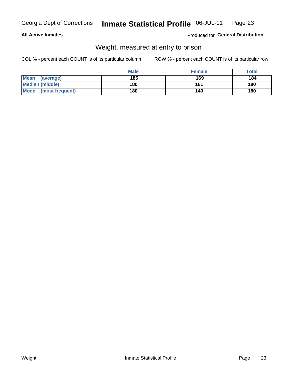#### **All Active Inmates**

#### Produced for General Distribution

## Weight, measured at entry to prison

COL % - percent each COUNT is of its particular column

|                          | <b>Male</b> | <b>Female</b> | Total |
|--------------------------|-------------|---------------|-------|
| <b>Mean</b><br>(average) | 185         | 169           | 184   |
| <b>Median (middle)</b>   | 180         | 161           | 180   |
| Mode<br>(most frequent)  | 180         | 140           | 180   |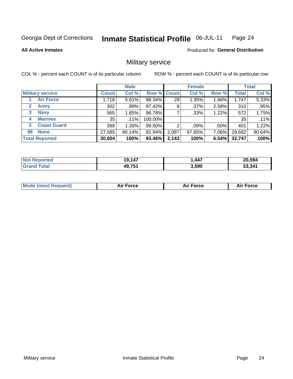#### Inmate Statistical Profile 06-JUL-11 Page 24

#### **All Active Inmates**

**Produced for General Distribution** 

## Military service

COL % - percent each COUNT is of its particular column

|                          | <b>Male</b>  |         |             | <b>Female</b> |         |       | <b>Total</b> |        |
|--------------------------|--------------|---------|-------------|---------------|---------|-------|--------------|--------|
| <b>Military service</b>  | <b>Count</b> | Col %   | Row % Count |               | Col %   | Row % | <b>Total</b> | Col %  |
| <b>Air Force</b>         | 1,718        | 5.61%   | 98.34%      | 29            | 1.35%   | 1.66% | 1,747        | 5.33%  |
| $\mathbf{2}$<br>Army     | 302          | .99%    | 97.42%      | 8             | $.37\%$ | 2.58% | 310          | .95%   |
| <b>Navy</b><br>3         | 565          | 1.85%   | 98.78%      |               | .33%    | 1.22% | 572          | 1.75%  |
| <b>Marines</b><br>4      | 35           | $.11\%$ | 100.00%     |               |         |       | 35           | .11%   |
| <b>Coast Guard</b><br>5. | 399          | 1.30%   | 99.50%      | റ             | $.09\%$ | .50%  | 401          | 1.22%  |
| <b>None</b><br>96        | 27,585       | 90.14%  | 92.94%      | 2,097         | 97.85%  | 7.06% | 29,682       | 90.64% |
| <b>Total Reported</b>    | 30,604       | 100%    | 93.46%      | 2,143         | 100%    | 6.54% | 32,747       | 100%   |

| $N_{\Omega}$<br><b>norted</b> | 19,147 | <b>447</b> | 20.594 |
|-------------------------------|--------|------------|--------|
| <b>Total</b><br>' Grano       | 49,751 | 3,590      | 53,341 |

| <b>Mode (most frequent)</b> | <b>Force</b><br>Aır | <b>Force</b><br>л. <b>Р</b> | <b>Force</b><br>Air |
|-----------------------------|---------------------|-----------------------------|---------------------|
|                             |                     |                             |                     |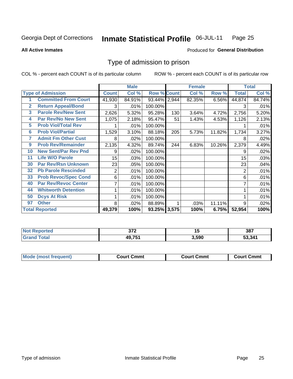#### Inmate Statistical Profile 06-JUL-11 Page 25

**All Active Inmates** 

#### Produced for General Distribution

### Type of admission to prison

COL % - percent each COUNT is of its particular column

|                |                             |                  | <b>Male</b> |                    |     | <b>Female</b> |        |              | <b>Total</b> |
|----------------|-----------------------------|------------------|-------------|--------------------|-----|---------------|--------|--------------|--------------|
|                | <b>Type of Admission</b>    | <b>Count</b>     | Col %       | <b>Row % Count</b> |     | Col %         | Row %  | <b>Total</b> | Col %        |
| 1              | <b>Committed From Court</b> | 41,930           | 84.91%      | 93.44% 2,944       |     | 82.35%        | 6.56%  | 44,874       | 84.74%       |
| $\overline{2}$ | <b>Return Appeal/Bond</b>   | 3                | .01%        | 100.00%            |     |               |        | 3            | .01%         |
| 3              | <b>Parole Rev/New Sent</b>  | 2,626            | 5.32%       | 95.28%             | 130 | 3.64%         | 4.72%  | 2,756        | 5.20%        |
| 4              | Par Rev/No New Sent         | 1,075            | 2.18%       | 95.47%             | 51  | 1.43%         | 4.53%  | 1,126        | 2.13%        |
| 5              | <b>Prob Viol/Total Rev</b>  |                  | .01%        | 100.00%            |     |               |        |              | .01%         |
| 6              | <b>Prob Viol/Partial</b>    | 1,529            | 3.10%       | 88.18%             | 205 | 5.73%         | 11.82% | 1,734        | 3.27%        |
| 7              | <b>Admit Fm Other Cust</b>  | 8                | $.02\%$     | 100.00%            |     |               |        | 8            | .02%         |
| 9              | <b>Prob Rev/Remainder</b>   | 2,135            | 4.32%       | 89.74%             | 244 | 6.83%         | 10.26% | 2,379        | 4.49%        |
| 10             | <b>New Sent/Par Rev Pnd</b> | 9                | .02%        | 100.00%            |     |               |        | 9            | .02%         |
| 11             | <b>Life W/O Parole</b>      | 15 <sub>15</sub> | .03%        | 100.00%            |     |               |        | 15           | .03%         |
| 30             | <b>Par Rev/Rsn Unknown</b>  | 23               | .05%        | 100.00%            |     |               |        | 23           | .04%         |
| 32             | <b>Pb Parole Rescinded</b>  | $\overline{2}$   | .01%        | 100.00%            |     |               |        | 2            | .01%         |
| 33             | <b>Prob Revoc/Spec Cond</b> | 6                | .01%        | 100.00%            |     |               |        | 6            | .01%         |
| 40             | <b>Par Rev/Revoc Center</b> | $\overline{7}$   | .01%        | 100.00%            |     |               |        | 7            | .01%         |
| 44             | <b>Whitworth Detention</b>  | 1                | .01%        | 100.00%            |     |               |        |              | .01%         |
| 50             | <b>Dcys At Risk</b>         |                  | .01%        | 100.00%            |     |               |        |              | .01%         |
| 97             | <b>Other</b>                | 8                | $.02\%$     | 88.89%             |     | .03%          | 11.11% | 9            | .02%         |
|                | <b>Total Reported</b>       | 49,379           | 100%        | 93.25% 3,575       |     | 100%          | 6.75%  | 52,954       | 100%         |

| N <sub>of</sub>        | ヘラヘ    | . .   | 387    |
|------------------------|--------|-------|--------|
| <b>Reported</b>        | .      |       |        |
| <b>Total</b><br>'Grano | 49,751 | 3,590 | 53.341 |

| <b>Mode (most frequent)</b> | Court Cmmt | <b>Court Cmmt</b> | Court Cmmt |
|-----------------------------|------------|-------------------|------------|
|                             |            |                   |            |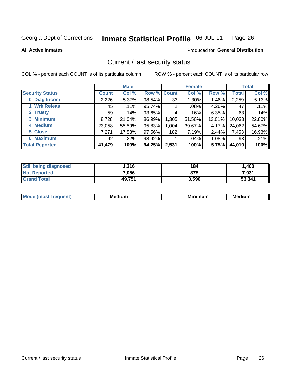#### Inmate Statistical Profile 06-JUL-11 Page 26

#### **All Active Inmates**

#### **Produced for General Distribution**

## Current / last security status

COL % - percent each COUNT is of its particular column

|                        |                 | <b>Male</b> |             |       | <b>Female</b> |          |              | <b>Total</b> |
|------------------------|-----------------|-------------|-------------|-------|---------------|----------|--------------|--------------|
| <b>Security Status</b> | Count l         | Col %       | Row % Count |       | Col %         | Row %    | <b>Total</b> | Col %        |
| 0 Diag Incom           | 2,226           | $5.37\%$    | 98.54%      | 33    | $1.30\%$      | 1.46%    | 2,259        | 5.13%        |
| <b>Wrk Releas</b>      | 45              | $.11\%$     | 95.74%      | 2     | .08%          | 4.26%    | 47           | .11%         |
| 2 Trusty               | 59 <sub>1</sub> | $.14\%$     | 93.65%      | 4     | .16%          | 6.35%    | 63           | .14%         |
| 3 Minimum              | 8,728           | 21.04%      | 86.99%      | 1,305 | 51.56%        | 13.01%   | 10,033       | 22.80%       |
| 4 Medium               | 23,058          | 55.59%      | 95.83%      | 1,004 | 39.67%        | 4.17%    | 24,062       | 54.67%       |
| 5 Close                | 7,271           | 17.53%      | 97.56%      | 182   | 7.19%         | 2.44%    | 7,453        | 16.93%       |
| <b>6 Maximum</b>       | 92 <sub>1</sub> | $.22\%$     | 98.92%      |       | $.04\%$       | $1.08\%$ | 93           | .21%         |
| <b>Total Reported</b>  | 41,479          | 100%        | 94.25%      | 2,531 | 100%          | 5.75%    | 44,010       | 100%         |

| <b>Still being diagnosed</b> | 216.   | 184   | 1,400  |
|------------------------------|--------|-------|--------|
| <b>Not Reported</b>          | 7,056  | 875   | 7,931  |
| <b>Grand Total</b>           | 49,751 | 3,590 | 53,341 |

| <b>Mode</b><br>`reauent) | <b>Medium</b> | <b>BRID</b><br>num | Mer<br>dium |
|--------------------------|---------------|--------------------|-------------|
|                          |               |                    |             |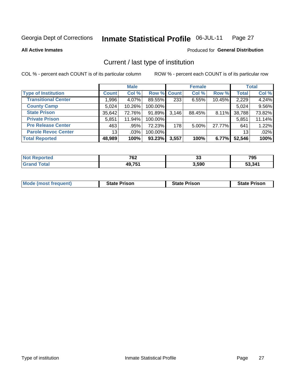#### Inmate Statistical Profile 06-JUL-11 Page 27

**All Active Inmates** 

### Produced for General Distribution

## Current / last type of institution

COL % - percent each COUNT is of its particular column

|                            |                 | <b>Male</b> |                    |       | <b>Female</b> |        |              | <b>Total</b> |
|----------------------------|-----------------|-------------|--------------------|-------|---------------|--------|--------------|--------------|
| <b>Type of Institution</b> | <b>Count</b>    | Col %       | <b>Row % Count</b> |       | Col %         | Row %  | <b>Total</b> | Col %        |
| <b>Transitional Center</b> | 1,996           | 4.07%       | 89.55%             | 233   | 6.55%         | 10.45% | 2,229        | 4.24%        |
| <b>County Camp</b>         | 5,024           | 10.26%      | 100.00%            |       |               |        | 5,024        | 9.56%        |
| <b>State Prison</b>        | 35,642          | 72.76%      | 91.89%             | 3,146 | 88.45%        | 8.11%  | 38,788       | 73.82%       |
| <b>Private Prison</b>      | 5,851           | 11.94%      | 100.00%            |       |               |        | 5,851        | 11.14%       |
| <b>Pre Release Center</b>  | 463             | .95%        | 72.23%             | 178   | 5.00%         | 27.77% | 641          | 1.22%        |
| <b>Parole Revoc Center</b> | 13 <sup>1</sup> | $.03\%$     | 100.00%            |       |               |        | 13           | .02%         |
| <b>Total Reported</b>      | 48,989          | 100%        | 93.23%             | 3,557 | 100%          | 6.77%  | 52,546       | 100%         |

| е | 700           | . .   | <b>705</b> |
|---|---------------|-------|------------|
|   | `VZ           | ഄഄ    | נט ו       |
|   | <b>AQ 751</b> | 3,590 | 341        |

|  |  | <b>Mode (most frequent)</b> | <b>State Prison</b> | <b>State Prison</b> | <b>State Prison</b> |
|--|--|-----------------------------|---------------------|---------------------|---------------------|
|--|--|-----------------------------|---------------------|---------------------|---------------------|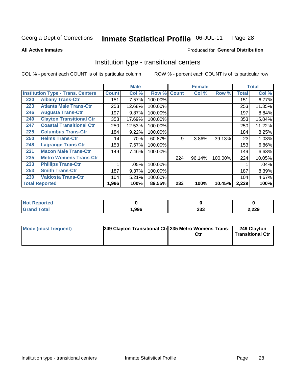#### **Inmate Statistical Profile 06-JUL-11** Page 28

Produced for General Distribution

#### **All Active Inmates**

## Institution type - transitional centers

COL % - percent each COUNT is of its particular column

|     |                                          |              | <b>Male</b> |         |              | <b>Female</b> |         |              | <b>Total</b> |
|-----|------------------------------------------|--------------|-------------|---------|--------------|---------------|---------|--------------|--------------|
|     | <b>Institution Type - Trans. Centers</b> | <b>Count</b> | Col %       | Row %   | <b>Count</b> | Col %         | Row %   | <b>Total</b> | Col %        |
| 220 | <b>Albany Trans-Ctr</b>                  | 151          | 7.57%       | 100.00% |              |               |         | 151          | 6.77%        |
| 223 | <b>Atlanta Male Trans-Ctr</b>            | 253          | 12.68%      | 100.00% |              |               |         | 253          | 11.35%       |
| 246 | <b>Augusta Trans-Ctr</b>                 | 197          | 9.87%       | 100.00% |              |               |         | 197          | 8.84%        |
| 249 | <b>Clayton Transitional Ctr</b>          | 353          | 17.69%      | 100.00% |              |               |         | 353          | 15.84%       |
| 247 | <b>Coastal Transitional Ctr</b>          | 250          | 12.53%      | 100.00% |              |               |         | 250          | 11.22%       |
| 225 | <b>Columbus Trans-Ctr</b>                | 184          | 9.22%       | 100.00% |              |               |         | 184          | 8.25%        |
| 250 | <b>Helms Trans-Ctr</b>                   | 14           | .70%        | 60.87%  | 9            | 3.86%         | 39.13%  | 23           | 1.03%        |
| 248 | <b>Lagrange Trans Ctr</b>                | 153          | 7.67%       | 100.00% |              |               |         | 153          | 6.86%        |
| 231 | <b>Macon Male Trans-Ctr</b>              | 149          | 7.46%       | 100.00% |              |               |         | 149          | 6.68%        |
| 235 | <b>Metro Womens Trans-Ctr</b>            |              |             |         | 224          | 96.14%        | 100.00% | 224          | 10.05%       |
| 233 | <b>Phillips Trans-Ctr</b>                | 1            | .05%        | 100.00% |              |               |         |              | .04%         |
| 253 | <b>Smith Trans-Ctr</b>                   | 187          | 9.37%       | 100.00% |              |               |         | 187          | 8.39%        |
| 230 | <b>Valdosta Trans-Ctr</b>                | 104          | 5.21%       | 100.00% |              |               |         | 104          | 4.67%        |
|     | <b>Total Reported</b>                    | 1,996        | 100%        | 89.55%  | 233          | 100%          | 10.45%  | 2,229        | 100%         |

| portea<br>N. |      |            |       |
|--------------|------|------------|-------|
| _____        | 996, | nne<br>ZJJ | 2,229 |

| Mode (most frequent) | 249 Clayton Transitional Ctr 235 Metro Womens Trans- | Ctr | 249 Clayton<br>Transitional Ctr |
|----------------------|------------------------------------------------------|-----|---------------------------------|
|                      |                                                      |     |                                 |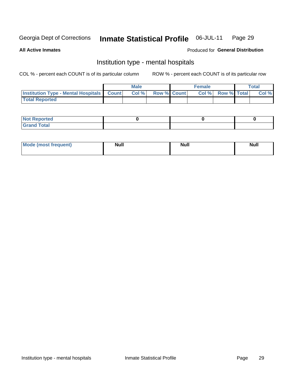#### **Inmate Statistical Profile** 06-JUL-11 Page 29

**All Active Inmates** 

#### Produced for General Distribution

## Institution type - mental hospitals

COL % - percent each COUNT is of its particular column

|                                                  | <b>Male</b> |                    | <b>Female</b> |                    | <b>Total</b> |
|--------------------------------------------------|-------------|--------------------|---------------|--------------------|--------------|
| <b>Institution Type - Mental Hospitals Count</b> | Col %       | <b>Row % Count</b> | Col%          | <b>Row % Total</b> | Col %        |
| <b>Total Reported</b>                            |             |                    |               |                    |              |

| <b>Not Reported</b>   |  |  |
|-----------------------|--|--|
| <b>Total</b><br>_____ |  |  |

| Mode.<br>frequent) | <b>Nul</b><br>_____ | <b>Null</b> | <b>Null</b> |
|--------------------|---------------------|-------------|-------------|
|                    |                     |             |             |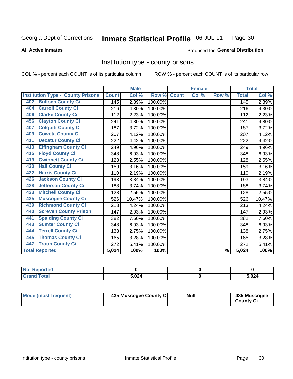#### Inmate Statistical Profile 06-JUL-11 Page 30

#### **All Active Inmates**

#### Produced for General Distribution

### Institution type - county prisons

COL % - percent each COUNT is of its particular column

|                                          |              | <b>Male</b> |         |              | <b>Female</b> |                          |              | <b>Total</b> |
|------------------------------------------|--------------|-------------|---------|--------------|---------------|--------------------------|--------------|--------------|
| <b>Institution Type - County Prisons</b> | <b>Count</b> | Col %       | Row %   | <b>Count</b> | Col %         | Row %                    | <b>Total</b> | Col %        |
| <b>Bulloch County Ci</b><br>402          | 145          | 2.89%       | 100.00% |              |               |                          | 145          | 2.89%        |
| <b>Carroll County Ci</b><br>404          | 216          | 4.30%       | 100.00% |              |               |                          | 216          | 4.30%        |
| <b>Clarke County Ci</b><br>406           | 112          | 2.23%       | 100.00% |              |               |                          | 112          | 2.23%        |
| <b>Clayton County Ci</b><br>456          | 241          | 4.80%       | 100.00% |              |               |                          | 241          | 4.80%        |
| <b>Colquitt County Ci</b><br>407         | 187          | 3.72%       | 100.00% |              |               |                          | 187          | 3.72%        |
| <b>Coweta County Ci</b><br>409           | 207          | 4.12%       | 100.00% |              |               |                          | 207          | 4.12%        |
| <b>Decatur County Ci</b><br>411          | 222          | 4.42%       | 100.00% |              |               |                          | 222          | 4.42%        |
| <b>Effingham County Ci</b><br>413        | 249          | 4.96%       | 100.00% |              |               |                          | 249          | 4.96%        |
| <b>Floyd County Ci</b><br>415            | 348          | 6.93%       | 100.00% |              |               |                          | 348          | 6.93%        |
| <b>Gwinnett County Ci</b><br>419         | 128          | 2.55%       | 100.00% |              |               |                          | 128          | 2.55%        |
| <b>Hall County Ci</b><br>420             | 159          | 3.16%       | 100.00% |              |               |                          | 159          | 3.16%        |
| <b>Harris County Ci</b><br>422           | 110          | 2.19%       | 100.00% |              |               |                          | 110          | 2.19%        |
| <b>Jackson County Ci</b><br>426          | 193          | 3.84%       | 100.00% |              |               |                          | 193          | 3.84%        |
| <b>Jefferson County Ci</b><br>428        | 188          | 3.74%       | 100.00% |              |               |                          | 188          | 3.74%        |
| <b>Mitchell County Ci</b><br>433         | 128          | 2.55%       | 100.00% |              |               |                          | 128          | 2.55%        |
| <b>Muscogee County Ci</b><br>435         | 526          | 10.47%      | 100.00% |              |               |                          | 526          | 10.47%       |
| <b>Richmond County Ci</b><br>439         | 213          | 4.24%       | 100.00% |              |               |                          | 213          | 4.24%        |
| <b>Screven County Prison</b><br>440      | 147          | 2.93%       | 100.00% |              |               |                          | 147          | 2.93%        |
| <b>Spalding County Ci</b><br>441         | 382          | 7.60%       | 100.00% |              |               |                          | 382          | 7.60%        |
| <b>Sumter County Ci</b><br>443           | 348          | 6.93%       | 100.00% |              |               |                          | 348          | 6.93%        |
| <b>Terrell County Ci</b><br>444          | 138          | 2.75%       | 100.00% |              |               |                          | 138          | 2.75%        |
| <b>Thomas County Ci</b><br>445           | 165          | 3.28%       | 100.00% |              |               |                          | 165          | 3.28%        |
| <b>Troup County Ci</b><br>447            | 272          | 5.41%       | 100.00% |              |               |                          | 272          | 5.41%        |
| <b>Total Reported</b>                    | 5,024        | 100%        | 100%    |              |               | $\overline{\frac{9}{6}}$ | 5,024        | 100%         |

| <b>Not Reported</b> |       |       |
|---------------------|-------|-------|
| <b>Grand Total</b>  | 5.024 | 5,024 |

| Mode (most frequent) | 435 Muscogee County Ci | <b>Null</b> | 435 Muscogee<br><b>County Ci</b> |
|----------------------|------------------------|-------------|----------------------------------|
|----------------------|------------------------|-------------|----------------------------------|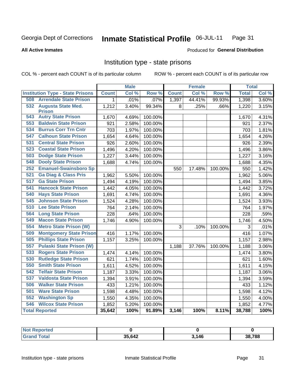#### Inmate Statistical Profile 06-JUL-11 Page 31

#### **All Active Inmates**

### Produced for General Distribution

## Institution type - state prisons

COL % - percent each COUNT is of its particular column

|                                         |              | <b>Male</b> |         |              | <b>Female</b> |         | <b>Total</b> |       |
|-----------------------------------------|--------------|-------------|---------|--------------|---------------|---------|--------------|-------|
| <b>Institution Type - State Prisons</b> | <b>Count</b> | Col %       | Row %   | <b>Count</b> | Col %         | Row %   | <b>Total</b> | Col % |
| 508<br><b>Arrendale State Prison</b>    | 1            | .01%        | .07%    | 1,397        | 44.41%        | 99.93%  | 1,398        | 3.60% |
| 532<br><b>Augusta State Med.</b>        | 1,212        | 3.40%       | 99.34%  | 8            | .25%          | .66%    | 1,220        | 3.15% |
| <b>Prison</b>                           |              |             |         |              |               |         |              |       |
| <b>543 Autry State Prison</b>           | 1,670        | 4.69%       | 100.00% |              |               |         | 1,670        | 4.31% |
| <b>Baldwin State Prison</b><br>553      | 921          | 2.58%       | 100.00% |              |               |         | 921          | 2.37% |
| <b>Burrus Corr Trn Cntr</b><br>534      | 703          | 1.97%       | 100.00% |              |               |         | 703          | 1.81% |
| <b>Calhoun State Prison</b><br>547      | 1,654        | 4.64%       | 100.00% |              |               |         | 1,654        | 4.26% |
| <b>Central State Prison</b><br>531      | 926          | 2.60%       | 100.00% |              |               |         | 926          | 2.39% |
| 523<br><b>Coastal State Prison</b>      | 1,496        | 4.20%       | 100.00% |              |               |         | 1,496        | 3.86% |
| 503<br><b>Dodge State Prison</b>        | 1,227        | 3.44%       | 100.00% |              |               |         | 1,227        | 3.16% |
| <b>Dooly State Prison</b><br>548        | 1,688        | 4.74%       | 100.00% |              |               |         | 1,688        | 4.35% |
| <b>Emanuel-Swainsboro Sp</b><br>252     |              |             |         | 550          | 17.48%        | 100.00% | 550          | 1.42% |
| <b>Ga Diag &amp; Class Pris</b><br>521  | 1,962        | 5.50%       | 100.00% |              |               |         | 1,962        | 5.06% |
| 517<br><b>Ga State Prison</b>           | 1,494        | 4.19%       | 100.00% |              |               |         | 1,494        | 3.85% |
| <b>Hancock State Prison</b><br>541      | 1,442        | 4.05%       | 100.00% |              |               |         | 1,442        | 3.72% |
| <b>Hays State Prison</b><br>540         | 1,691        | 4.74%       | 100.00% |              |               |         | 1,691        | 4.36% |
| <b>Johnson State Prison</b><br>545      | 1,524        | 4.28%       | 100.00% |              |               |         | 1,524        | 3.93% |
| 510<br><b>Lee State Prison</b>          | 764          | 2.14%       | 100.00% |              |               |         | 764          | 1.97% |
| 564<br><b>Long State Prison</b>         | 228          | .64%        | 100.00% |              |               |         | 228          | .59%  |
| <b>Macon State Prison</b><br>549        | 1,746        | 4.90%       | 100.00% |              |               |         | 1,746        | 4.50% |
| <b>Metro State Prison (W)</b><br>554    |              |             |         | 3            | .10%          | 100.00% | 3            | .01%  |
| <b>Montgomery State Prison</b><br>509   | 416          | 1.17%       | 100.00% |              |               |         | 416          | 1.07% |
| <b>Phillips State Prison</b><br>505     | 1,157        | 3.25%       | 100.00% |              |               |         | 1,157        | 2.98% |
| 557<br><b>Pulaski State Prison (W)</b>  |              |             |         | 1,188        | 37.76%        | 100.00% | 1,188        | 3.06% |
| <b>Rogers State Prison</b><br>533       | 1,474        | 4.14%       | 100.00% |              |               |         | 1,474        | 3.80% |
| <b>Rutledge State Prison</b><br>530     | 621          | 1.74%       | 100.00% |              |               |         | 621          | 1.60% |
| 550<br><b>Smith State Prison</b>        | 1,611        | 4.52%       | 100.00% |              |               |         | 1,611        | 4.15% |
| 542<br><b>Telfair State Prison</b>      | 1,187        | 3.33%       | 100.00% |              |               |         | 1,187        | 3.06% |
| 537<br><b>Valdosta State Prison</b>     | 1,394        | 3.91%       | 100.00% |              |               |         | 1,394        | 3.59% |
| <b>Walker State Prison</b><br>506       | 433          | 1.21%       | 100.00% |              |               |         | 433          | 1.12% |
| <b>Ware State Prison</b><br>501         | 1,598        | 4.48%       | 100.00% |              |               |         | 1,598        | 4.12% |
| 552<br><b>Washington Sp</b>             | 1,550        | 4.35%       | 100.00% |              |               |         | 1,550        | 4.00% |
| 546<br><b>Wilcox State Prison</b>       | 1,852        | 5.20%       | 100.00% |              |               |         | 1,852        | 4.77% |
| <b>Total Reported</b>                   | 35,642       | 100%        | 91.89%  | 3,146        | 100%          | 8.11%   | 38,788       | 100%  |

| Reported |        |       |                           |
|----------|--------|-------|---------------------------|
| Total    | 35,642 | 3,146 | $^{\backprime}788$<br>38. |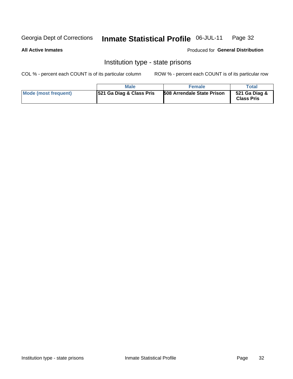#### Inmate Statistical Profile 06-JUL-11 Page 32

#### **All Active Inmates**

Produced for General Distribution

## Institution type - state prisons

COL % - percent each COUNT is of its particular column

|                      | <b>Male</b>                         | <b>Female</b>                     | Total                              |
|----------------------|-------------------------------------|-----------------------------------|------------------------------------|
| Mode (most frequent) | <b>521 Ga Diag &amp; Class Pris</b> | <b>508 Arrendale State Prison</b> | 521 Ga Diag &<br><b>Class Pris</b> |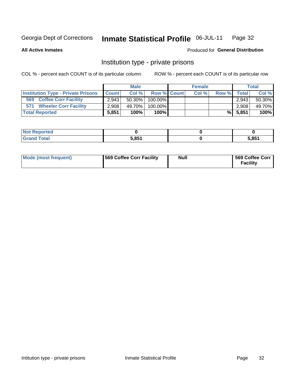#### Inmate Statistical Profile 06-JUL-11 Page 32

**All Active Inmates** 

#### Produced for General Distribution

## Institution type - private prisons

COL % - percent each COUNT is of its particular column

|                                           | <b>Male</b>  |        |                    | <b>Female</b> |       |       | <b>Total</b> |        |
|-------------------------------------------|--------------|--------|--------------------|---------------|-------|-------|--------------|--------|
| <b>Institution Type - Private Prisons</b> | <b>Count</b> | Col%   | <b>Row % Count</b> |               | Col % | Row % | <b>Total</b> | Col %  |
| 569<br><b>Coffee Corr Facility</b>        | 2.943        | 50.30% | 100.00%            |               |       |       | 2.943        | 50.30% |
| <b>Wheeler Corr Facility</b><br>571       | 2,908        | 49.70% | 100.00%            |               |       |       | 2,908        | 49.70% |
| <b>Total Reported</b>                     | 5,851        | 100%   | $100\%$            |               |       | %I    | 5,851        | 100%   |

| Reported<br>w<br>. |                    |       |
|--------------------|--------------------|-------|
| 'otal              | <b>COE4</b><br>טט. | 5,851 |

| Mode (most frequent) | <b>569 Coffee Corr Facility</b> | <b>Null</b> | 569 Coffee Corr<br><b>Facility</b> |
|----------------------|---------------------------------|-------------|------------------------------------|
|----------------------|---------------------------------|-------------|------------------------------------|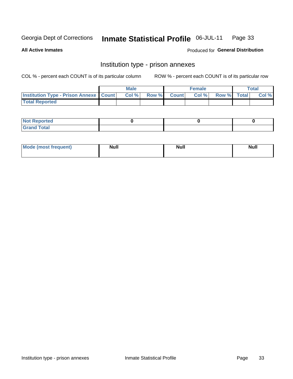#### Inmate Statistical Profile 06-JUL-11 Page 33

**All Active Inmates** 

Produced for General Distribution

## Institution type - prison annexes

COL % - percent each COUNT is of its particular column

|                                                   | <b>Male</b> |                    | <b>Female</b> |             | <b>Total</b> |
|---------------------------------------------------|-------------|--------------------|---------------|-------------|--------------|
| <b>Institution Type - Prison Annexe   Count  </b> | Col %       | <b>Row % Count</b> | Col %         | Row % Total | Col %        |
| <b>Total Reported</b>                             |             |                    |               |             |              |

| <b>Reported</b><br>I NOT |  |  |
|--------------------------|--|--|
| <b>Total</b><br>$C$ ren  |  |  |

| $^{\circ}$ Mo<br>frequent)<br>⊥(mos* | <b>Null</b> | Noll<br><b>vull</b> | <b>Null</b> |
|--------------------------------------|-------------|---------------------|-------------|
|                                      |             |                     |             |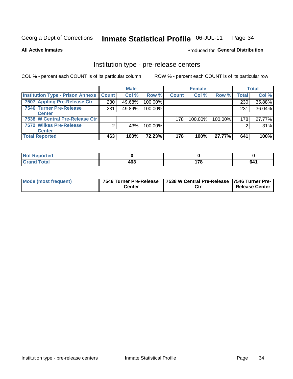#### Inmate Statistical Profile 06-JUL-11 Page 34

#### **All Active Inmates**

### Produced for General Distribution

## Institution type - pre-release centers

COL % - percent each COUNT is of its particular column

|                                               |     | <b>Male</b> |            |              | <b>Female</b> |            |       | <b>Total</b> |
|-----------------------------------------------|-----|-------------|------------|--------------|---------------|------------|-------|--------------|
| <b>Institution Type - Prison Annexe Count</b> |     | Col %       | Row %      | <b>Count</b> | Col %         | Row %      | Total | Col %        |
| 7507 Appling Pre-Release Ctr                  | 230 | 49.68%      | 100.00%    |              |               |            | 230   | 35.88%       |
| <b>7546 Turner Pre-Release</b>                | 231 | 49.89%      | $100.00\%$ |              |               |            | 231   | 36.04%       |
| <b>Center</b>                                 |     |             |            |              |               |            |       |              |
| 7538 W Central Pre-Release Ctr                |     |             |            | 178          | $100.00\%$    | $100.00\%$ | 178   | 27.77%       |
| 7572 Wilkes Pre-Release                       | ◠   | .43%        | 100.00%    |              |               |            | 2     | $.31\%$      |
| <b>Center</b>                                 |     |             |            |              |               |            |       |              |
| <b>Total Reported</b>                         | 463 | 100%        | 72.23%     | 178          | 100%          | 27.77%     | 641   | 100%         |

| ported<br>N |             |                        |                            |
|-------------|-------------|------------------------|----------------------------|
| $\sim$ 40   | 463<br>$ -$ | .<br>$\cdot$ . $\cdot$ | c a<br>nΔ<br>$\sim$ $\sim$ |

| Mode (most frequent) | 7546 Turner Pre-Release | 7538 W Central Pre-Release 7546 Turner Pre- |                |
|----------------------|-------------------------|---------------------------------------------|----------------|
|                      | Center                  | Ctr                                         | Release Center |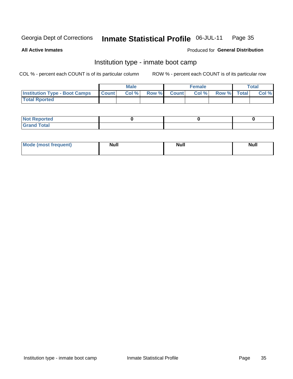#### Inmate Statistical Profile 06-JUL-11 Page 35

**All Active Inmates** 

#### Produced for General Distribution

## Institution type - inmate boot camp

COL % - percent each COUNT is of its particular column

|                                      |              | <b>Male</b> |       |              | <b>Female</b> |             | Total |
|--------------------------------------|--------------|-------------|-------|--------------|---------------|-------------|-------|
| <b>Institution Type - Boot Camps</b> | <b>Count</b> | Col %       | Row % | <b>Count</b> | Col%          | Row % Total | Col % |
| <b>Total Rported</b>                 |              |             |       |              |               |             |       |

| <b>Not Reported</b> |  |  |
|---------------------|--|--|
| <b>Total</b><br>Cro |  |  |

| <b>I Mode (most frequent)</b> | <b>Null</b> | <b>Null</b> | <b>Null</b> |
|-------------------------------|-------------|-------------|-------------|
|                               |             |             |             |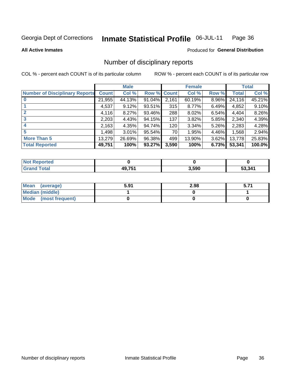#### Inmate Statistical Profile 06-JUL-11 Page 36

**All Active Inmates** 

### Produced for General Distribution

## Number of disciplinary reports

COL % - percent each COUNT is of its particular column

|                                       |              | <b>Male</b> |             |       | <b>Female</b> |          |        | <b>Total</b> |
|---------------------------------------|--------------|-------------|-------------|-------|---------------|----------|--------|--------------|
| <b>Number of Disciplinary Reports</b> | <b>Count</b> | Col %       | Row % Count |       | Col %         | Row %    | Total  | Col %        |
|                                       | 21,955       | 44.13%      | $91.04\%$   | 2,161 | 60.19%        | $8.96\%$ | 24,116 | 45.21%       |
|                                       | 4,537        | 9.12%       | $93.51\%$   | 315   | 8.77%         | 6.49%    | 4,852  | 9.10%        |
|                                       | 4,116        | 8.27%       | 93.46%      | 288   | 8.02%         | 6.54%    | 4,404  | 8.26%        |
| 3                                     | 2,203        | 4.43%       | 94.15%      | 137   | 3.82%         | 5.85%    | 2,340  | 4.39%        |
|                                       | 2,163        | 4.35%       | 94.74%      | 120   | 3.34%         | 5.26%    | 2,283  | 4.28%        |
| 5                                     | ا 498.       | 3.01%       | 95.54%      | 70    | 1.95%         | 4.46%    | 1,568  | 2.94%        |
| <b>More Than 5</b>                    | 13,279       | 26.69%      | 96.38%      | 499   | 13.90%        | 3.62%    | 13,778 | 25.83%       |
| <b>Total Reported</b>                 | 49,751       | 100%        | 93.27%      | 3,590 | 100%          | 6.73%    | 53,341 | 100.0%       |

| Reported<br><b>NOT</b> |              |       |       |
|------------------------|--------------|-------|-------|
| <sup>-</sup> otal      | <b>49751</b> | 3,590 | . 341 |

| Mean (average)       | 5.91 | 2.98 |  |
|----------------------|------|------|--|
| Median (middle)      |      |      |  |
| Mode (most frequent) |      |      |  |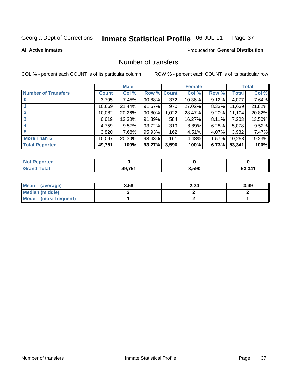#### Inmate Statistical Profile 06-JUL-11 Page 37

### **All Active Inmates**

## Produced for General Distribution

# Number of transfers

COL % - percent each COUNT is of its particular column

|                            |         | <b>Male</b> |        |              | <b>Female</b> |          |              | <b>Total</b> |
|----------------------------|---------|-------------|--------|--------------|---------------|----------|--------------|--------------|
| <b>Number of Transfers</b> | Count l | Col %       | Row %  | <b>Count</b> | Col %         | Row %    | <b>Total</b> | Col %        |
|                            | 3,705   | 7.45%       | 90.88% | 372          | 10.36%        | 9.12%    | 4,077        | 7.64%        |
|                            | 10,669  | 21.44%      | 91.67% | 970          | 27.02%        | 8.33%    | 11,639       | 21.82%       |
| $\mathbf{2}$               | 10,082  | 20.26%      | 90.80% | 1,022        | 28.47%        | $9.20\%$ | 11,104       | 20.82%       |
| 3                          | 6,619   | 13.30%      | 91.89% | 584          | 16.27%        | $8.11\%$ | 7,203        | 13.50%       |
| 4                          | 4,759   | $9.57\%$    | 93.72% | 319          | 8.89%         | 6.28%    | 5,078        | 9.52%        |
| 5                          | 3,820   | 7.68%       | 95.93% | 162          | 4.51%         | 4.07%    | 3,982        | 7.47%        |
| <b>More Than 5</b>         | 10,097  | 20.30%      | 98.43% | 161          | 4.48%         | $1.57\%$ | 10,258       | 19.23%       |
| <b>Total Reported</b>      | 49,751  | 100%        | 93.27% | 3,590        | 100%          | 6.73%    | 53,341       | 100%         |

| orted<br>NOT |              |       |              |
|--------------|--------------|-------|--------------|
| Total        | <b>49751</b> | 3,590 | 53.341<br>55 |

| Mean (average)       | 3.58 | 2.24 | 3.49 |
|----------------------|------|------|------|
| Median (middle)      |      |      |      |
| Mode (most frequent) |      |      |      |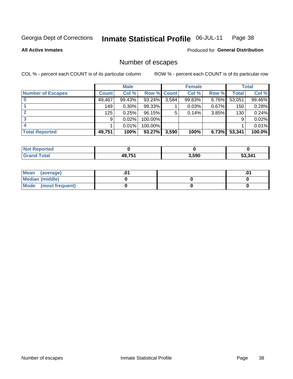#### Inmate Statistical Profile 06-JUL-11 Page 38

**All Active Inmates** 

Produced for General Distribution

# Number of escapes

COL % - percent each COUNT is of its particular column

|                          |              | <b>Male</b> |                    |       | <b>Female</b> |          |        | <b>Total</b> |
|--------------------------|--------------|-------------|--------------------|-------|---------------|----------|--------|--------------|
| <b>Number of Escapes</b> | <b>Count</b> | Col %       | <b>Row % Count</b> |       | Col %         | Row %    | Total  | Col %        |
|                          | 49,467       | 99.43%      | 93.24%             | 3,584 | 99.83%        | $6.76\%$ | 53,051 | 99.46%       |
|                          | 149          | $0.30\%$    | 99.33%             |       | 0.03%         | 0.67%    | 150    | 0.28%        |
|                          | 125          | 0.25%       | 96.15%             | 5     | 0.14%         | 3.85%    | 130    | 0.24%        |
|                          | 9            | 0.02%       | 100.00%            |       |               |          | 9      | 0.02%        |
|                          |              | 0.01%       | 100.00%            |       |               |          |        | 0.01%        |
| <b>Total Reported</b>    | 49,751       | 100%        | 93.27%             | 3,590 | 100%          | 6.73%    | 53,341 | 100.0%       |

| <b>Not Reported</b> |        |       |        |
|---------------------|--------|-------|--------|
| <b>Grand Total</b>  | 40 751 | 3,590 | 53.341 |

| Mean (average)       |  |  |
|----------------------|--|--|
| Median (middle)      |  |  |
| Mode (most frequent) |  |  |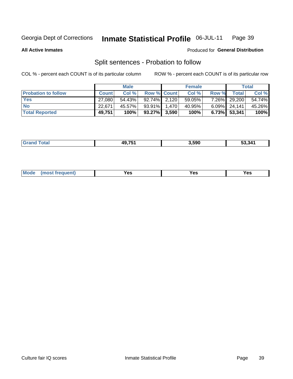#### Inmate Statistical Profile 06-JUL-11 Page 39

**All Active Inmates** 

# Produced for General Distribution

# Split sentences - Probation to follow

COL % - percent each COUNT is of its particular column

|                            |              | <b>Male</b> |                    | <b>Female</b> |          |                 | <b>Total</b> |
|----------------------------|--------------|-------------|--------------------|---------------|----------|-----------------|--------------|
| <b>Probation to follow</b> | <b>Count</b> | Col%        | <b>Row % Count</b> | Col %         | Row %    | <b>Total</b>    | Col %        |
| <b>Yes</b>                 | 27.080       | 54.43%      | $92.74\%$ 2,120    | 59.05%        | $7.26\%$ | 29,200          | 54.74%       |
| <b>No</b>                  | 22.671       | 45.57%      | 93.91% 1.470       | 40.95%        |          | $6.09\%$ 24,141 | 45.26%       |
| <b>Total Reported</b>      | 49,751       | 100%        | $93.27\%$ 3,590    | 100%          |          | $6.73\%$ 53,341 | 100%         |

| ----- | AOZK' | 3.590 | .<br>53 34' |
|-------|-------|-------|-------------|
|       |       |       |             |

| reauent)<br>Yes<br>v.c<br>0٥<br>.<br>. .<br>$\sim$ |  | <b>Mode</b> |  |  |  |
|----------------------------------------------------|--|-------------|--|--|--|
|----------------------------------------------------|--|-------------|--|--|--|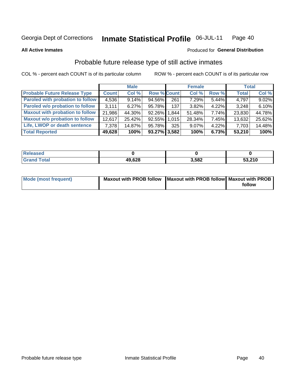#### **Inmate Statistical Profile 06-JUL-11** Page 40

#### **All Active Inmates**

# Produced for General Distribution

# Probable future release type of still active inmates

COL % - percent each COUNT is of its particular column

|                                         |              | <b>Male</b> |                    |     | <b>Female</b> |          | <b>Total</b> |        |
|-----------------------------------------|--------------|-------------|--------------------|-----|---------------|----------|--------------|--------|
| <b>Probable Future Release Type</b>     | <b>Count</b> | Col %       | <b>Row % Count</b> |     | Col %         | Row %    | <b>Total</b> | Col %  |
| <b>Paroled with probation to follow</b> | 4,536        | 9.14%       | 94.56%             | 261 | 7.29%         | 5.44%    | 4,797        | 9.02%  |
| Paroled w/o probation to follow         | 3.111        | 6.27%       | 95.78%             | 137 | 3.82%         | 4.22%    | 3,248        | 6.10%  |
| <b>Maxout with probation to follow</b>  | 21,986       | 44.30%      | 92.26% 1.844       |     | 51.48%        | 7.74%    | 23,830       | 44.78% |
| <b>Maxout w/o probation to follow</b>   | 12,617       | 25.42%      | 92.55% 1.015       |     | 28.34%        | 7.45%    | 13,632       | 25.62% |
| Life, LWOP or death sentence            | 7.378        | 14.87%      | 95.78%             | 325 | 9.07%         | $4.22\%$ | 7,703        | 14.48% |
| <b>Total Reported</b>                   | 49,628       | 100%        | $93.27\%$ 3,582    |     | 100%          | 6.73%    | 53,210       | 100%   |

| .eleased     |        |       |        |
|--------------|--------|-------|--------|
| <b>cotal</b> | 49,628 | 3,582 | 53,210 |

| Mode (most frequent) | Maxout with PROB follow   Maxout with PROB follow   Maxout with PROB |        |
|----------------------|----------------------------------------------------------------------|--------|
|                      |                                                                      | follow |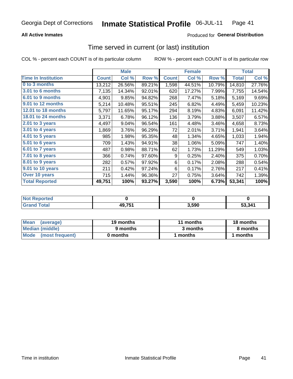## **All Active Inmates**

## Produced for General Distribution

# Time served in current (or last) institution

COL % - percent each COUNT is of its particular column

|                            | <b>Male</b>  |        | <b>Female</b> |              |        | <b>Total</b> |              |        |
|----------------------------|--------------|--------|---------------|--------------|--------|--------------|--------------|--------|
| <b>Time In Institution</b> | <b>Count</b> | Col %  | Row %         | <b>Count</b> | Col %  | Row %        | <b>Total</b> | Col %  |
| 0 to 3 months              | 13,212       | 26.56% | 89.21%        | 1,598        | 44.51% | 10.79%       | 14,810       | 27.76% |
| <b>3.01 to 6 months</b>    | 7,135        | 14.34% | 92.01%        | 620          | 17.27% | 7.99%        | 7,755        | 14.54% |
| 6.01 to 9 months           | 4,901        | 9.85%  | 94.82%        | 268          | 7.47%  | 5.18%        | 5,169        | 9.69%  |
| 9.01 to 12 months          | 5,214        | 10.48% | 95.51%        | 245          | 6.82%  | 4.49%        | 5,459        | 10.23% |
| 12.01 to 18 months         | 5,797        | 11.65% | 95.17%        | 294          | 8.19%  | 4.83%        | 6,091        | 11.42% |
| <b>18.01 to 24 months</b>  | 3,371        | 6.78%  | 96.12%        | 136          | 3.79%  | 3.88%        | 3,507        | 6.57%  |
| $2.01$ to 3 years          | 4,497        | 9.04%  | 96.54%        | 161          | 4.48%  | 3.46%        | 4,658        | 8.73%  |
| 3.01 to 4 years            | 1,869        | 3.76%  | 96.29%        | 72           | 2.01%  | 3.71%        | 1,941        | 3.64%  |
| $4.01$ to 5 years          | 985          | 1.98%  | 95.35%        | 48           | 1.34%  | 4.65%        | 1,033        | 1.94%  |
| 5.01 to 6 years            | 709          | 1.43%  | 94.91%        | 38           | 1.06%  | 5.09%        | 747          | 1.40%  |
| $6.01$ to 7 years          | 487          | 0.98%  | 88.71%        | 62           | 1.73%  | 11.29%       | 549          | 1.03%  |
| 7.01 to 8 years            | 366          | 0.74%  | 97.60%        | 9            | 0.25%  | 2.40%        | 375          | 0.70%  |
| $8.01$ to 9 years          | 282          | 0.57%  | 97.92%        | 6            | 0.17%  | 2.08%        | 288          | 0.54%  |
| 9.01 to 10 years           | 211          | 0.42%  | 97.24%        | 6            | 0.17%  | 2.76%        | 217          | 0.41%  |
| Over 10 years              | 715          | 1.44%  | 96.36%        | 27           | 0.75%  | 3.64%        | 742          | 1.39%  |
| <b>Total Reported</b>      | 49,751       | 100%   | 93.27%        | 3,590        | 100%   | 6.73%        | 53,341       | 100%   |

| <b>Not</b><br><b>Renorted</b> |        |      |        |
|-------------------------------|--------|------|--------|
| Total                         | 49,751 | .590 | 53 341 |

| <b>Mean</b><br>(average) | 19 months | 11 months | 18 months |
|--------------------------|-----------|-----------|-----------|
| Median (middle)          | 9 months  | 3 months  | 8 months  |
| Mode (most frequent)     | 0 months  | months    | months    |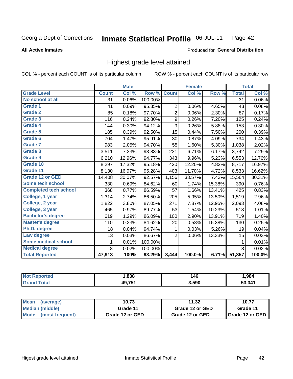### **All Active Inmates**

### Produced for General Distribution

## Highest grade level attained

COL % - percent each COUNT is of its particular column

|                              |              | <b>Male</b> |         |                  | <b>Female</b> |        |              | <b>Total</b> |
|------------------------------|--------------|-------------|---------|------------------|---------------|--------|--------------|--------------|
| <b>Grade Level</b>           | <b>Count</b> | Col %       | Row %   | <b>Count</b>     | Col %         | Row %  | <b>Total</b> | Col %        |
| No school at all             | 31           | 0.06%       | 100.00% |                  |               |        | 31           | $0.06\%$     |
| Grade 1                      | 41           | 0.09%       | 95.35%  | $\overline{2}$   | 0.06%         | 4.65%  | 43           | 0.08%        |
| <b>Grade 2</b>               | 85           | 0.18%       | 97.70%  | $\overline{2}$   | 0.06%         | 2.30%  | 87           | 0.17%        |
| <b>Grade 3</b>               | 116          | 0.24%       | 92.80%  | $\boldsymbol{9}$ | 0.26%         | 7.20%  | 125          | 0.24%        |
| Grade 4                      | 144          | 0.30%       | 94.12%  | $\boldsymbol{9}$ | 0.26%         | 5.88%  | 153          | 0.30%        |
| Grade 5                      | 185          | 0.39%       | 92.50%  | 15               | 0.44%         | 7.50%  | 200          | 0.39%        |
| Grade 6                      | 704          | 1.47%       | 95.91%  | 30               | 0.87%         | 4.09%  | 734          | 1.43%        |
| Grade 7                      | 983          | 2.05%       | 94.70%  | 55               | 1.60%         | 5.30%  | 1,038        | 2.02%        |
| Grade 8                      | 3,511        | 7.33%       | 93.83%  | 231              | 6.71%         | 6.17%  | 3,742        | 7.29%        |
| Grade 9                      | 6,210        | 12.96%      | 94.77%  | 343              | 9.96%         | 5.23%  | 6,553        | 12.76%       |
| Grade 10                     | 8,297        | 17.32%      | 95.18%  | 420              | 12.20%        | 4.82%  | 8,717        | 16.97%       |
| Grade 11                     | 8,130        | 16.97%      | 95.28%  | 403              | 11.70%        | 4.72%  | 8,533        | 16.62%       |
| <b>Grade 12 or GED</b>       | 14,408       | 30.07%      | 92.57%  | 1,156            | 33.57%        | 7.43%  | 15,564       | 30.31%       |
| Some tech school             | 330          | 0.69%       | 84.62%  | 60               | 1.74%         | 15.38% | 390          | 0.76%        |
| <b>Completed tech school</b> | 368          | 0.77%       | 86.59%  | 57               | 1.66%         | 13.41% | 425          | 0.83%        |
| College, 1 year              | 1,314        | 2.74%       | 86.50%  | 205              | 5.95%         | 13.50% | 1,519        | 2.96%        |
| College, 2 year              | 1,822        | 3.80%       | 87.05%  | 271              | 7.87%         | 12.95% | 2,093        | 4.08%        |
| College, 3 year              | 465          | 0.97%       | 89.77%  | 53               | 1.54%         | 10.23% | 518          | 1.01%        |
| <b>Bachelor's degree</b>     | 619          | 1.29%       | 86.09%  | 100              | 2.90%         | 13.91% | 719          | 1.40%        |
| <b>Master's degree</b>       | 110          | 0.23%       | 84.62%  | 20               | 0.58%         | 15.38% | 130          | 0.25%        |
| Ph.D. degree                 | 18           | 0.04%       | 94.74%  | 1                | 0.03%         | 5.26%  | 19           | 0.04%        |
| Law degree                   | 13           | 0.03%       | 86.67%  | $\overline{2}$   | 0.06%         | 13.33% | 15           | 0.03%        |
| Some medical school          | 1            | 0.01%       | 100.00% |                  |               |        | 1            | 0.01%        |
| <b>Medical degree</b>        | 8            | 0.02%       | 100.00% |                  |               |        | 8            | 0.02%        |
| <b>Total Reported</b>        | 47,913       | 100%        | 93.29%  | 3,444            | 100.0%        | 6.71%  | 51,357       | 100.0%       |

| ,838          | 146   | .984   |
|---------------|-------|--------|
| <b>AQ 751</b> | 3.590 | 53 341 |

| <b>Mean</b><br>(average) | 10.73           | 11.32           | 10.77                    |
|--------------------------|-----------------|-----------------|--------------------------|
| Median (middle)          | Grade 11        | Grade 12 or GED | Grade 11                 |
| Mode<br>(most frequent)  | Grade 12 or GED | Grade 12 or GED | <b>I</b> Grade 12 or GED |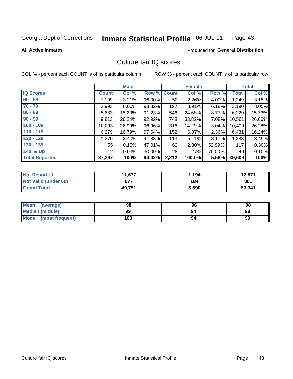#### Inmate Statistical Profile 06-JUL-11 Page 43

**All Active Inmates** 

## **Produced for General Distribution**

# Culture fair IQ scores

COL % - percent each COUNT is of its particular column

|                       |                 | <b>Male</b> |             |       | <b>Female</b> |        |              | <b>Total</b> |
|-----------------------|-----------------|-------------|-------------|-------|---------------|--------|--------------|--------------|
| <b>IQ Scores</b>      | <b>Count</b>    | Col %       | Row % Count |       | Col %         | Row %  | <b>Total</b> | Col %        |
| $60 - 69$             | 1,199           | 3.21%       | 96.00%      | 50    | 2.26%         | 4.00%  | 1,249        | 3.15%        |
| $70 - 79$             | 2,993           | 8.00%       | 93.82%      | 197   | 8.91%         | 6.18%  | 3,190        | 8.05%        |
| $80 - 89$             | 5,683           | 15.20%      | 91.23%      | 546   | 24.68%        | 8.77%  | 6,229        | 15.73%       |
| $90 - 99$             | 9,813           | 26.24%      | 92.92%      | 748   | 33.82%        | 7.08%  | 10,561       | 26.66%       |
| $100 - 109$           | 10,093          | 26.99%      | 96.96%      | 316   | 14.29%        | 3.04%  | 10,409       | 26.28%       |
| $110 - 119$           | 6,279           | 16.79%      | 97.64%      | 152   | 6.87%         | 2.36%  | 6,431        | 16.24%       |
| $120 - 129$           | 1,270           | 3.40%       | 91.83%      | 113   | 5.11%         | 8.17%  | 1,383        | 3.49%        |
| $130 - 139$           | 55              | 0.15%       | 47.01%      | 62    | 2.80%         | 52.99% | 117          | 0.30%        |
| 140 & Up              | 12 <sup>2</sup> | 0.03%       | 30.00%      | 28    | 1.27%         | 70.00% | 40           | 0.10%        |
| <b>Total Reported</b> | 37,397          | 100%        | 94.42%      | 2,212 | 100.0%        | 5.58%  | 39,609       | 100%         |

| <b>Not Reported</b>         | 11,677 | .194  | 12,871 |
|-----------------------------|--------|-------|--------|
| <b>Not Valid (under 60)</b> | 677    | 184   | 861    |
| <b>Grand Total</b>          | 49,751 | 3,590 | 53,341 |

| <b>Mean</b><br>(average) | 98  | 96 | 98 |
|--------------------------|-----|----|----|
| <b>Median (middle)</b>   | 99  | 94 | 99 |
| Mode<br>(most frequent)  | 103 | 94 | 99 |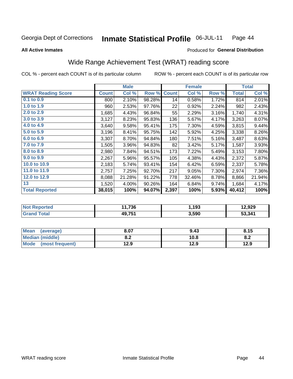#### Inmate Statistical Profile 06-JUL-11 Page 44

**All Active Inmates** 

## Produced for General Distribution

# Wide Range Achievement Test (WRAT) reading score

COL % - percent each COUNT is of its particular column ROW % - percent each COUNT is of its particular row

|                           |              | <b>Male</b> |        |              | <b>Female</b> |       |              | <b>Total</b> |
|---------------------------|--------------|-------------|--------|--------------|---------------|-------|--------------|--------------|
| <b>WRAT Reading Score</b> | <b>Count</b> | Col %       | Row %  | <b>Count</b> | Col %         | Row % | <b>Total</b> | Col %        |
| $0.1$ to $0.9$            | 800          | 2.10%       | 98.28% | 14           | 0.58%         | 1.72% | 814          | 2.01%        |
| 1.0 to 1.9                | 960          | 2.53%       | 97.76% | 22           | 0.92%         | 2.24% | 982          | 2.43%        |
| 2.0 to 2.9                | 1,685        | 4.43%       | 96.84% | 55           | 2.29%         | 3.16% | 1,740        | 4.31%        |
| 3.0 to 3.9                | 3,127        | 8.23%       | 95.83% | 136          | 5.67%         | 4.17% | 3,263        | 8.07%        |
| 4.0 to 4.9                | 3,640        | 9.58%       | 95.41% | 175          | 7.30%         | 4.59% | 3,815        | 9.44%        |
| 5.0 to 5.9                | 3,196        | 8.41%       | 95.75% | 142          | 5.92%         | 4.25% | 3,338        | 8.26%        |
| 6.0 to 6.9                | 3,307        | 8.70%       | 94.84% | 180          | 7.51%         | 5.16% | 3,487        | 8.63%        |
| 7.0 to 7.9                | 1,505        | 3.96%       | 94.83% | 82           | 3.42%         | 5.17% | 1,587        | 3.93%        |
| 8.0 to 8.9                | 2,980        | 7.84%       | 94.51% | 173          | 7.22%         | 5.49% | 3,153        | 7.80%        |
| 9.0 to 9.9                | 2,267        | 5.96%       | 95.57% | 105          | 4.38%         | 4.43% | 2,372        | 5.87%        |
| 10.0 to 10.9              | 2,183        | 5.74%       | 93.41% | 154          | 6.42%         | 6.59% | 2,337        | 5.78%        |
| 11.0 to 11.9              | 2,757        | 7.25%       | 92.70% | 217          | 9.05%         | 7.30% | 2,974        | 7.36%        |
| 12.0 to 12.9              | 8,088        | 21.28%      | 91.22% | 778          | 32.46%        | 8.78% | 8,866        | 21.94%       |
| 13                        | 1,520        | 4.00%       | 90.26% | 164          | 6.84%         | 9.74% | 1,684        | 4.17%        |
| <b>Total Reported</b>     | 38,015       | 100%        | 94.07% | 2,397        | 100%          | 5.93% | 40,412       | 100%         |
|                           |              |             |        |              |               |       |              |              |
| <b>Not Reported</b>       |              | 11,736      |        |              | 1,193         |       |              | 12,929       |
| <b>Crond Total</b>        |              | AOZFA       |        |              | 2.500         |       |              | 52.244       |

| . 15127<br>Grand Total           | .           | 3.5YU   | 541 |
|----------------------------------|-------------|---------|-----|
|                                  |             |         |     |
|                                  |             |         |     |
| <i>laverane)</i><br><b>IMASA</b> | 0.07<br>--- | $Q$ $A$ | .   |

| ∣Mean<br>(average)     | 8.07       | 9.43 | 8.15 |
|------------------------|------------|------|------|
| <b>Median (middle)</b> | ה ה<br>o.z | 10.8 | 0.Z  |
| Mode (most frequent)   | 12.9       | 12.9 | 12.9 |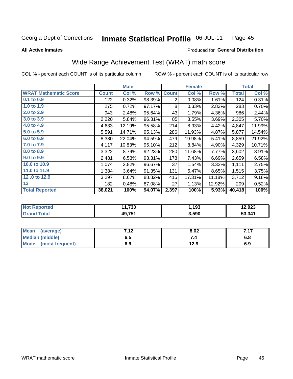#### Inmate Statistical Profile 06-JUL-11 Page 45

#### **All Active Inmates**

## **Produced for General Distribution**

# Wide Range Achievement Test (WRAT) math score

COL % - percent each COUNT is of its particular column

|                              |              | <b>Male</b> |        |                | <b>Female</b> |        |              | <b>Total</b> |
|------------------------------|--------------|-------------|--------|----------------|---------------|--------|--------------|--------------|
| <b>WRAT Mathematic Score</b> | <b>Count</b> | Col %       | Row %  | <b>Count</b>   | Col %         | Row %  | <b>Total</b> | Col %        |
| 0.1 to 0.9                   | 122          | 0.32%       | 98.39% | $\overline{2}$ | 0.08%         | 1.61%  | 124          | 0.31%        |
| 1.0 to 1.9                   | 275          | 0.72%       | 97.17% | 8              | 0.33%         | 2.83%  | 283          | 0.70%        |
| 2.0 to 2.9                   | 943          | 2.48%       | 95.64% | 43             | 1.79%         | 4.36%  | 986          | 2.44%        |
| 3.0 to 3.9                   | 2,220        | 5.84%       | 96.31% | 85             | 3.55%         | 3.69%  | 2,305        | 5.70%        |
| 4.0 to 4.9                   | 4,633        | 12.19%      | 95.58% | 214            | 8.93%         | 4.42%  | 4,847        | 11.99%       |
| 5.0 to 5.9                   | 5,591        | 14.71%      | 95.13% | 286            | 11.93%        | 4.87%  | 5,877        | 14.54%       |
| 6.0 to 6.9                   | 8,380        | 22.04%      | 94.59% | 479            | 19.98%        | 5.41%  | 8,859        | 21.92%       |
| 7.0 to 7.9                   | 4,117        | 10.83%      | 95.10% | 212            | 8.84%         | 4.90%  | 4,329        | 10.71%       |
| 8.0 to 8.9                   | 3,322        | 8.74%       | 92.23% | 280            | 11.68%        | 7.77%  | 3,602        | 8.91%        |
| 9.0 to 9.9                   | 2,481        | 6.53%       | 93.31% | 178            | 7.43%         | 6.69%  | 2,659        | 6.58%        |
| 10.0 to 10.9                 | 1,074        | 2.82%       | 96.67% | 37             | 1.54%         | 3.33%  | 1,111        | 2.75%        |
| 11.0 to 11.9                 | 1,384        | 3.64%       | 91.35% | 131            | 5.47%         | 8.65%  | 1,515        | 3.75%        |
| 12.0 to 12.9                 | 3,297        | 8.67%       | 88.82% | 415            | 17.31%        | 11.18% | 3,712        | 9.18%        |
| 13                           | 182          | 0.48%       | 87.08% | 27             | 1.13%         | 12.92% | 209          | 0.52%        |
| <b>Total Reported</b>        | 38,021       | 100%        | 94.07% | 2,397          | 100%          | 5.93%  | 40,418       | 100%         |
|                              |              |             |        |                |               |        |              |              |
| <b>Not Reported</b>          |              | 11,730      |        |                | 1,193         |        |              | 12,923       |
| <b>Grand Total</b>           |              | 49,751      |        |                | 3,590         |        |              | 53,341       |

| <b>Mean</b><br>(average)       | 719 | 8.02 |     |
|--------------------------------|-----|------|-----|
| Median (middle)                | ხ.ე |      | o.o |
| <b>Mode</b><br>(most frequent) | 6.9 | 12.9 | 6.9 |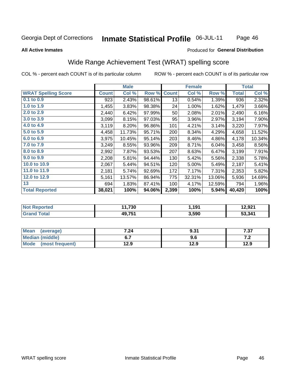#### **Inmate Statistical Profile 06-JUL-11** Page 46

#### **All Active Inmates**

### Produced for General Distribution

# Wide Range Achievement Test (WRAT) spelling score

COL % - percent each COUNT is of its particular column

|                            |              | <b>Male</b> |        |              | <b>Female</b> |        |              | <b>Total</b> |
|----------------------------|--------------|-------------|--------|--------------|---------------|--------|--------------|--------------|
| <b>WRAT Spelling Score</b> | <b>Count</b> | Col %       | Row %  | <b>Count</b> | Col %         | Row %  | <b>Total</b> | Col %        |
| $0.1$ to $0.9$             | 923          | 2.43%       | 98.61% | 13           | 0.54%         | 1.39%  | 936          | 2.32%        |
| 1.0 to 1.9                 | 1,455        | 3.83%       | 98.38% | 24           | 1.00%         | 1.62%  | 1,479        | 3.66%        |
| 2.0 to 2.9                 | 2,440        | 6.42%       | 97.99% | 50           | 2.08%         | 2.01%  | 2,490        | 6.16%        |
| 3.0 to 3.9                 | 3,099        | 8.15%       | 97.03% | 95           | 3.96%         | 2.97%  | 3,194        | 7.90%        |
| 4.0 to 4.9                 | 3,119        | 8.20%       | 96.86% | 101          | 4.21%         | 3.14%  | 3,220        | 7.97%        |
| 5.0 to 5.9                 | 4,458        | 11.73%      | 95.71% | 200          | 8.34%         | 4.29%  | 4,658        | 11.52%       |
| 6.0 to 6.9                 | 3,975        | 10.45%      | 95.14% | 203          | 8.46%         | 4.86%  | 4,178        | 10.34%       |
| 7.0 to 7.9                 | 3,249        | 8.55%       | 93.96% | 209          | 8.71%         | 6.04%  | 3,458        | 8.56%        |
| 8.0 to 8.9                 | 2,992        | 7.87%       | 93.53% | 207          | 8.63%         | 6.47%  | 3,199        | 7.91%        |
| 9.0 to 9.9                 | 2,208        | 5.81%       | 94.44% | 130          | 5.42%         | 5.56%  | 2,338        | 5.78%        |
| 10.0 to 10.9               | 2,067        | 5.44%       | 94.51% | 120          | 5.00%         | 5.49%  | 2,187        | 5.41%        |
| 11.0 to 11.9               | 2,181        | 5.74%       | 92.69% | 172          | 7.17%         | 7.31%  | 2,353        | 5.82%        |
| 12.0 to 12.9               | 5,161        | 13.57%      | 86.94% | 775          | 32.31%        | 13.06% | 5,936        | 14.69%       |
| 13                         | 694          | 1.83%       | 87.41% | 100          | 4.17%         | 12.59% | 794          | 1.96%        |
| <b>Total Reported</b>      | 38,021       | 100%        | 94.06% | 2,399        | 100%          | 5.94%  | 40,420       | 100%         |
|                            |              |             |        |              |               |        |              |              |

| <b>Not Reported</b>     | 11,730 | 1,191 | 12,921 |
|-------------------------|--------|-------|--------|
| Total<br><b>Grand 1</b> | 49,751 | 3,590 | 53,341 |

| <b>Mean</b><br>(average) | 7.24 | 9.31 | , , ,<br>، ن |
|--------------------------|------|------|--------------|
| Median (middle)          | ν.,  | 9.6  | .            |
| Mode<br>(most frequent)  | 12.9 | 12.9 | 12.9         |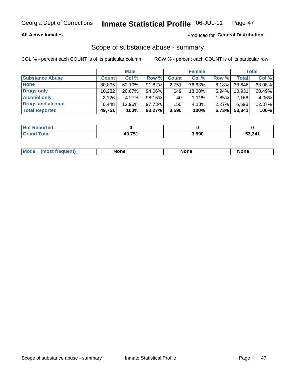### **All Active Inmates**

## Produced for General Distribution

# Scope of substance abuse - summary

COL % - percent each COUNT is of its particular column

|                        |              | <b>Male</b> |           |              | <b>Female</b> |          |        | <b>Total</b> |
|------------------------|--------------|-------------|-----------|--------------|---------------|----------|--------|--------------|
| <b>Substance Abuse</b> | <b>Count</b> | Col %       | Row %     | <b>Count</b> | Col %         | Row %    | Total  | Col %        |
| <b>None</b>            | 30,895       | $62.10\%$   | 91.82%    | 2,751        | 76.63%        | 8.18%    | 33,646 | 63.08%       |
| <b>Drugs only</b>      | 10,282       | 20.67%      | $94.06\%$ | 649          | 18.08%        | $5.94\%$ | 10,931 | 20.49%       |
| <b>Alcohol only</b>    | 2,126        | $4.27\%$    | 98.15%    | 40           | $1.11\%$      | 1.85%    | 2,166  | 4.06%        |
| Drugs and alcohol      | 6,448        | 12.96%      | 97.73%    | 150          | 4.18%         | 2.27%    | 6,598  | 12.37%       |
| <b>Total Reported</b>  | 49,751       | 100%        | $93.27\%$ | 3,590        | 100%          | 6.73%    | 53,341 | 100%         |

| <b>Not</b><br>Reported |              |       |        |
|------------------------|--------------|-------|--------|
| <b>Total</b>           | 10 7E1<br>ло | 3,590 | 53.341 |

| nuem | <b>Mo</b> | None | <b>None</b> | None |
|------|-----------|------|-------------|------|
|------|-----------|------|-------------|------|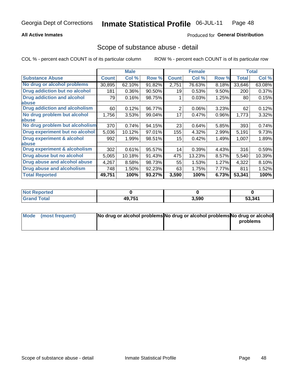## **All Active Inmates**

### Produced for General Distribution

## Scope of substance abuse - detail

COL % - percent each COUNT is of its particular column

|                                      |              | <b>Male</b> |        |                | <b>Female</b> |       |              | <b>Total</b> |
|--------------------------------------|--------------|-------------|--------|----------------|---------------|-------|--------------|--------------|
| <b>Substance Abuse</b>               | <b>Count</b> | Col %       | Row %  | <b>Count</b>   | Col %         | Row % | <b>Total</b> | Col %        |
| No drug or alcohol problems          | 30,895       | 62.10%      | 91.82% | 2,751          | 76.63%        | 8.18% | 33,646       | 63.08%       |
| <b>Drug addiction but no alcohol</b> | 181          | 0.36%       | 90.50% | 19             | 0.53%         | 9.50% | 200          | 0.37%        |
| <b>Drug addiction and alcohol</b>    | 79           | 0.16%       | 98.75% |                | 0.03%         | 1.25% | 80           | 0.15%        |
| abuse                                |              |             |        |                |               |       |              |              |
| <b>Drug addiction and alcoholism</b> | 60           | 0.12%       | 96.77% | $\overline{2}$ | 0.06%         | 3.23% | 62           | 0.12%        |
| No drug problem but alcohol          | 1,756        | 3.53%       | 99.04% | 17             | 0.47%         | 0.96% | 1,773        | 3.32%        |
| <b>labuse</b>                        |              |             |        |                |               |       |              |              |
| No drug problem but alcoholism       | 370          | 0.74%       | 94.15% | 23             | 0.64%         | 5.85% | 393          | 0.74%        |
| Drug experiment but no alcohol       | 5,036        | 10.12%      | 97.01% | 155            | 4.32%         | 2.99% | 5,191        | 9.73%        |
| <b>Drug experiment &amp; alcohol</b> | 992          | 1.99%       | 98.51% | 15             | 0.42%         | 1.49% | 1,007        | 1.89%        |
| <b>labuse</b>                        |              |             |        |                |               |       |              |              |
| Drug experiment & alcoholism         | 302          | 0.61%       | 95.57% | 14             | 0.39%         | 4.43% | 316          | 0.59%        |
| Drug abuse but no alcohol            | 5,065        | 10.18%      | 91.43% | 475            | 13.23%        | 8.57% | 5,540        | 10.39%       |
| Drug abuse and alcohol abuse         | 4,267        | 8.58%       | 98.73% | 55             | 1.53%         | 1.27% | 4,322        | 8.10%        |
| Drug abuse and alcoholism            | 748          | 1.50%       | 92.23% | 63             | 1.75%         | 7.77% | 811          | 1.52%        |
| <b>Total Reported</b>                | 49,751       | 100%        | 93.27% | 3,590          | 100%          | 6.73% | 53,341       | 100%         |

| ported<br><b>NOT</b> |                         |       |        |
|----------------------|-------------------------|-------|--------|
| 'otal                | <b>AQ 751</b><br>49.IJI | 3,590 | 53,341 |

| Mode (most frequent) | No drug or alcohol problems No drug or alcohol problems No drug or alcohol |          |
|----------------------|----------------------------------------------------------------------------|----------|
|                      |                                                                            | problems |
|                      |                                                                            |          |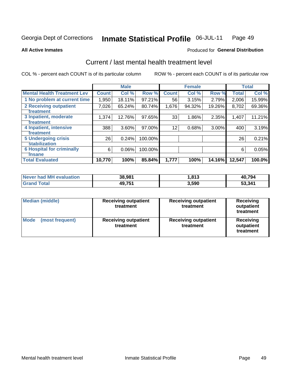#### Inmate Statistical Profile 06-JUL-11 Page 49

**All Active Inmates** 

## **Produced for General Distribution**

# Current / last mental health treatment level

COL % - percent each COUNT is of its particular column

|                                    |              | <b>Male</b> |         |              | <b>Female</b> |          |              | <b>Total</b> |
|------------------------------------|--------------|-------------|---------|--------------|---------------|----------|--------------|--------------|
| <b>Mental Health Treatment Lev</b> | <b>Count</b> | Col %       | Row %   | <b>Count</b> | Col %         | Row %    | <b>Total</b> | Col %        |
| 1 No problem at current time       | 1,950        | 18.11%      | 97.21%  | 56           | 3.15%         | 2.79%    | 2,006        | 15.99%       |
| 2 Receiving outpatient             | 7,026        | 65.24%      | 80.74%  | 1,676        | 94.32%        | 19.26%   | 8,702        | 69.36%       |
| <b>Treatment</b>                   |              |             |         |              |               |          |              |              |
| 3 Inpatient, moderate              | 1,374        | 12.76%      | 97.65%  | 33           | 1.86%         | 2.35%    | 1,407        | 11.21%       |
| <b>Treatment</b>                   |              |             |         |              |               |          |              |              |
| 4 Inpatient, intensive             | 388          | 3.60%       | 97.00%  | 12           | 0.68%         | $3.00\%$ | 400          | 3.19%        |
| <b>Treatment</b>                   |              |             |         |              |               |          |              |              |
| <b>5 Undergoing crisis</b>         | 26           | 0.24%       | 100.00% |              |               |          | 26           | 0.21%        |
| <b>stabilization</b>               |              |             |         |              |               |          |              |              |
| <b>6 Hospital for criminally</b>   | 6            | 0.06%       | 100.00% |              |               |          | 6            | 0.05%        |
| <b>Tinsane</b>                     |              |             |         |              |               |          |              |              |
| <b>Total Evaluated</b>             | 10,770       | 100%        | 85.84%  | 1,777        | 100%          | 14.16%   | 12,547       | 100.0%       |

| <b>Never had MH evaluation</b> | 38,981 | ,813  | 40,794 |
|--------------------------------|--------|-------|--------|
| $\tau$ otal                    | 49,751 | 3,590 | 53,341 |

| <b>Median (middle)</b>         | <b>Receiving outpatient</b><br>treatment | <b>Receiving outpatient</b><br>treatment | <b>Receiving</b><br>outpatient<br>treatment |  |
|--------------------------------|------------------------------------------|------------------------------------------|---------------------------------------------|--|
| <b>Mode</b><br>(most frequent) | <b>Receiving outpatient</b><br>treatment | <b>Receiving outpatient</b><br>treatment | Receiving<br>outpatient<br>treatment        |  |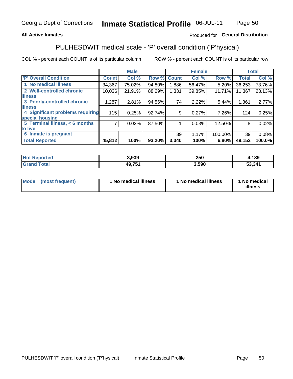## **All Active Inmates**

## Produced for General Distribution

# PULHESDWIT medical scale - 'P' overall condition ('P'hysical)

COL % - percent each COUNT is of its particular column

|                                  |                | <b>Male</b> |        |              | <b>Female</b> |         |              | <b>Total</b> |
|----------------------------------|----------------|-------------|--------|--------------|---------------|---------|--------------|--------------|
| <b>P' Overall Condition</b>      | <b>Count</b>   | Col %       | Row %  | <b>Count</b> | Col %         | Row %   | <b>Total</b> | Col %        |
| 1 No medical illness             | 34,367         | 75.02%      | 94.80% | 1,886        | 56.47%        | 5.20%   | 36,253       | 73.76%       |
| 2 Well-controlled chronic        | 10,036         | 21.91%      | 88.29% | 1,331        | 39.85%        | 11.71%  | 11,367       | 23.13%       |
| <b>lillness</b>                  |                |             |        |              |               |         |              |              |
| 3 Poorly-controlled chronic      | 1,287          | 2.81%       | 94.56% | 74           | 2.22%         | 5.44%   | 1,361        | 2.77%        |
| <b>illness</b>                   |                |             |        |              |               |         |              |              |
| 4 Significant problems requiring | 115            | 0.25%       | 92.74% | 9            | 0.27%         | 7.26%   | 124          | 0.25%        |
| special housing                  |                |             |        |              |               |         |              |              |
| 5 Terminal illness, < 6 months   | $\overline{7}$ | 0.02%       | 87.50% |              | 0.03%         | 12.50%  | 8            | 0.02%        |
| to live                          |                |             |        |              |               |         |              |              |
| 6 Inmate is pregnant             |                |             |        | 39           | 1.17%         | 100.00% | 39           | 0.08%        |
| <b>Total Reported</b>            | 45,812         | 100%        | 93.20% | 3,340        | 100%          | 6.80%   | 49,152       | 100.0%       |

| ueo | 3.939        | <b>OEO</b><br>∠ບບ | 189    |
|-----|--------------|-------------------|--------|
|     | 10 7E1<br>ДO | .590              | 53,341 |

| Mode | (most frequent) | 1 No medical illness | 1 No medical illness | 1 No medical<br>illness |
|------|-----------------|----------------------|----------------------|-------------------------|
|------|-----------------|----------------------|----------------------|-------------------------|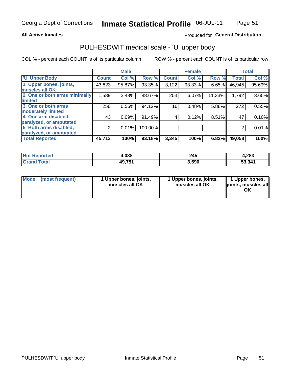### **All Active Inmates**

## Produced for General Distribution

# PULHESDWIT medical scale - 'U' upper body

COL % - percent each COUNT is of its particular column

|                              |                | <b>Male</b> |         |              | <b>Female</b> |        |              | <b>Total</b> |
|------------------------------|----------------|-------------|---------|--------------|---------------|--------|--------------|--------------|
| <b>U' Upper Body</b>         | <b>Count</b>   | Col %       | Row %   | <b>Count</b> | Col %         | Row %  | <b>Total</b> | Col %        |
| 1 Upper bones, joints,       | 43,823         | 95.87%      | 93.35%  | 3,122        | 93.33%        | 6.65%  | 46,945       | 95.69%       |
| muscles all OK               |                |             |         |              |               |        |              |              |
| 2 One or both arms minimally | 1,589          | 3.48%       | 88.67%  | 203          | 6.07%         | 11.33% | 1,792        | 3.65%        |
| limited                      |                |             |         |              |               |        |              |              |
| 3 One or both arms           | 256            | 0.56%       | 94.12%  | 16           | 0.48%         | 5.88%  | 272          | 0.55%        |
| <b>moderately limited</b>    |                |             |         |              |               |        |              |              |
| 4 One arm disabled,          | 43             | 0.09%       | 91.49%  | 4            | 0.12%         | 8.51%  | 47           | 0.10%        |
| paralyzed, or amputated      |                |             |         |              |               |        |              |              |
| 5 Both arms disabled,        | $\overline{2}$ | 0.01%       | 100.00% |              |               |        | 2            | 0.01%        |
| paralyzed, or amputated      |                |             |         |              |               |        |              |              |
| <b>Total Reported</b>        | 45,713         | 100%        | 93.18%  | 3,345        | 100%          | 6.82%  | 49,058       | 100%         |

| <b>Not Reported</b>          | 4,038  | 245   | 4,283  |
|------------------------------|--------|-------|--------|
| <b>Total</b><br><b>Grand</b> | 49,751 | 3,590 | 53,341 |

| Mode<br>(most frequent) | 1 Upper bones, joints,<br>muscles all OK | 1 Upper bones, joints,<br>muscles all OK | 1 Upper bones,<br>joints, muscles all<br>ΟK |
|-------------------------|------------------------------------------|------------------------------------------|---------------------------------------------|
|-------------------------|------------------------------------------|------------------------------------------|---------------------------------------------|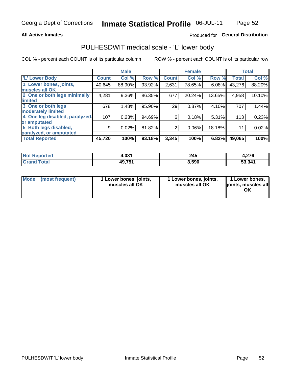### **All Active Inmates**

## Produced for General Distribution

# PULHESDWIT medical scale - 'L' lower body

COL % - percent each COUNT is of its particular column

|                                |              | <b>Male</b> |        |              | <b>Female</b> |        |              | <b>Total</b> |
|--------------------------------|--------------|-------------|--------|--------------|---------------|--------|--------------|--------------|
| 'L' Lower Body                 | <b>Count</b> | Col %       | Row %  | <b>Count</b> | Col %         | Row %  | <b>Total</b> | Col %        |
| 1 Lower bones, joints,         | 40,645       | 88.90%      | 93.92% | 2,631        | 78.65%        | 6.08%  | 43,276       | 88.20%       |
| muscles all OK                 |              |             |        |              |               |        |              |              |
| 2 One or both legs minimally   | 4,281        | 9.36%       | 86.35% | 677          | 20.24%        | 13.65% | 4,958        | 10.10%       |
| limited                        |              |             |        |              |               |        |              |              |
| 3 One or both legs             | 678          | 1.48%       | 95.90% | 29           | 0.87%         | 4.10%  | 707          | 1.44%        |
| moderately limited             |              |             |        |              |               |        |              |              |
| 4 One leg disabled, paralyzed, | 107          | 0.23%       | 94.69% | 6            | 0.18%         | 5.31%  | 113          | 0.23%        |
| or amputated                   |              |             |        |              |               |        |              |              |
| 5 Both legs disabled,          | 9            | 0.02%       | 81.82% | 2            | 0.06%         | 18.18% | 11           | 0.02%        |
| paralyzed, or amputated        |              |             |        |              |               |        |              |              |
| <b>Total Reported</b>          | 45,720       | 100%        | 93.18% | 3,345        | 100%          | 6.82%  | 49,065       | 100%         |

| <b>Not Reported</b>    | 4,031  | 245   | 4,276  |
|------------------------|--------|-------|--------|
| <b>Total</b><br>'Grano | 49,751 | 3,590 | 53,341 |

| Mode | (most frequent) | 1 Lower bones, joints,<br>muscles all OK | 1 Lower bones, joints,<br>muscles all OK | 1 Lower bones,<br>joints, muscles all<br>ΟK |
|------|-----------------|------------------------------------------|------------------------------------------|---------------------------------------------|
|------|-----------------|------------------------------------------|------------------------------------------|---------------------------------------------|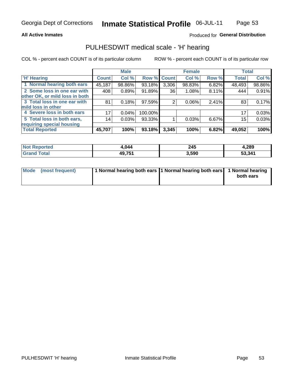### **All Active Inmates**

## Produced for General Distribution

# PULHESDWIT medical scale - 'H' hearing

COL % - percent each COUNT is of its particular column

|                                |              | <b>Male</b> |         |             | <b>Female</b> |       | <b>Total</b> |        |
|--------------------------------|--------------|-------------|---------|-------------|---------------|-------|--------------|--------|
| <b>H' Hearing</b>              | <b>Count</b> | Col %       |         | Row % Count | Col %         | Row % | <b>Total</b> | Col %  |
| 1 Normal hearing both ears     | 45,187       | 98.86%      | 93.18%  | 3,306       | 98.83%        | 6.82% | 48,493       | 98.86% |
| 2 Some loss in one ear with    | 408          | 0.89%       | 91.89%  | 36          | 1.08%         | 8.11% | 444          | 0.91%  |
| other OK, or mild loss in both |              |             |         |             |               |       |              |        |
| 3 Total loss in one ear with   | 81           | 0.18%       | 97.59%  | 2           | $0.06\%$      | 2.41% | 83           | 0.17%  |
| mild loss in other             |              |             |         |             |               |       |              |        |
| 4 Severe loss in both ears     | 17           | 0.04%       | 100.00% |             |               |       | 17           | 0.03%  |
| 5 Total loss in both ears,     | 14           | 0.03%       | 93.33%  |             | 0.03%         | 6.67% | 15           | 0.03%  |
| requiring special housing      |              |             |         |             |               |       |              |        |
| <b>Total Reported</b>          | 45,707       | 100%        | 93.18%  | 3,345       | 100%          | 6.82% | 49,052       | 100%   |

| <b>Not Reported</b> | .<br>)44          | 245   | 4,289  |
|---------------------|-------------------|-------|--------|
| Total               | <b>49754</b><br>. | 3,590 | 53,341 |

| Mode (most frequent) | 1 Normal hearing both ears 1 Normal hearing both ears 1 Normal hearing | both ears |
|----------------------|------------------------------------------------------------------------|-----------|
|                      |                                                                        |           |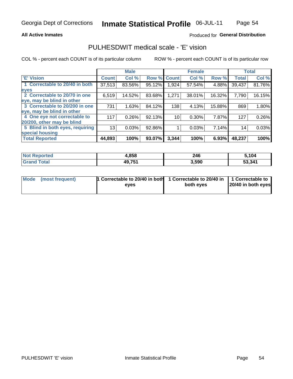### **All Active Inmates**

## Produced for General Distribution

## PULHESDWIT medical scale - 'E' vision

COL % - percent each COUNT is of its particular column

|                                 |              | <b>Male</b> |        |              | <b>Female</b> |        |              | <b>Total</b> |
|---------------------------------|--------------|-------------|--------|--------------|---------------|--------|--------------|--------------|
| <b>E' Vision</b>                | <b>Count</b> | Col %       | Row %  | <b>Count</b> | Col %         | Row %  | <b>Total</b> | Col %        |
| 1 Correctable to 20/40 in both  | 37,513       | 83.56%      | 95.12% | 1,924        | 57.54%        | 4.88%  | 39,437       | 81.76%       |
| eyes                            |              |             |        |              |               |        |              |              |
| 2 Correctable to 20/70 in one   | 6,519        | 14.52%      | 83.68% | 1,271        | 38.01%        | 16.32% | 7,790        | 16.15%       |
| eye, may be blind in other      |              |             |        |              |               |        |              |              |
| 3 Correctable to 20/200 in one  | 731          | 1.63%       | 84.12% | 138          | 4.13%         | 15.88% | 869          | 1.80%        |
| eye, may be blind in other      |              |             |        |              |               |        |              |              |
| 4 One eye not correctable to    | 117          | 0.26%       | 92.13% | 10           | 0.30%         | 7.87%  | 127          | 0.26%        |
| 20/200, other may be blind      |              |             |        |              |               |        |              |              |
| 5 Blind in both eyes, requiring | 13           | 0.03%       | 92.86% |              | 0.03%         | 7.14%  | 14           | 0.03%        |
| special housing                 |              |             |        |              |               |        |              |              |
| <b>Total Reported</b>           | 44,893       | 100%        | 93.07% | 3,344        | 100%          | 6.93%  | 48,237       | 100%         |

| <b>Not Reported</b> | 4,858  | 246   | 5,104  |
|---------------------|--------|-------|--------|
| <b>Total</b>        | 49,751 | 3,590 | 53,341 |

| Mode (most frequent) | 1 Correctable to 20/40 in both<br>eves | 1 Correctable to 20/40 in   1 Correctable to  <br>both eves | 20/40 in both eyes |  |
|----------------------|----------------------------------------|-------------------------------------------------------------|--------------------|--|
|                      |                                        |                                                             |                    |  |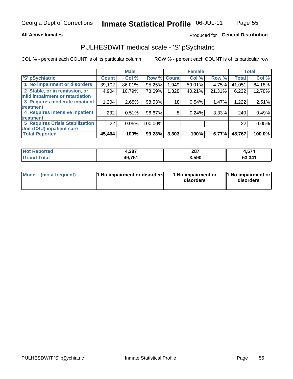### **All Active Inmates**

## Produced for General Distribution

# PULHESDWIT medical scale - 'S' pSychiatric

COL % - percent each COUNT is of its particular column

|                                        |              | <b>Male</b> |         |              | <b>Female</b> |        |              | <b>Total</b> |
|----------------------------------------|--------------|-------------|---------|--------------|---------------|--------|--------------|--------------|
| 'S' pSychiatric                        | <b>Count</b> | Col %       | Row %   | <b>Count</b> | Col %         | Row %  | <b>Total</b> | Col %        |
| 1 No impairment or disorders           | 39,102       | 86.01%      | 95.25%  | 949.         | 59.01%        | 4.75%  | 41,051       | 84.18%       |
| 2 Stable, or in remission, or          | 4,904        | 10.79%      | 78.69%  | 1,328        | 40.21%        | 21.31% | 6,232        | 12.78%       |
| mild impairment or retardation         |              |             |         |              |               |        |              |              |
| 3 Requires moderate inpatient          | 1,204        | 2.65%       | 98.53%  | 18           | 0.54%         | 1.47%  | 1,222        | 2.51%        |
| treatment                              |              |             |         |              |               |        |              |              |
| 4 Requires intensive inpatient         | 232          | 0.51%       | 96.67%  | 8            | 0.24%         | 3.33%  | 240          | 0.49%        |
| treatment                              |              |             |         |              |               |        |              |              |
| <b>5 Requires Crisis Stabilization</b> | 22           | 0.05%       | 100.00% |              |               |        | 22           | 0.05%        |
| Unit (CSU) inpatient care              |              |             |         |              |               |        |              |              |
| <b>Total Reported</b>                  | 45,464       | 100%        | 93.23%  | 3,303        | 100%          | 6.77%  | 48,767       | 100.0%       |

| <b>Not Reported</b>   | 4,287  | 287   | 4,574  |
|-----------------------|--------|-------|--------|
| <b>Total</b><br>Grand | 49,751 | 3,590 | 53,341 |

| Mode<br>1 No impairment or disorders<br>(most frequent) | 1 No impairment or<br>disorders | 1 No impairment or<br>disorders |
|---------------------------------------------------------|---------------------------------|---------------------------------|
|---------------------------------------------------------|---------------------------------|---------------------------------|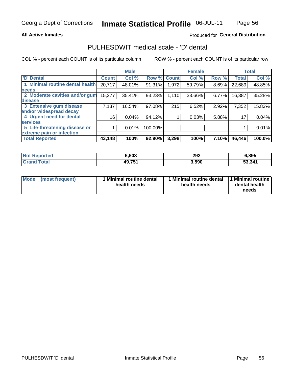### **All Active Inmates**

## Produced for General Distribution

# PULHESDWIT medical scale - 'D' dental

COL % - percent each COUNT is of its particular column

|                                 |                 | <b>Male</b> |         |              | <b>Female</b> |       |              | <b>Total</b> |
|---------------------------------|-----------------|-------------|---------|--------------|---------------|-------|--------------|--------------|
| <b>D'</b> Dental                | <b>Count</b>    | Col %       | Row %   | <b>Count</b> | Col %         | Row % | <b>Total</b> | Col %        |
| 1 Minimal routine dental health | 20,717          | 48.01%      | 91.31%  | 1.972        | 59.79%        | 8.69% | 22,689       | 48.85%       |
| <b>needs</b>                    |                 |             |         |              |               |       |              |              |
| 2 Moderate cavities and/or gum  | 15,277          | 35.41%      | 93.23%  | 1,110        | 33.66%        | 6.77% | 16,387       | 35.28%       |
| disease                         |                 |             |         |              |               |       |              |              |
| 3 Extensive gum disease         | 7,137           | 16.54%      | 97.08%  | 215          | 6.52%         | 2.92% | 7,352        | 15.83%       |
| and/or widespread decay         |                 |             |         |              |               |       |              |              |
| 4 Urgent need for dental        | 16 <sub>1</sub> | 0.04%       | 94.12%  |              | 0.03%         | 5.88% | 17           | 0.04%        |
| <b>services</b>                 |                 |             |         |              |               |       |              |              |
| 5 Life-threatening disease or   |                 | 0.01%       | 100.00% |              |               |       |              | 0.01%        |
| extreme pain or infection       |                 |             |         |              |               |       |              |              |
| <b>Total Reported</b>           | 43,148          | 100%        | 92.90%  | 3,298        | 100%          | 7.10% | 46,446       | 100.0%       |

| <b>Not Reported</b> | 6,603  | 292   | 6,895  |
|---------------------|--------|-------|--------|
| <b>Total</b>        | 49,751 | 3,590 | 53,341 |

| 1 Minimal routine dental<br>Mode<br>(most frequent)<br>health needs | 1 Minimal routine dental 1 Minimal routine<br>health needs | dental health<br>needs |
|---------------------------------------------------------------------|------------------------------------------------------------|------------------------|
|---------------------------------------------------------------------|------------------------------------------------------------|------------------------|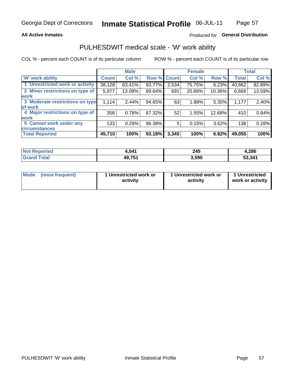### **All Active Inmates**

## Produced for General Distribution

# PULHESDWIT medical scale - 'W' work ability

COL % - percent each COUNT is of its particular column

|                                 |              | <b>Male</b> |        |              | <b>Female</b> |        |              | <b>Total</b> |
|---------------------------------|--------------|-------------|--------|--------------|---------------|--------|--------------|--------------|
| <b>W' work ability</b>          | <b>Count</b> | Col %       | Row %  | <b>Count</b> | Col %         | Row %  | <b>Total</b> | Col %        |
| 1 Unrestricted work or activity | 38,128       | 83.41%      | 93.77% | 2,534        | 75.75%        | 6.23%  | 40,662       | 82.89%       |
| 2 Minor restrictions on type of | 5,977        | 13.08%      | 89.64% | 691          | 20.66%        | 10.36% | 6,668        | 13.59%       |
| <b>work</b>                     |              |             |        |              |               |        |              |              |
| 3 Moderate restrictions on type | 1,114        | 2.44%       | 94.65% | 63           | 1.88%         | 5.35%  | 1,177        | 2.40%        |
| lof work                        |              |             |        |              |               |        |              |              |
| 4 Major restrictions on type of | 358          | 0.78%       | 87.32% | 52           | 1.55%         | 12.68% | 410          | 0.84%        |
| <b>work</b>                     |              |             |        |              |               |        |              |              |
| 5 Cannot work under any         | 133          | 0.29%       | 96.38% | 5            | 0.15%         | 3.62%  | 138          | 0.28%        |
| <b>circumstances</b>            |              |             |        |              |               |        |              |              |
| <b>Total Reported</b>           | 45,710       | 100%        | 93.18% | 3,345        | 100%          | 6.82%  | 49,055       | 100%         |

| <b>Not Reported</b>   | 4,041  | 245   | 4,286  |
|-----------------------|--------|-------|--------|
| Total<br><b>Grand</b> | 49,751 | 3,590 | 53,341 |

| Mode            | 1 Unrestricted work or | 1 Unrestricted work or | 1 Unrestricted   |
|-----------------|------------------------|------------------------|------------------|
| (most frequent) | activity               | activity               | work or activity |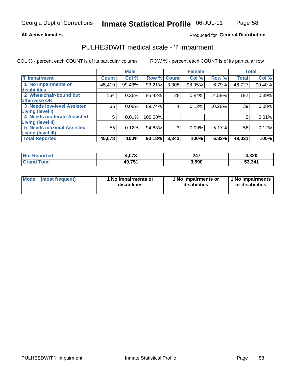### **All Active Inmates**

## Produced for General Distribution

# PULHESDWIT medical scale - 'I' impairment

COL % - percent each COUNT is of its particular column

|                                   |              | <b>Male</b> |         |             | <b>Female</b> |        |              | <b>Total</b> |
|-----------------------------------|--------------|-------------|---------|-------------|---------------|--------|--------------|--------------|
| 'l' Impairment                    | <b>Count</b> | Col %       |         | Row % Count | Col %         | Row %  | <b>Total</b> | Col %        |
| 1 No impairments or               | 45,419       | 99.43%      | 93.21%  | 3,308       | 98.95%        | 6.79%  | 48,727       | 99.40%       |
| disabilities                      |              |             |         |             |               |        |              |              |
| 2 Wheelchair-bound but            | 164          | $0.36\%$    | 85.42%  | 28          | 0.84%         | 14.58% | 192          | 0.39%        |
| otherwise OK                      |              |             |         |             |               |        |              |              |
| <b>3 Needs low-level Assisted</b> | 35           | 0.08%       | 89.74%  | 4           | 0.12%         | 10.26% | 39           | 0.08%        |
| Living (level I)                  |              |             |         |             |               |        |              |              |
| 4 Needs moderate Assisted         | 5            | 0.01%       | 100.00% |             |               |        | 5            | 0.01%        |
| Living (level II)                 |              |             |         |             |               |        |              |              |
| <b>5 Needs maximal Assisted</b>   | 55           | 0.12%       | 94.83%  | 3           | 0.09%         | 5.17%  | 58           | 0.12%        |
| <b>Living (level III)</b>         |              |             |         |             |               |        |              |              |
| <b>Total Reported</b>             | 45,678       | 100%        | 93.18%  | 3,343       | 100%          | 6.82%  | 49,021       | 100%         |

| <b>Not</b>           | 070     | 247   | 4,320  |
|----------------------|---------|-------|--------|
| Reported             | 7.U I J |       |        |
| <b>Total</b><br>Grai | 49,751  | 3,590 | 53,341 |

| Mode | (most frequent) | 1 No impairments or<br>disabilities | 1 No impairments or<br>disabilities | 1 No impairments<br>or disabilities |
|------|-----------------|-------------------------------------|-------------------------------------|-------------------------------------|
|------|-----------------|-------------------------------------|-------------------------------------|-------------------------------------|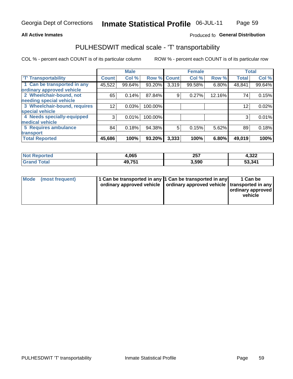### **All Active Inmates**

## Produced fo General Distribution

# PULHESDWIT medical scale - 'T' transportability

COL % - percent each COUNT is of its particular column

|                              |                    | <b>Male</b> |         |              | <b>Female</b> |        |              | <b>Total</b> |
|------------------------------|--------------------|-------------|---------|--------------|---------------|--------|--------------|--------------|
| <b>T' Transportability</b>   | Count <sup>!</sup> | Col %       | Row %   | <b>Count</b> | Col %         | Row %  | <b>Total</b> | Col %        |
| 1 Can be transported in any  | 45,522             | 99.64%      | 93.20%  | 3,319        | 99.58%        | 6.80%  | 48,841       | 99.64%       |
| ordinary approved vehicle    |                    |             |         |              |               |        |              |              |
| 2 Wheelchair-bound, not      | 65                 | 0.14%       | 87.84%  | 9            | 0.27%         | 12.16% | 74           | 0.15%        |
| needing special vehicle      |                    |             |         |              |               |        |              |              |
| 3 Wheelchair-bound, requires | 12                 | 0.03%       | 100.00% |              |               |        | 12           | 0.02%        |
| special vehicle              |                    |             |         |              |               |        |              |              |
| 4 Needs specially-equipped   | 3                  | 0.01%       | 100.00% |              |               |        |              | 0.01%        |
| medical vehicle              |                    |             |         |              |               |        |              |              |
| <b>5 Requires ambulance</b>  | 84                 | 0.18%       | 94.38%  | 5            | 0.15%         | 5.62%  | 89           | 0.18%        |
| transport                    |                    |             |         |              |               |        |              |              |
| <b>Total Reported</b>        | 45,686             | 100%        | 93.20%  | 3,333        | 100%          | 6.80%  | 49,019       | 100%         |

| orted | Ⅰ,065         | クロフ<br>29 I | רמי ו<br>4,JZZ |
|-------|---------------|-------------|----------------|
|       | <b>AQ 751</b> | 3.590       | 53,341         |

|  | Mode (most frequent) | 1 Can be transported in any 1 Can be transported in any<br>ordinary approved vehicle   ordinary approved vehicle   transported in any |  | 1 Can be<br>  ordinary approved  <br>vehicle |
|--|----------------------|---------------------------------------------------------------------------------------------------------------------------------------|--|----------------------------------------------|
|--|----------------------|---------------------------------------------------------------------------------------------------------------------------------------|--|----------------------------------------------|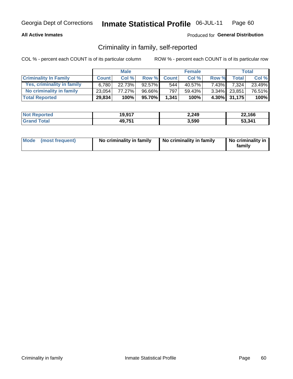### **All Active Inmates**

## Produced for General Distribution

## Criminality in family, self-reported

COL % - percent each COUNT is of its particular column

|                              | <b>Male</b>  |        | <b>Female</b> |              |        | Total    |              |        |
|------------------------------|--------------|--------|---------------|--------------|--------|----------|--------------|--------|
| <b>Criminality In Family</b> | <b>Count</b> | Col%   | Row %         | <b>Count</b> | Col %  | Row %    | <b>Total</b> | Col %  |
| Yes, criminality in family   | 6.780        | 22.73% | 92.57%        | 544          | 40.57% | $7.43\%$ | 7.324        | 23.49% |
| No criminality in family     | 23,054       | 77.27% | 96.66%        | 797          | 59.43% |          | 3.34% 23,851 | 76.51% |
| <b>Total Reported</b>        | 29,834       | 100%   | 95.70%        | 1,341        | 100%   |          | 4.30% 31,175 | 100%   |

| <b>Not Reported</b> | 19,917 | 2,249 | 22,166 |
|---------------------|--------|-------|--------|
| Tota                | 49,751 | 3,590 | 53,341 |

|  | Mode (most frequent) | No criminality in family | No criminality in family | No criminality in<br>family |
|--|----------------------|--------------------------|--------------------------|-----------------------------|
|--|----------------------|--------------------------|--------------------------|-----------------------------|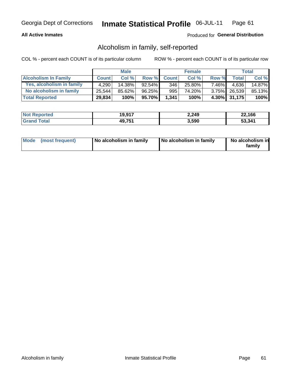## **All Active Inmates**

## Produced for General Distribution

## Alcoholism in family, self-reported

COL % - percent each COUNT is of its particular column

|                             | <b>Male</b>  |        | <b>Female</b> |              |        | Total    |              |         |
|-----------------------------|--------------|--------|---------------|--------------|--------|----------|--------------|---------|
| <b>Alcoholism In Family</b> | <b>Count</b> | Col %  | <b>Row %</b>  | <b>Count</b> | Col %  | Row %    | <b>Total</b> | Col %   |
| Yes, alcoholism in family   | 4,290        | 14.38% | $92.54\%$     | 346          | 25.80% | $7.46\%$ | 4.636        | 14.87%  |
| No alcoholism in family     | 25.544       | 85.62% | $96.25\%$     | 995          | 74.20% |          | 3.75% 26,539 | 85.13%  |
| <b>Total Reported</b>       | 29,834       | 100%   | 95.70%        | 1,341        | 100%   |          | 4.30% 31,175 | $100\%$ |

| <b>Not Reported</b> | 19,917 | 2,249 | 22,166 |
|---------------------|--------|-------|--------|
| <b>Tota</b>         | 49,751 | 3,590 | 53.341 |

|  | Mode (most frequent) | No alcoholism in family | No alcoholism in family | No alcoholism in<br>family |
|--|----------------------|-------------------------|-------------------------|----------------------------|
|--|----------------------|-------------------------|-------------------------|----------------------------|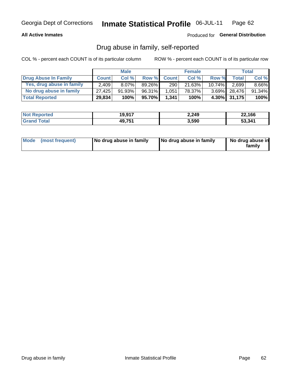## **All Active Inmates**

### Produced for General Distribution

## Drug abuse in family, self-reported

COL % - percent each COUNT is of its particular column

|                           | <b>Male</b>  |           | <b>Female</b> |              |        | Total     |              |          |
|---------------------------|--------------|-----------|---------------|--------------|--------|-----------|--------------|----------|
| Drug Abuse In Family      | <b>Count</b> | Col%      | Row %         | <b>Count</b> | Col %  | Row %     | Total        | Col %    |
| Yes, drug abuse in family | 2.409        | $8.07\%$  | $89.26\%$     | 290          | 21.63% | $10.74\%$ | 2,699        | $8.66\%$ |
| No drug abuse in family   | 27.425       | $91.93\%$ | 96.31%        | 1,051        | 78.37% |           | 3.69% 28,476 | 91.34%   |
| <b>Total Reported</b>     | 29,834       | 100%      | 95.70%        | 1,341        | 100%   |           | 4.30% 31,175 | $100\%$  |

| <b>Not Reported</b> | 19,917 | 2,249 | 22,166 |
|---------------------|--------|-------|--------|
| <b>Tota</b>         | 49,751 | 3,590 | 53,341 |

|  | Mode (most frequent) | No drug abuse in family | No drug abuse in family | No drug abuse in<br>familv |
|--|----------------------|-------------------------|-------------------------|----------------------------|
|--|----------------------|-------------------------|-------------------------|----------------------------|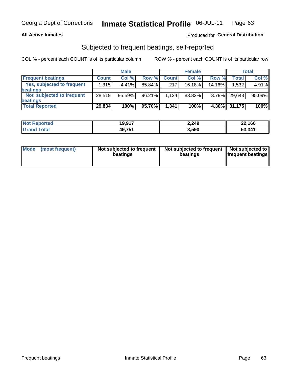### **All Active Inmates**

## Produced for General Distribution

## Subjected to frequent beatings, self-reported

COL % - percent each COUNT is of its particular column

|                            | <b>Male</b>  |        | <b>Female</b> |              |           | Total    |              |        |
|----------------------------|--------------|--------|---------------|--------------|-----------|----------|--------------|--------|
| <b>Frequent beatings</b>   | <b>Count</b> | Col %  | Row %         | <b>Count</b> | Col %     | Row %    | <b>Total</b> | Col %  |
| Yes, subjected to frequent | 1,315        | 4.41%  | 85.84%        | 217          | $16.18\%$ | 14.16%   | 1,532        | 4.91%  |
| beatings                   |              |        |               |              |           |          |              |        |
| Not subjected to frequent  | 28,519       | 95.59% | $96.21\%$     | 1.124        | 83.82%    | $3.79\%$ | 29.643       | 95.09% |
| beatings                   |              |        |               |              |           |          |              |        |
| <b>Total Reported</b>      | 29,834       | 100%   | 95.70%        | 1,341        | 100%      | $4.30\%$ | 31,175       | 100%   |

| <b>Not Reported</b> | 19,917 | 2,249 | 22,166 |
|---------------------|--------|-------|--------|
| <b>Grand Total</b>  | 49,751 | 3,590 | 53,341 |

| Mode (most frequent) | Not subjected to frequent<br>beatings | Not subjected to frequent<br>beatings | Not subjected to<br><b>frequent beatings</b> |
|----------------------|---------------------------------------|---------------------------------------|----------------------------------------------|
|                      |                                       |                                       |                                              |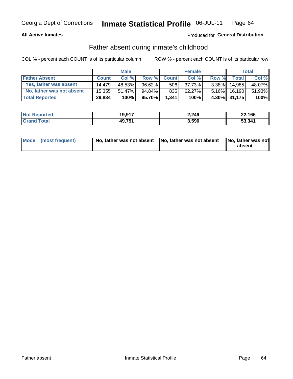### **All Active Inmates**

## Produced for General Distribution

## Father absent during inmate's childhood

COL % - percent each COUNT is of its particular column

|                           | <b>Male</b>  |        | <b>Female</b> |              |        | Total    |              |        |
|---------------------------|--------------|--------|---------------|--------------|--------|----------|--------------|--------|
| <b>Father Absent</b>      | <b>Count</b> | Col%   | Row %         | <b>Count</b> | Col %  | Row %    | <b>Total</b> | Col %  |
| Yes, father was absent    | 14.479       | 48.53% | 96.62%        | 506          | 37.73% | $3.38\%$ | 14,985       | 48.07% |
| No, father was not absent | 15.355       | 51.47% | 94.84%        | 835          | 62.27% | $5.16\%$ | 16.190       | 51.93% |
| <b>Total Reported</b>     | 29,834       | 100%   | 95.70%        | 1,341        | 100%   |          | 4.30% 31,175 | 100%   |

| <b>Not Reported</b> | 19,917 | 2,249 | 22,166 |
|---------------------|--------|-------|--------|
| <b>Srand Total</b>  | 49,751 | 3,590 | 53,341 |

|  | Mode (most frequent) | No, father was not absent No, father was not absent |  | No, father was not<br>absent |
|--|----------------------|-----------------------------------------------------|--|------------------------------|
|--|----------------------|-----------------------------------------------------|--|------------------------------|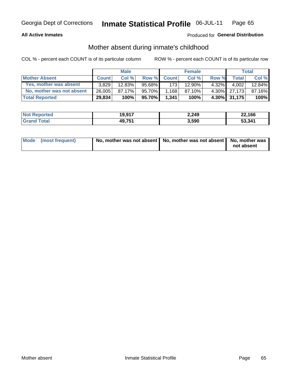## **All Active Inmates**

## Produced for General Distribution

## Mother absent during inmate's childhood

COL % - percent each COUNT is of its particular column

|                           | <b>Male</b>  |        |        | <b>Female</b>    |        |       | <b>Total</b> |        |
|---------------------------|--------------|--------|--------|------------------|--------|-------|--------------|--------|
| <b>Mother Absent</b>      | <b>Count</b> | Col%   | Row %  | <b>Count</b>     | Col %  | Row % | <b>Total</b> | Col %  |
| Yes, mother was absent    | 3.829        | 12.83% | 95.68% | 173 <sup>1</sup> | 12.90% | 4.32% | 4,002        | 12.84% |
| No, mother was not absent | 26,005       | 87.17% | 95.70% | 1,168            | 87.10% |       | 4.30% 27,173 | 87.16% |
| <b>Total Reported</b>     | 29,834       | 100%   | 95.70% | 1,341            | 100%   |       | 4.30% 31,175 | 100%   |

| <b>Not Reported</b> | 19,917 | 2,249 | 22,166 |
|---------------------|--------|-------|--------|
| <b>Tota</b>         | 49,751 | 3,590 | 53.341 |

| Mode (most frequent) | No, mother was not absent   No, mother was not absent   No, mother was | not absent |
|----------------------|------------------------------------------------------------------------|------------|
|                      |                                                                        |            |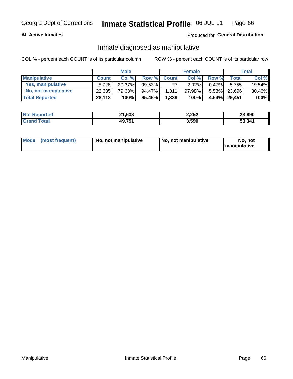## **All Active Inmates**

## Produced for General Distribution

## Inmate diagnosed as manipulative

COL % - percent each COUNT is of its particular column

|                          | <b>Male</b>  |           |        | <b>Female</b> |        |          | Total        |        |
|--------------------------|--------------|-----------|--------|---------------|--------|----------|--------------|--------|
| <b>Manipulative</b>      | <b>Count</b> | Col %     | Row %  | <b>Count</b>  | Col%   | Row %    | <b>Total</b> | Col %  |
| <b>Yes, manipulative</b> | 5.728        | $20.37\%$ | 99.53% | 27            | 2.02%  | $0.47\%$ | 5.755        | 19.54% |
| No, not manipulative     | 22,385       | 79.63%    | 94.47% | 1.311         | 97.98% |          | 5.53% 23,696 | 80.46% |
| <b>Total Reported</b>    | 28,113       | 100%      | 95.46% | 1,338         | 100%   |          | 4.54% 29.451 | 100%   |

| <b>Not</b><br>Reported | $-1,638$ | 2,252 | 23,890 |
|------------------------|----------|-------|--------|
| n <sub>tan</sub>       | 49,751   | 3,590 | 53.341 |

| Mode | (most frequent) | No, not manipulative | No, not manipulative | No. not<br><b>I</b> manipulative |
|------|-----------------|----------------------|----------------------|----------------------------------|
|------|-----------------|----------------------|----------------------|----------------------------------|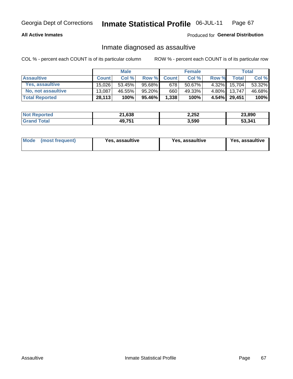## **All Active Inmates**

Produced for General Distribution

## Inmate diagnosed as assaultive

COL % - percent each COUNT is of its particular column

|                       | <b>Male</b>  |        | <b>Female</b> |              |        | Total    |              |        |
|-----------------------|--------------|--------|---------------|--------------|--------|----------|--------------|--------|
| <b>Assaultive</b>     | <b>Count</b> | Col%   | Row %         | <b>Count</b> | Col %  | Row %    | <b>Total</b> | Col %  |
| Yes, assaultive       | 15.026       | 53.45% | 95.68%        | 678          | 50.67% | $4.32\%$ | 15,704       | 53.32% |
| No, not assaultive    | 13.087       | 46.55% | 95.20%        | 660          | 49.33% | $4.80\%$ | 13.747       | 46.68% |
| <b>Total Reported</b> | 28,113       | 100%   | 95.46%        | 1,338        | 100%   |          | 4.54% 29,451 | 100%   |

| <b>Not</b><br>Reported | $-1,638$ | 2,252 | 23.890 |
|------------------------|----------|-------|--------|
| `ota                   | 49,751   | 3,590 | 53.341 |

| Mode (most frequent)<br>Yes, assaultive | Yes, assaultive | <b>Yes, assaultive</b> |
|-----------------------------------------|-----------------|------------------------|
|-----------------------------------------|-----------------|------------------------|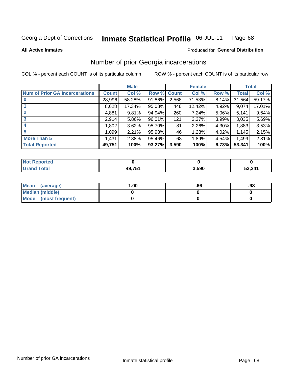#### Inmate Statistical Profile 06-JUL-11 Page 68

### **All Active Inmates**

## Produced for General Distribution

# Number of prior Georgia incarcerations

COL % - percent each COUNT is of its particular column

|                                       |              | <b>Male</b> |             |       | <b>Female</b> |       |        | <b>Total</b> |  |
|---------------------------------------|--------------|-------------|-------------|-------|---------------|-------|--------|--------------|--|
| <b>Num of Prior GA Incarcerations</b> | <b>Count</b> | Col %       | Row % Count |       | Col %         | Row % | Total  | Col %        |  |
| $\bf{0}$                              | 28,996       | 58.28%      | 91.86%      | 2,568 | 71.53%        | 8.14% | 31,564 | 59.17%       |  |
|                                       | 8,628        | 17.34%      | 95.08%      | 446   | 12.42%        | 4.92% | 9,074  | 17.01%       |  |
|                                       | 4,881        | 9.81%       | 94.94%      | 260   | 7.24%         | 5.06% | 5,141  | 9.64%        |  |
| 3                                     | 2,914        | 5.86%       | 96.01%      | 121   | 3.37%         | 3.99% | 3,035  | 5.69%        |  |
| 4                                     | 1,802        | 3.62%       | 95.70%      | 81    | 2.26%         | 4.30% | 1,883  | 3.53%        |  |
| 5                                     | 1,099        | 2.21%       | 95.98%      | 46    | 1.28%         | 4.02% | 1.145  | 2.15%        |  |
| <b>More Than 5</b>                    | 1,431        | 2.88%       | 95.46%      | 68    | 1.89%         | 4.54% | 1,499  | 2.81%        |  |
| <b>Total Reported</b>                 | 49,751       | 100%        | 93.27%      | 3,590 | 100%          | 6.73% | 53,341 | 100%         |  |

| orted<br>NO.      |               |       |        |
|-------------------|---------------|-------|--------|
| <b>otal</b><br>Gr | <b>AQ 754</b> | 3,590 | 53,341 |

| Mean (average)       | .00 | .00 | .98 |
|----------------------|-----|-----|-----|
| Median (middle)      |     |     |     |
| Mode (most frequent) |     |     |     |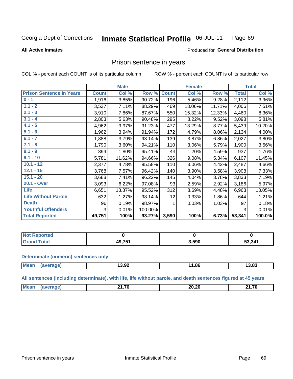#### Inmate Statistical Profile 06-JUL-11 Page 69

**All Active Inmates** 

### Produced for General Distribution

## Prison sentence in years

COL % - percent each COUNT is of its particular column

ROW % - percent each COUNT is of its particular row

|                                 |              | <b>Male</b> |         |              | <b>Female</b> |        |              | <b>Total</b> |
|---------------------------------|--------------|-------------|---------|--------------|---------------|--------|--------------|--------------|
| <b>Prison Sentence In Years</b> | <b>Count</b> | Col %       | Row %   | <b>Count</b> | Col %         | Row %  | <b>Total</b> | Col %        |
| $0 - 1$                         | 1,916        | 3.85%       | 90.72%  | 196          | 5.46%         | 9.28%  | 2,112        | 3.96%        |
| $1.1 - 2$                       | 3,537        | 7.11%       | 88.29%  | 469          | 13.06%        | 11.71% | 4,006        | 7.51%        |
| $2.1 - 3$                       | 3,910        | 7.86%       | 87.67%  | 550          | 15.32%        | 12.33% | 4,460        | 8.36%        |
| $3.1 - 4$                       | 2,803        | 5.63%       | 90.48%  | 295          | 8.22%         | 9.52%  | 3,098        | 5.81%        |
| $4.1 - 5$                       | 4,962        | 9.97%       | 91.23%  | 477          | 13.29%        | 8.77%  | 5,439        | 10.20%       |
| $5.1 - 6$                       | 1,962        | 3.94%       | 91.94%  | 172          | 4.79%         | 8.06%  | 2,134        | 4.00%        |
| $6.1 - 7$                       | 1,888        | 3.79%       | 93.14%  | 139          | 3.87%         | 6.86%  | 2,027        | 3.80%        |
| $7.1 - 8$                       | 1,790        | 3.60%       | 94.21%  | 110          | 3.06%         | 5.79%  | 1,900        | 3.56%        |
| $8.1 - 9$                       | 894          | 1.80%       | 95.41%  | 43           | 1.20%         | 4.59%  | 937          | 1.76%        |
| $9.1 - 10$                      | 5,781        | 11.62%      | 94.66%  | 326          | 9.08%         | 5.34%  | 6,107        | 11.45%       |
| $10.1 - 12$                     | 2,377        | 4.78%       | 95.58%  | 110          | 3.06%         | 4.42%  | 2,487        | 4.66%        |
| $12.1 - 15$                     | 3,768        | 7.57%       | 96.42%  | 140          | 3.90%         | 3.58%  | 3,908        | 7.33%        |
| $15.1 - 20$                     | 3,688        | 7.41%       | 96.22%  | 145          | 4.04%         | 3.78%  | 3,833        | 7.19%        |
| 20.1 - Over                     | 3,093        | 6.22%       | 97.08%  | 93           | 2.59%         | 2.92%  | 3,186        | 5.97%        |
| <b>Life</b>                     | 6,651        | 13.37%      | 95.52%  | 312          | 8.69%         | 4.48%  | 6,963        | 13.05%       |
| <b>Life Without Parole</b>      | 632          | 1.27%       | 98.14%  | 12           | 0.33%         | 1.86%  | 644          | 1.21%        |
| <b>Death</b>                    | 96           | 0.19%       | 98.97%  |              | 0.03%         | 1.03%  | 97           | 0.18%        |
| <b>Youthful Offenders</b>       | 3            | 0.01%       | 100.00% |              |               |        | 3            | 0.01%        |
| <b>Total Reported</b>           | 49,751       | 100%        | 93.27%  | 3,590        | 100%          | 6.73%  | 53,341       | 100.0%       |

| I NOT<br><b>PROOFTEQ</b> |   |       |        |
|--------------------------|---|-------|--------|
|                          | . | 3,590 | 53,341 |

#### **Determinate (numeric) sentences only**

| <b>Mean</b> | ממו | הה הו<br>13.94 | 1.86<br>. . | 3.83 |
|-------------|-----|----------------|-------------|------|
|             |     |                |             |      |

All sentences (including determinate), with life, life without parole, and death sentences figured at 45 years

| M | $\rightarrow$<br>. .<br>______ | <br>20.ZV<br>____ | <b>04.70</b> |
|---|--------------------------------|-------------------|--------------|
|   |                                |                   |              |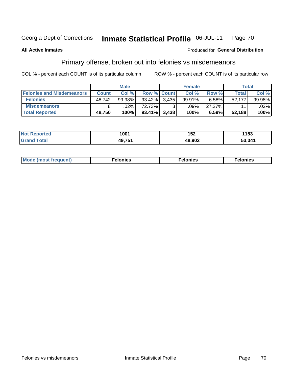#### Inmate Statistical Profile 06-JUL-11 Page 70

### **All Active Inmates**

### Produced for General Distribution

# Primary offense, broken out into felonies vs misdemeanors

COL % - percent each COUNT is of its particular column

|                                  |              | <b>Male</b> |                 |             | <b>Female</b> |        | Total  |         |
|----------------------------------|--------------|-------------|-----------------|-------------|---------------|--------|--------|---------|
| <b>Felonies and Misdemeanors</b> | <b>Count</b> | Col%        |                 | Row % Count | Col%          | Row %  | Total  | Col %   |
| <b>Felonies</b>                  | 48,742       | 99.98%      | 93.42% 3.435    |             | 99.91%        | 6.58%  | 52,177 | 99.98%  |
| <b>Misdemeanors</b>              |              | .02%        | 72.73%          | C.          | .09%          | 27.27% | 11     | $.02\%$ |
| <b>Total Reported</b>            | 48,750       | 100%        | $93.41\%$ 3.438 |             | 100%          | 6.59%  | 52,188 | 100%    |

| <b>Not</b><br>rted<br>.      | 1001               | 4 F A<br>IJL. | 1153   |
|------------------------------|--------------------|---------------|--------|
| <b>'Grano</b><br><b>otal</b> | 49 75 <sup>-</sup> | רחה פו        | 53,341 |

| Mo | ____ | 11 C.S<br>. | onies<br>. |
|----|------|-------------|------------|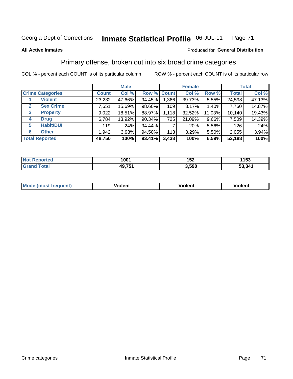#### Inmate Statistical Profile 06-JUL-11 Page 71

### **All Active Inmates**

### Produced for General Distribution

## Primary offense, broken out into six broad crime categories

COL % - percent each COUNT is of its particular column

|                         |              | <b>Male</b> |           |             | <b>Female</b> |        |              | <b>Total</b> |
|-------------------------|--------------|-------------|-----------|-------------|---------------|--------|--------------|--------------|
| <b>Crime Categories</b> | <b>Count</b> | Col %       |           | Row % Count | Col %         | Row %  | <b>Total</b> | Col %        |
| <b>Violent</b>          | 23,232       | 47.66%      | 94.45%    | 1,366       | 39.73%        | 5.55%  | 24,598       | 47.13%       |
| <b>Sex Crime</b><br>2   | 7,651        | 15.69%      | 98.60%    | 109         | 3.17%         | 1.40%  | 7,760        | 14.87%       |
| <b>Property</b><br>3    | 9,022        | 18.51%      | 88.97%    | 1,118       | 32.52%        | 11.03% | 10,140       | 19.43%       |
| <b>Drug</b><br>4        | 6,784        | 13.92%      | 90.34%    | 725         | 21.09%        | 9.66%  | 7,509        | 14.39%       |
| <b>Habit/DUI</b><br>5   | 119          | .24%        | 94.44%    |             | .20%          | 5.56%  | 126          | .24%         |
| <b>Other</b><br>6       | 1,942        | 3.98%       | $94.50\%$ | 113         | 3.29%         | 5.50%  | 2,055        | 3.94%        |
| <b>Total Reported</b>   | 48,750       | 100%        | 93.41%    | 3,438       | 100%          | 6.59%  | 52,188       | 100%         |

| rtea           | 1001         | . רמ  | 4 E 9  |
|----------------|--------------|-------|--------|
| NO             |              | 4 J L | 153    |
| $\sim$<br>. Gr | 754<br>49,75 | 3.590 | 53,341 |

| Mo<br>quent. | .<br>olent | /iolent<br>____ | - --<br><b>Tolent</b><br>-------- |
|--------------|------------|-----------------|-----------------------------------|
|              |            |                 |                                   |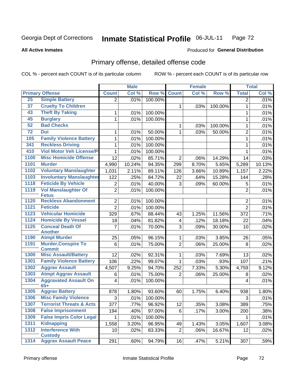#### Inmate Statistical Profile 06-JUL-11 Page 72

### **All Active Inmates**

### **Produced for General Distribution**

## Primary offense, detailed offense code

COL % - percent each COUNT is of its particular column

|                                |                                                                                                                                                                                                                                                                                                                                                                                                                                                                                                                                                                                                                                                                                                                                                                                         | <b>Male</b>                                                                                                                                                                                                              |                                                                                                                                                               |                                                                                                                        | <b>Female</b>                                                                                                                                                          |                                                                                                  |                                                                                                              | <b>Total</b>                                                                                                                                                                     |
|--------------------------------|-----------------------------------------------------------------------------------------------------------------------------------------------------------------------------------------------------------------------------------------------------------------------------------------------------------------------------------------------------------------------------------------------------------------------------------------------------------------------------------------------------------------------------------------------------------------------------------------------------------------------------------------------------------------------------------------------------------------------------------------------------------------------------------------|--------------------------------------------------------------------------------------------------------------------------------------------------------------------------------------------------------------------------|---------------------------------------------------------------------------------------------------------------------------------------------------------------|------------------------------------------------------------------------------------------------------------------------|------------------------------------------------------------------------------------------------------------------------------------------------------------------------|--------------------------------------------------------------------------------------------------|--------------------------------------------------------------------------------------------------------------|----------------------------------------------------------------------------------------------------------------------------------------------------------------------------------|
| <b>Primary Offense</b>         | <b>Count</b>                                                                                                                                                                                                                                                                                                                                                                                                                                                                                                                                                                                                                                                                                                                                                                            | Col %                                                                                                                                                                                                                    |                                                                                                                                                               | <b>Count</b>                                                                                                           | Col %                                                                                                                                                                  | Row %                                                                                            | <b>Total</b>                                                                                                 | Col %                                                                                                                                                                            |
|                                | $\overline{2}$                                                                                                                                                                                                                                                                                                                                                                                                                                                                                                                                                                                                                                                                                                                                                                          | .01%                                                                                                                                                                                                                     | 100.00%                                                                                                                                                       |                                                                                                                        |                                                                                                                                                                        |                                                                                                  | $\overline{2}$                                                                                               | .01%                                                                                                                                                                             |
| <b>Cruelty To Children</b>     |                                                                                                                                                                                                                                                                                                                                                                                                                                                                                                                                                                                                                                                                                                                                                                                         |                                                                                                                                                                                                                          |                                                                                                                                                               | 1                                                                                                                      | .03%                                                                                                                                                                   | 100.00%                                                                                          | $\mathbf{1}$                                                                                                 | .01%                                                                                                                                                                             |
| <b>Theft By Taking</b>         | 1                                                                                                                                                                                                                                                                                                                                                                                                                                                                                                                                                                                                                                                                                                                                                                                       | .01%                                                                                                                                                                                                                     | 100.00%                                                                                                                                                       |                                                                                                                        |                                                                                                                                                                        |                                                                                                  | 1                                                                                                            | .01%                                                                                                                                                                             |
| <b>Burglary</b>                | 1                                                                                                                                                                                                                                                                                                                                                                                                                                                                                                                                                                                                                                                                                                                                                                                       | .01%                                                                                                                                                                                                                     | 100.00%                                                                                                                                                       |                                                                                                                        |                                                                                                                                                                        |                                                                                                  | 1                                                                                                            | .01%                                                                                                                                                                             |
| <b>Bad Checks</b>              |                                                                                                                                                                                                                                                                                                                                                                                                                                                                                                                                                                                                                                                                                                                                                                                         |                                                                                                                                                                                                                          |                                                                                                                                                               | 1                                                                                                                      | .03%                                                                                                                                                                   | 100.00%                                                                                          | $\mathbf{1}$                                                                                                 | .01%                                                                                                                                                                             |
| <b>Dui</b>                     | 1                                                                                                                                                                                                                                                                                                                                                                                                                                                                                                                                                                                                                                                                                                                                                                                       | .01%                                                                                                                                                                                                                     | 50.00%                                                                                                                                                        | 1                                                                                                                      | .03%                                                                                                                                                                   | 50.00%                                                                                           | $\overline{2}$                                                                                               | .01%                                                                                                                                                                             |
| <b>Family Violence Battery</b> | 1                                                                                                                                                                                                                                                                                                                                                                                                                                                                                                                                                                                                                                                                                                                                                                                       | .01%                                                                                                                                                                                                                     | 100.00%                                                                                                                                                       |                                                                                                                        |                                                                                                                                                                        |                                                                                                  | $\mathbf{1}$                                                                                                 | .01%                                                                                                                                                                             |
|                                | 1                                                                                                                                                                                                                                                                                                                                                                                                                                                                                                                                                                                                                                                                                                                                                                                       | .01%                                                                                                                                                                                                                     | 100.00%                                                                                                                                                       |                                                                                                                        |                                                                                                                                                                        |                                                                                                  | 1                                                                                                            | .01%                                                                                                                                                                             |
|                                | 1                                                                                                                                                                                                                                                                                                                                                                                                                                                                                                                                                                                                                                                                                                                                                                                       | .01%                                                                                                                                                                                                                     | 100.00%                                                                                                                                                       |                                                                                                                        |                                                                                                                                                                        |                                                                                                  | 1                                                                                                            | .01%                                                                                                                                                                             |
|                                | 12                                                                                                                                                                                                                                                                                                                                                                                                                                                                                                                                                                                                                                                                                                                                                                                      | .02%                                                                                                                                                                                                                     | 85.71%                                                                                                                                                        | $\overline{2}$                                                                                                         | .06%                                                                                                                                                                   | 14.29%                                                                                           | 14                                                                                                           | .03%                                                                                                                                                                             |
| <b>Murder</b>                  | 4,990                                                                                                                                                                                                                                                                                                                                                                                                                                                                                                                                                                                                                                                                                                                                                                                   | 10.24%                                                                                                                                                                                                                   | 94.35%                                                                                                                                                        | 299                                                                                                                    | 8.70%                                                                                                                                                                  | 5.65%                                                                                            | 5,289                                                                                                        | 10.13%                                                                                                                                                                           |
|                                | 1,031                                                                                                                                                                                                                                                                                                                                                                                                                                                                                                                                                                                                                                                                                                                                                                                   | 2.11%                                                                                                                                                                                                                    | 89.11%                                                                                                                                                        | 126                                                                                                                    | 3.66%                                                                                                                                                                  | 10.89%                                                                                           | 1,157                                                                                                        | 2.22%                                                                                                                                                                            |
|                                | 122                                                                                                                                                                                                                                                                                                                                                                                                                                                                                                                                                                                                                                                                                                                                                                                     | .25%                                                                                                                                                                                                                     | 84.72%                                                                                                                                                        | 22                                                                                                                     | .64%                                                                                                                                                                   | 15.28%                                                                                           | 144                                                                                                          | .28%                                                                                                                                                                             |
|                                | $\overline{2}$                                                                                                                                                                                                                                                                                                                                                                                                                                                                                                                                                                                                                                                                                                                                                                          | .01%                                                                                                                                                                                                                     | 40.00%                                                                                                                                                        | 3                                                                                                                      | .09%                                                                                                                                                                   | 60.00%                                                                                           | 5                                                                                                            | .01%                                                                                                                                                                             |
|                                |                                                                                                                                                                                                                                                                                                                                                                                                                                                                                                                                                                                                                                                                                                                                                                                         | .01%                                                                                                                                                                                                                     | 100.00%                                                                                                                                                       |                                                                                                                        |                                                                                                                                                                        |                                                                                                  |                                                                                                              | .01%                                                                                                                                                                             |
|                                |                                                                                                                                                                                                                                                                                                                                                                                                                                                                                                                                                                                                                                                                                                                                                                                         |                                                                                                                                                                                                                          |                                                                                                                                                               |                                                                                                                        |                                                                                                                                                                        |                                                                                                  |                                                                                                              |                                                                                                                                                                                  |
|                                |                                                                                                                                                                                                                                                                                                                                                                                                                                                                                                                                                                                                                                                                                                                                                                                         |                                                                                                                                                                                                                          |                                                                                                                                                               |                                                                                                                        |                                                                                                                                                                        |                                                                                                  |                                                                                                              | .01%                                                                                                                                                                             |
|                                |                                                                                                                                                                                                                                                                                                                                                                                                                                                                                                                                                                                                                                                                                                                                                                                         |                                                                                                                                                                                                                          |                                                                                                                                                               |                                                                                                                        |                                                                                                                                                                        |                                                                                                  |                                                                                                              | .01%                                                                                                                                                                             |
|                                |                                                                                                                                                                                                                                                                                                                                                                                                                                                                                                                                                                                                                                                                                                                                                                                         |                                                                                                                                                                                                                          |                                                                                                                                                               |                                                                                                                        |                                                                                                                                                                        |                                                                                                  |                                                                                                              | .71%                                                                                                                                                                             |
|                                |                                                                                                                                                                                                                                                                                                                                                                                                                                                                                                                                                                                                                                                                                                                                                                                         |                                                                                                                                                                                                                          |                                                                                                                                                               |                                                                                                                        |                                                                                                                                                                        |                                                                                                  |                                                                                                              | .04%                                                                                                                                                                             |
|                                |                                                                                                                                                                                                                                                                                                                                                                                                                                                                                                                                                                                                                                                                                                                                                                                         |                                                                                                                                                                                                                          |                                                                                                                                                               |                                                                                                                        |                                                                                                                                                                        |                                                                                                  |                                                                                                              | .02%                                                                                                                                                                             |
| <b>Atmpt Murder</b>            | 25                                                                                                                                                                                                                                                                                                                                                                                                                                                                                                                                                                                                                                                                                                                                                                                      |                                                                                                                                                                                                                          | 96.15%                                                                                                                                                        | 1                                                                                                                      | .03%                                                                                                                                                                   | 3.85%                                                                                            | 26                                                                                                           | .05%                                                                                                                                                                             |
| <b>Murder, Conspire To</b>     | 6                                                                                                                                                                                                                                                                                                                                                                                                                                                                                                                                                                                                                                                                                                                                                                                       | .01%                                                                                                                                                                                                                     |                                                                                                                                                               | $\overline{2}$                                                                                                         | .06%                                                                                                                                                                   | 25.00%                                                                                           | 8                                                                                                            | .02%                                                                                                                                                                             |
| <b>Commit</b>                  |                                                                                                                                                                                                                                                                                                                                                                                                                                                                                                                                                                                                                                                                                                                                                                                         |                                                                                                                                                                                                                          |                                                                                                                                                               |                                                                                                                        |                                                                                                                                                                        |                                                                                                  |                                                                                                              |                                                                                                                                                                                  |
|                                |                                                                                                                                                                                                                                                                                                                                                                                                                                                                                                                                                                                                                                                                                                                                                                                         |                                                                                                                                                                                                                          |                                                                                                                                                               | 1                                                                                                                      |                                                                                                                                                                        |                                                                                                  |                                                                                                              | .02%                                                                                                                                                                             |
|                                |                                                                                                                                                                                                                                                                                                                                                                                                                                                                                                                                                                                                                                                                                                                                                                                         |                                                                                                                                                                                                                          |                                                                                                                                                               |                                                                                                                        |                                                                                                                                                                        |                                                                                                  |                                                                                                              | .21%                                                                                                                                                                             |
|                                |                                                                                                                                                                                                                                                                                                                                                                                                                                                                                                                                                                                                                                                                                                                                                                                         |                                                                                                                                                                                                                          |                                                                                                                                                               |                                                                                                                        |                                                                                                                                                                        |                                                                                                  |                                                                                                              | 9.12%                                                                                                                                                                            |
|                                |                                                                                                                                                                                                                                                                                                                                                                                                                                                                                                                                                                                                                                                                                                                                                                                         |                                                                                                                                                                                                                          |                                                                                                                                                               |                                                                                                                        |                                                                                                                                                                        |                                                                                                  |                                                                                                              | .02%                                                                                                                                                                             |
|                                |                                                                                                                                                                                                                                                                                                                                                                                                                                                                                                                                                                                                                                                                                                                                                                                         |                                                                                                                                                                                                                          |                                                                                                                                                               |                                                                                                                        |                                                                                                                                                                        |                                                                                                  | 4                                                                                                            | .01%                                                                                                                                                                             |
|                                |                                                                                                                                                                                                                                                                                                                                                                                                                                                                                                                                                                                                                                                                                                                                                                                         |                                                                                                                                                                                                                          |                                                                                                                                                               |                                                                                                                        |                                                                                                                                                                        |                                                                                                  |                                                                                                              | 1.80%                                                                                                                                                                            |
|                                |                                                                                                                                                                                                                                                                                                                                                                                                                                                                                                                                                                                                                                                                                                                                                                                         |                                                                                                                                                                                                                          |                                                                                                                                                               |                                                                                                                        |                                                                                                                                                                        |                                                                                                  |                                                                                                              | .01%                                                                                                                                                                             |
|                                |                                                                                                                                                                                                                                                                                                                                                                                                                                                                                                                                                                                                                                                                                                                                                                                         |                                                                                                                                                                                                                          |                                                                                                                                                               |                                                                                                                        |                                                                                                                                                                        |                                                                                                  |                                                                                                              | .75%                                                                                                                                                                             |
|                                |                                                                                                                                                                                                                                                                                                                                                                                                                                                                                                                                                                                                                                                                                                                                                                                         |                                                                                                                                                                                                                          |                                                                                                                                                               |                                                                                                                        |                                                                                                                                                                        |                                                                                                  |                                                                                                              | .38%                                                                                                                                                                             |
|                                |                                                                                                                                                                                                                                                                                                                                                                                                                                                                                                                                                                                                                                                                                                                                                                                         |                                                                                                                                                                                                                          |                                                                                                                                                               |                                                                                                                        |                                                                                                                                                                        |                                                                                                  |                                                                                                              | .01%                                                                                                                                                                             |
|                                |                                                                                                                                                                                                                                                                                                                                                                                                                                                                                                                                                                                                                                                                                                                                                                                         |                                                                                                                                                                                                                          |                                                                                                                                                               |                                                                                                                        |                                                                                                                                                                        |                                                                                                  |                                                                                                              | 3.08%                                                                                                                                                                            |
|                                |                                                                                                                                                                                                                                                                                                                                                                                                                                                                                                                                                                                                                                                                                                                                                                                         |                                                                                                                                                                                                                          |                                                                                                                                                               |                                                                                                                        |                                                                                                                                                                        |                                                                                                  |                                                                                                              | .02%                                                                                                                                                                             |
|                                |                                                                                                                                                                                                                                                                                                                                                                                                                                                                                                                                                                                                                                                                                                                                                                                         |                                                                                                                                                                                                                          |                                                                                                                                                               |                                                                                                                        |                                                                                                                                                                        |                                                                                                  |                                                                                                              |                                                                                                                                                                                  |
| <b>Aggrav Assault Peace</b>    | 291                                                                                                                                                                                                                                                                                                                                                                                                                                                                                                                                                                                                                                                                                                                                                                                     | .60%                                                                                                                                                                                                                     | 94.79%                                                                                                                                                        | 16                                                                                                                     | .47%                                                                                                                                                                   | 5.21%                                                                                            | 307                                                                                                          | .59%                                                                                                                                                                             |
|                                | <b>Simple Battery</b><br><b>Reckless Driving</b><br><b>Viol Motor Veh License/P</b><br><b>Misc Homicide Offense</b><br><b>Voluntary Manslaughter</b><br><b>Feticide By Vehicle</b><br><b>Vol Manslaughter Of</b><br><b>Fetus</b><br><b>Reckless Abandonment</b><br><b>Feticide</b><br><b>Vehicular Homicide</b><br><b>Homicide By Vessel</b><br><b>Conceal Death Of</b><br><b>Another</b><br><b>Misc Assault/Battery</b><br><b>Family Violence Battery</b><br><b>Aggrav Assault</b><br><b>Atmpt Aggrav Assault</b><br><b>Aggravated Assault On</b><br>$65+$<br><b>Aggrav Battery</b><br><b>Misc Family Violence</b><br>1307 Terrorist Threats & Acts<br><b>False Imprisonment</b><br><b>False Impris Color Legal</b><br><b>Kidnapping</b><br><b>Interference With</b><br><b>Custody</b> | <b>Involuntary Manslaughter</b><br>$\overline{2}$<br>$\overline{2}$<br>$\overline{2}$<br>329<br>18<br>7<br>12<br>106<br>4,507<br>6<br>4<br>878<br>$\mathbf{3}$<br>377<br>194<br>$\mathbf{1}$<br>1,558<br>10 <sup>1</sup> | .01%<br>.01%<br>.67%<br>.04%<br>.01%<br>.05%<br>.02%<br>$\overline{.}22\%$<br>9.25%<br>.01%<br>.01%<br>1.80%<br>.01%<br>.77%<br>.40%<br>.01%<br>3.20%<br>.02% | 88.44%<br>81.82%<br>70.00%<br>75.00%<br>92.31%<br>99.07%<br>94.70%<br>100.00%<br>93.60%<br>100.00%<br>97.00%<br>96.95% | Row %<br>100.00%<br>100.00%<br>43<br>4<br>3<br>$\mathbf{1}$<br>252<br>75.00%<br>$\overline{2}$<br>60<br>12<br>96.92%<br>6<br>100.00%<br>49<br>$\overline{2}$<br>83.33% | 1.25%<br>.12%<br>.09%<br>.03%<br>.03%<br>7.33%<br>.06%<br>1.75%<br>.35%<br>.17%<br>1.43%<br>.06% | 11.56%<br>18.18%<br>30.00%<br>7.69%<br>.93%<br>5.30%<br>25.00%<br>6.40%<br>3.08%<br>3.00%<br>3.05%<br>16.67% | $\overline{2}$<br>$\overline{2}$<br>$\overline{2}$<br>372<br>22<br>10<br>13<br>107<br>4,759<br>8<br>938<br>$\ensuremath{\mathsf{3}}$<br>389<br>200<br>$\mathbf 1$<br>1,607<br>12 |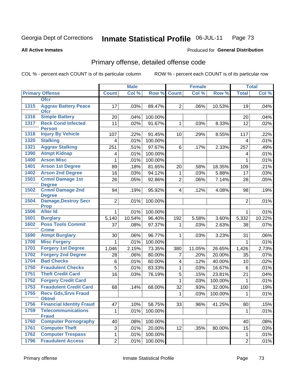#### Inmate Statistical Profile 06-JUL-11 Page 73

**Produced for General Distribution** 

### **All Active Inmates**

# Primary offense, detailed offense code

COL % - percent each COUNT is of its particular column

|      |                                             | <b>Male</b>             |        |         |                | <b>Female</b> |         | <b>Total</b>   |         |
|------|---------------------------------------------|-------------------------|--------|---------|----------------|---------------|---------|----------------|---------|
|      | <b>Primary Offense</b>                      | <b>Count</b>            | Col %  | Row %   | <b>Count</b>   | Col %         | Row %   | <b>Total</b>   | Col %   |
|      | <b>Ofcr</b>                                 |                         |        |         |                |               |         |                |         |
| 1315 | <b>Aggrav Battery Peace</b><br><b>Ofcr</b>  | 17                      | .03%   | 89.47%  | $\overline{2}$ | .06%          | 10.53%  | 19             | .04%    |
| 1316 | <b>Simple Battery</b>                       | 20                      | .04%   | 100.00% |                |               |         | 20             | .04%    |
| 1317 | <b>Reck Cond Infected</b><br><b>Person</b>  | 11                      | .02%   | 91.67%  | 1              | .03%          | 8.33%   | 12             | .02%    |
| 1318 | <b>Injury By Vehicle</b>                    | 107                     | .22%   | 91.45%  | 10             | .29%          | 8.55%   | 117            | .22%    |
| 1320 | <b>Stalking</b>                             | $\overline{4}$          | .01%   | 100.00% |                |               |         | 4              | .01%    |
| 1321 | <b>Aggrav Stalking</b>                      | 251                     | .51%   | 97.67%  | 6              | .17%          | 2.33%   | 257            | .49%    |
| 1390 | <b>Atmpt Kidnap</b>                         | $\overline{\mathbf{4}}$ | .01%   | 100.00% |                |               |         | 4              | .01%    |
| 1400 | <b>Arson Misc</b>                           | 1                       | .01%   | 100.00% |                |               |         | 1              | .01%    |
| 1401 | <b>Arson 1st Degree</b>                     | 89                      | .18%   | 81.65%  | 20             | .58%          | 18.35%  | 109            | .21%    |
| 1402 | <b>Arson 2nd Degree</b>                     | 16                      | .03%   | 94.12%  | 1              | .03%          | 5.88%   | 17             | .03%    |
| 1501 | <b>Crmnl Damage 1st</b><br><b>Degree</b>    | 26                      | .05%   | 92.86%  | $\overline{2}$ | .06%          | 7.14%   | 28             | .05%    |
| 1502 | <b>Crmnl Damage 2nd</b><br><b>Degree</b>    | 94                      | .19%   | 95.92%  | $\overline{4}$ | .12%          | 4.08%   | 98             | .19%    |
| 1504 | <b>Damage, Destroy Secr</b><br><b>Prop</b>  | $\overline{2}$          | .01%   | 100.00% |                |               |         | $\overline{2}$ | .01%    |
| 1506 | <b>Alter Id</b>                             | $\mathbf{1}$            | .01%   | 100.00% |                |               |         | 1              | .01%    |
| 1601 | <b>Burglary</b>                             | 5,140                   | 10.54% | 96.40%  | 192            | 5.58%         | 3.60%   | 5,332          | 10.22%  |
| 1602 | <b>Poss Tools Commit</b>                    | 37                      | .08%   | 97.37%  | 1              | .03%          | 2.63%   | 38             | $.07\%$ |
|      | <b>Crime</b>                                |                         |        |         |                |               |         |                |         |
| 1690 | <b>Atmpt Burglary</b>                       | 30                      | .06%   | 96.77%  | 1              | .03%          | 3.23%   | 31             | .06%    |
| 1700 | <b>Misc Forgery</b>                         | 1                       | .01%   | 100.00% |                |               |         | $\mathbf 1$    | .01%    |
| 1701 | <b>Forgery 1st Degree</b>                   | 1,046                   | 2.15%  | 73.35%  | 380            | 11.05%        | 26.65%  | 1,426          | 2.73%   |
| 1702 | <b>Forgery 2nd Degree</b>                   | 28                      | .06%   | 80.00%  | 7              | .20%          | 20.00%  | 35             | .07%    |
| 1704 | <b>Bad Checks</b>                           | 6                       | .01%   | 60.00%  | 4              | .12%          | 40.00%  | 10             | .02%    |
| 1750 | <b>Fraudulent Checks</b>                    | 5                       | .01%   | 83.33%  | 1              | .03%          | 16.67%  | 6              | .01%    |
| 1751 | <b>Theft Credit Card</b>                    | 16                      | .03%   | 76.19%  | 5              | .15%          | 23.81%  | 21             | .04%    |
| 1752 | <b>Forgery Credit Card</b>                  |                         |        |         | 1              | .03%          | 100.00% | $\mathbf 1$    | .01%    |
| 1753 | <b>Fraudulent Credit Card</b>               | 68                      | .14%   | 68.00%  | 32             | .93%          | 32.00%  | 100            | .19%    |
| 1755 | <b>Recv Gds, Srvs Fraud</b><br><b>Obtnd</b> |                         |        |         | 1              | .03%          | 100.00% | 1              | .01%    |
| 1756 | <b>Financial Identity Fraud</b>             | 47                      | .10%   | 58.75%  | 33             | .96%          | 41.25%  | 80             | .15%    |
| 1759 | <b>Telecommunications</b><br><b>Fraud</b>   | $\mathbf{1}$            | .01%   | 100.00% |                |               |         | 1              | .01%    |
| 1760 | <b>Computer Pornography</b>                 | 40                      | .08%   | 100.00% |                |               |         | 40             | .08%    |
| 1761 | <b>Computer Theft</b>                       | 3                       | .01%   | 20.00%  | 12             | .35%          | 80.00%  | 15             | .03%    |
| 1762 | <b>Computer Trespass</b>                    | $\mathbf{1}$            | .01%   | 100.00% |                |               |         | 1              | .01%    |
| 1796 | <b>Fraudulent Access</b>                    | $\overline{2}$          | .01%   | 100.00% |                |               |         | $\overline{2}$ | .01%    |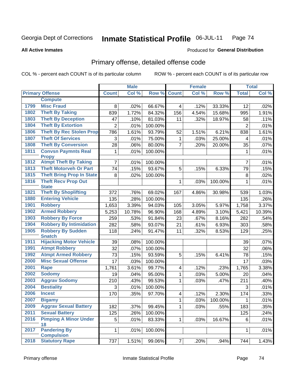#### Inmate Statistical Profile 06-JUL-11 Page 74

### **All Active Inmates**

### **Produced for General Distribution**

## Primary offense, detailed offense code

COL % - percent each COUNT is of its particular column

|      |                                            |                | <b>Male</b> |         |                         | <b>Female</b> |         |                | <b>Total</b> |
|------|--------------------------------------------|----------------|-------------|---------|-------------------------|---------------|---------|----------------|--------------|
|      | <b>Primary Offense</b>                     | <b>Count</b>   | Col %       | Row %   | <b>Count</b>            | Col %         | Row %   | <b>Total</b>   | Col %        |
|      | <b>Compute</b>                             |                |             |         |                         |               |         |                |              |
| 1799 | <b>Misc Fraud</b>                          | 8              | .02%        | 66.67%  | 4                       | .12%          | 33.33%  | 12             | .02%         |
| 1802 | <b>Theft By Taking</b>                     | 839            | 1.72%       | 84.32%  | 156                     | 4.54%         | 15.68%  | 995            | 1.91%        |
| 1803 | <b>Theft By Deception</b>                  | 47             | .10%        | 81.03%  | 11                      | .32%          | 18.97%  | 58             | .11%         |
| 1804 | <b>Theft By Extortion</b>                  | $\overline{2}$ | .01%        | 100.00% |                         |               |         | $\overline{2}$ | .01%         |
| 1806 | <b>Theft By Rec Stolen Prop</b>            | 786            | 1.61%       | 93.79%  | 52                      | 1.51%         | 6.21%   | 838            | 1.61%        |
| 1807 | <b>Theft Of Services</b>                   | 3              | .01%        | 75.00%  | 1                       | .03%          | 25.00%  | 4              | .01%         |
| 1808 | <b>Theft By Conversion</b>                 | 28             | .06%        | 80.00%  | $\overline{7}$          | .20%          | 20.00%  | 35             | .07%         |
| 1811 | <b>Convsn Paymnts Real</b>                 | 1              | .01%        | 100.00% |                         |               |         | 1              | .01%         |
|      | <b>Propy</b>                               |                |             |         |                         |               |         |                |              |
| 1812 | <b>Atmpt Theft By Taking</b>               | 7              | .01%        | 100.00% |                         |               |         | $\overline{7}$ | .01%         |
| 1813 | <b>Theft Motorveh Or Part</b>              | 74             | .15%        | 93.67%  | 5                       | .15%          | 6.33%   | 79             | .15%         |
| 1815 | <b>Theft Bring Prop In State</b>           | 8              | .02%        | 100.00% |                         |               |         | 8              | .02%         |
| 1816 | <b>Theft Recv Prop Out</b><br><b>State</b> |                |             |         | 1                       | .03%          | 100.00% | 1              | .01%         |
| 1821 | <b>Theft By Shoplifting</b>                | 372            | .76%        | 69.02%  | 167                     | 4.86%         | 30.98%  | 539            | 1.03%        |
| 1880 | <b>Entering Vehicle</b>                    | 135            | .28%        | 100.00% |                         |               |         | 135            | .26%         |
| 1901 | <b>Robbery</b>                             | 1,653          | 3.39%       | 94.03%  | 105                     | 3.05%         | 5.97%   | 1,758          | 3.37%        |
| 1902 | <b>Armed Robbery</b>                       | 5,253          | 10.78%      | 96.90%  | 168                     | 4.89%         | 3.10%   | 5,421          | 10.39%       |
| 1903 | <b>Robbery By Force</b>                    | 259            | .53%        | 91.84%  | 23                      | .67%          | 8.16%   | 282            | .54%         |
| 1904 | <b>Robbery By Intimidation</b>             | 282            | .58%        | 93.07%  | 21                      | .61%          | 6.93%   | 303            | .58%         |
| 1905 | <b>Robbery By Sudden</b>                   | 118            | .24%        | 91.47%  | 11                      | .32%          | 8.53%   | 129            | .25%         |
|      | <b>Snatch</b>                              |                |             |         |                         |               |         |                |              |
| 1911 | <b>Hijacking Motor Vehicle</b>             | 39             | .08%        | 100.00% |                         |               |         | 39             | .07%         |
| 1991 | <b>Atmpt Robbery</b>                       | 32             | .07%        | 100.00% |                         |               |         | 32             | .06%         |
| 1992 | <b>Atmpt Armed Robbery</b>                 | 73             | .15%        | 93.59%  | 5                       | .15%          | 6.41%   | 78             | .15%         |
| 2000 | <b>Misc Sexual Offense</b>                 | 17             | .03%        | 100.00% |                         |               |         | 17             | .03%         |
| 2001 | <b>Rape</b>                                | 1,761          | 3.61%       | 99.77%  | $\overline{\mathbf{4}}$ | .12%          | .23%    | 1,765          | 3.38%        |
| 2002 | <b>Sodomy</b>                              | 19             | .04%        | 95.00%  | 1                       | .03%          | 5.00%   | 20             | .04%         |
| 2003 | <b>Aggrav Sodomy</b>                       | 210            | .43%        | 99.53%  | $\mathbf{1}$            | .03%          | .47%    | 211            | .40%         |
| 2004 | <b>Bestiality</b>                          | 3              | .01%        | 100.00% |                         |               |         | 3              | .01%         |
| 2006 | <b>Incest</b>                              | 170            | .35%        | 97.70%  | $\overline{\mathbf{4}}$ | .12%          | 2.30%   | 174            | .33%         |
| 2007 | <b>Bigamy</b>                              |                |             |         | 1                       | .03%          | 100.00% | 1              | .01%         |
| 2009 | <b>Aggrav Sexual Battery</b>               | 182            | .37%        | 99.45%  | $\mathbf{1}$            | .03%          | .55%    | 183            | .35%         |
| 2011 | <b>Sexual Battery</b>                      | 125            | .26%        | 100.00% |                         |               |         | 125            | .24%         |
| 2016 | <b>Pimping A Minor Under</b>               | 5              | .01%        | 83.33%  | $\mathbf{1}$            | .03%          | 16.67%  | 6              | .01%         |
|      | 18                                         |                |             |         |                         |               |         |                |              |
| 2017 | <b>Pandering By</b><br><b>Compulsion</b>   | $\mathbf{1}$   | .01%        | 100.00% |                         |               |         | $\mathbf{1}$   | .01%         |
| 2018 | <b>Statutory Rape</b>                      | 737            | 1.51%       | 99.06%  | 7                       | .20%          | .94%    | 744            | 1.43%        |
|      |                                            |                |             |         |                         |               |         |                |              |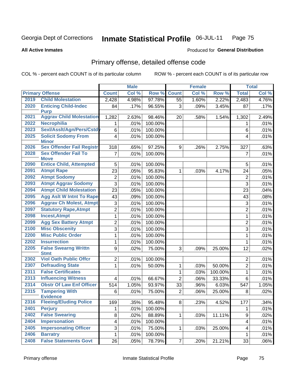### Inmate Statistical Profile 06-JUL-11 Page 75

### **All Active Inmates**

### **Produced for General Distribution**

## Primary offense, detailed offense code

COL % - percent each COUNT is of its particular column

|      |                                            |                         | <b>Male</b> |         |                 | <b>Female</b> |         |                  | <b>Total</b> |
|------|--------------------------------------------|-------------------------|-------------|---------|-----------------|---------------|---------|------------------|--------------|
|      | <b>Primary Offense</b>                     | <b>Count</b>            | Col %       | Row %   | <b>Count</b>    | Col %         | Row %   | <b>Total</b>     | Col %        |
| 2019 | <b>Child Molestation</b>                   | 2,428                   | 4.98%       | 97.78%  | $\overline{55}$ | 1.60%         | 2.22%   | 2,483            | 4.76%        |
| 2020 | <b>Enticing Child-Indec</b><br><b>Purp</b> | 84                      | .17%        | 96.55%  | 3               | .09%          | 3.45%   | 87               | .17%         |
| 2021 | <b>Aggrav Child Molestation</b>            | 1,282                   | 2.63%       | 98.46%  | 20              | .58%          | 1.54%   | 1,302            | 2.49%        |
| 2022 | <b>Necrophilia</b>                         | 1                       | .01%        | 100.00% |                 |               |         | 1                | .01%         |
| 2023 | Sexl/AssIt/Agn/Pers/Cstdy                  | 6                       | .01%        | 100.00% |                 |               |         | 6                | .01%         |
| 2025 | <b>Solicit Sodomy From</b><br><b>Minor</b> | $\overline{4}$          | .01%        | 100.00% |                 |               |         | 4                | .01%         |
| 2026 | <b>Sex Offender Fail Registr</b>           | 318                     | .65%        | 97.25%  | 9               | .26%          | 2.75%   | 327              | .63%         |
| 2028 | <b>Sex Offender Fail To</b><br><b>Move</b> | $\overline{7}$          | .01%        | 100.00% |                 |               |         | $\overline{7}$   | .01%         |
| 2090 | <b>Entice Child, Attempted</b>             | 5                       | .01%        | 100.00% |                 |               |         | 5                | .01%         |
| 2091 | <b>Atmpt Rape</b>                          | 23                      | .05%        | 95.83%  | 1               | .03%          | 4.17%   | 24               | .05%         |
| 2092 | <b>Atmpt Sodomy</b>                        | $\overline{c}$          | .01%        | 100.00% |                 |               |         | $\overline{2}$   | .01%         |
| 2093 | <b>Atmpt Aggrav Sodomy</b>                 | $\overline{3}$          | .01%        | 100.00% |                 |               |         | 3                | .01%         |
| 2094 | <b>Atmpt Child Molestation</b>             | $\overline{23}$         | .05%        | 100.00% |                 |               |         | 23               | .04%         |
| 2095 | <b>Agg Aslt W Intnt To Rape</b>            | 43                      | .09%        | 100.00% |                 |               |         | 43               | .08%         |
| 2096 | <b>Aggrav Ch Molest, Atmpt</b>             | 3                       | .01%        | 100.00% |                 |               |         | 3                | .01%         |
| 2097 | <b>Statutory Rape, Atmpt</b>               | $\overline{2}$          | .01%        | 100.00% |                 |               |         | $\overline{c}$   | .01%         |
| 2098 | <b>Incest, Atmpt</b>                       | $\mathbf 1$             | .01%        | 100.00% |                 |               |         | $\mathbf{1}$     | .01%         |
| 2099 | <b>Agg Sex Battery Atmpt</b>               | $\overline{c}$          | .01%        | 100.00% |                 |               |         | $\overline{2}$   | .01%         |
| 2100 | <b>Misc Obscenity</b>                      | 3                       | .01%        | 100.00% |                 |               |         | 3                | .01%         |
| 2200 | <b>Misc Public Order</b>                   | $\mathbf{1}$            | .01%        | 100.00% |                 |               |         | $\mathbf{1}$     | .01%         |
| 2202 | <b>Insurrection</b>                        | $\mathbf{1}$            | .01%        | 100.00% |                 |               |         | $\mathbf 1$      | .01%         |
| 2205 | <b>False Swearng Writtn</b><br><b>Stmt</b> | 9                       | .02%        | 75.00%  | 3               | .09%          | 25.00%  | 12               | .02%         |
| 2302 | <b>Viol Oath Public Offcr</b>              | $\overline{c}$          | .01%        | 100.00% |                 |               |         | $\overline{2}$   | .01%         |
| 2307 | <b>Defrauding State</b>                    | $\mathbf{1}$            | .01%        | 50.00%  | 1               | .03%          | 50.00%  | $\overline{2}$   | .01%         |
| 2311 | <b>False Certificates</b>                  |                         |             |         | 1               | .03%          | 100.00% | $\mathbf{1}$     | .01%         |
| 2313 | <b>Influencing Witness</b>                 | $\overline{\mathbf{4}}$ | .01%        | 66.67%  | $\overline{2}$  | .06%          | 33.33%  | 6                | .01%         |
| 2314 | <b>Obstr Of Law Enf Officer</b>            | 514                     | 1.05%       | 93.97%  | 33              | .96%          | 6.03%   | 547              | 1.05%        |
| 2315 | <b>Tampering With</b><br><b>Evidence</b>   | 6                       | .01%        | 75.00%  | $\overline{2}$  | .06%          | 25.00%  | 8                | .02%         |
| 2316 | <b>Fleeing/Eluding Police</b>              | 169                     | .35%        | 95.48%  | 8               | .23%          | 4.52%   | 177              | .34%         |
| 2401 | <b>Perjury</b>                             | 1                       | .01%        | 100.00% |                 |               |         | 1                | .01%         |
| 2402 | <b>False Swearing</b>                      | 8                       | .02%        | 88.89%  | 1               | .03%          | 11.11%  | $\boldsymbol{9}$ | .02%         |
| 2404 | <b>Impersonation</b>                       | $\overline{\mathbf{4}}$ | .01%        | 100.00% |                 |               |         | 4                | .01%         |
| 2405 | <b>Impersonating Officer</b>               | 3                       | .01%        | 75.00%  | $\mathbf 1$     | .03%          | 25.00%  | 4                | .01%         |
| 2406 | <b>Barratry</b>                            | $\mathbf{1}$            | .01%        | 100.00% |                 |               |         | 1                | .01%         |
| 2408 | <b>False Statements Govt</b>               | 26                      | .05%        | 78.79%  | $\overline{7}$  | .20%          | 21.21%  | 33               | .06%         |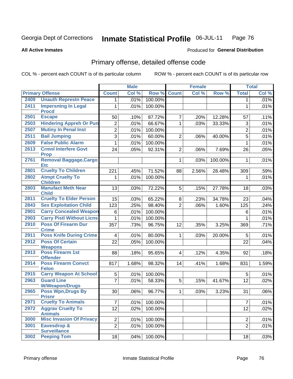#### Inmate Statistical Profile 06-JUL-11 Page 76

### **All Active Inmates**

### **Produced for General Distribution**

## Primary offense, detailed offense code

COL % - percent each COUNT is of its particular column

|      |                                               |                         | <b>Male</b> |         |                | <b>Female</b> |         |                | <b>Total</b> |
|------|-----------------------------------------------|-------------------------|-------------|---------|----------------|---------------|---------|----------------|--------------|
|      | <b>Primary Offense</b>                        | <b>Count</b>            | Col %       | Row %   | <b>Count</b>   | Col %         | Row %   | <b>Total</b>   | Col %        |
| 2409 | <b>Unauth Represtn Peace</b>                  | 1 <sup>1</sup>          | .01%        | 100.00% |                |               |         | 1              | .01%         |
| 2411 | <b>Impersntng In Legal</b><br><b>Procd</b>    | 1                       | .01%        | 100.00% |                |               |         | 1              | .01%         |
| 2501 | <b>Escape</b>                                 | 50                      | .10%        | 87.72%  | $\overline{7}$ | .20%          | 12.28%  | 57             | .11%         |
| 2503 | <b>Hindering Appreh Or Pun</b>                | $\overline{2}$          | .01%        | 66.67%  | $\mathbf{1}$   | .03%          | 33.33%  | 3              | .01%         |
| 2507 | <b>Mutiny In Penal Inst</b>                   | $\overline{2}$          | .01%        | 100.00% |                |               |         | $\overline{2}$ | .01%         |
| 2511 | <b>Bail Jumping</b>                           | $\overline{3}$          | .01%        | 60.00%  | $\overline{2}$ | .06%          | 40.00%  | 5              | .01%         |
| 2609 | <b>False Public Alarm</b>                     | $\mathbf{1}$            | .01%        | 100.00% |                |               |         | $\mathbf{1}$   | .01%         |
| 2613 | <b>Crmnl Interfere Govt</b><br><b>Prop</b>    | 24                      | .05%        | 92.31%  | $\overline{2}$ | .06%          | 7.69%   | 26             | .05%         |
| 2761 | <b>Removal Baggage, Cargo</b><br><b>Etc</b>   |                         |             |         | $\mathbf{1}$   | .03%          | 100.00% | 1              | .01%         |
| 2801 | <b>Cruelty To Children</b>                    | 221                     | .45%        | 71.52%  | 88             | 2.56%         | 28.48%  | 309            | .59%         |
| 2802 | <b>Atmpt Cruelty To</b><br><b>Children</b>    | $\mathbf 1$             | .01%        | 100.00% |                |               |         | 1              | .01%         |
| 2803 | <b>Manufact Meth Near</b><br><b>Child</b>     | 13                      | .03%        | 72.22%  | 5              | .15%          | 27.78%  | 18             | .03%         |
| 2811 | <b>Cruelty To Elder Person</b>                | 15                      | .03%        | 65.22%  | 8              | .23%          | 34.78%  | 23             | .04%         |
| 2843 | <b>Sex Exploitation Child</b>                 | 123                     | .25%        | 98.40%  | $\overline{2}$ | .06%          | 1.60%   | 125            | .24%         |
| 2901 | <b>Carry Concealed Weapon</b>                 | 6                       | .01%        | 100.00% |                |               |         | 6              | .01%         |
| 2903 | <b>Carry Pistl Without Licns</b>              | 1                       | .01%        | 100.00% |                |               |         | 1              | .01%         |
| 2910 | <b>Poss Of Firearm Dur</b><br><b>Crime</b>    | 357                     | .73%        | 96.75%  | 12             | .35%          | 3.25%   | 369            | .71%         |
| 2911 | <b>Poss Knife During Crime</b>                | $\overline{\mathbf{4}}$ | .01%        | 80.00%  | 1.             | .03%          | 20.00%  | 5              | .01%         |
| 2912 | <b>Poss Of Certain</b><br><b>Weapons</b>      | $\overline{22}$         | .05%        | 100.00% |                |               |         | 22             | .04%         |
| 2913 | <b>Poss Firearm 1st</b><br><b>Offender</b>    | 88                      | .18%        | 95.65%  | $\overline{4}$ | .12%          | 4.35%   | 92             | .18%         |
| 2914 | <b>Poss Firearm Convct</b><br><b>Felon</b>    | 817                     | 1.68%       | 98.32%  | 14             | .41%          | 1.68%   | 831            | 1.59%        |
| 2915 | <b>Carry Weapon At School</b>                 | 5                       | .01%        | 100.00% |                |               |         | 5              | .01%         |
| 2963 | <b>Guard Line</b><br><b>W/Weapon/Drugs</b>    | $\overline{7}$          | .01%        | 58.33%  | 5              | .15%          | 41.67%  | 12             | .02%         |
| 2965 | <b>Poss Wpn, Drugs By</b><br><b>Prisnr</b>    | 30                      | .06%        | 96.77%  | $\mathbf{1}$   | .03%          | 3.23%   | 31             | .06%         |
| 2971 | <b>Cruelty To Animals</b>                     | $\overline{7}$          | .01%        | 100.00% |                |               |         | $\overline{7}$ | .01%         |
| 2972 | <b>Aggrav Cruelty To</b><br><b>Animals</b>    | 12                      | .02%        | 100.00% |                |               |         | 12             | .02%         |
| 3000 | <b>Misc Invasion Of Privacy</b>               | $\overline{2}$          | .01%        | 100.00% |                |               |         | $\overline{2}$ | .01%         |
| 3001 | <b>Eavesdrop &amp;</b><br><b>Surveillance</b> | $\overline{2}$          | .01%        | 100.00% |                |               |         | $\overline{2}$ | .01%         |
| 3002 | <b>Peeping Tom</b>                            | 18                      | .04%        | 100.00% |                |               |         | 18             | .03%         |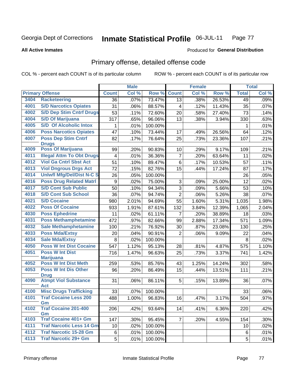### Inmate Statistical Profile 06-JUL-11 Page 77

**All Active Inmates** 

### **Produced for General Distribution**

## Primary offense, detailed offense code

COL % - percent each COUNT is of its particular column

|      |                                            | <b>Male</b>      |       | <b>Female</b> |                |       | <b>Total</b> |              |         |
|------|--------------------------------------------|------------------|-------|---------------|----------------|-------|--------------|--------------|---------|
|      | <b>Primary Offense</b>                     | <b>Count</b>     | Col % | Row %         | <b>Count</b>   | Col % | Row %        | <b>Total</b> | Col %   |
| 3404 | <b>Racketeering</b>                        | 36               | .07%  | 73.47%        | 13             | .38%  | 26.53%       | 49           | .09%    |
| 4001 | <b>S/D Narcotics Opiates</b>               | 31               | .06%  | 88.57%        | 4              | .12%  | 11.43%       | 35           | .07%    |
| 4002 | <b>S/D Dep Stim Cntrf Drugs</b>            | 53               | .11%  | 72.60%        | 20             | .58%  | 27.40%       | 73           | .14%    |
| 4004 | <b>S/D Of Marijuana</b>                    | $\overline{3}17$ | .65%  | 96.06%        | 13             | .38%  | 3.94%        | 330          | .63%    |
| 4005 | <b>S/D Of Alcoholic Intox</b>              | 1                | .01%  | 100.00%       |                |       |              | 1            | .01%    |
| 4006 | <b>Poss Narcotics Opiates</b>              | 47               | .10%  | 73.44%        | 17             | .49%  | 26.56%       | 64           | .12%    |
| 4007 | <b>Poss Dep Stim Cntrf</b><br><b>Drugs</b> | 82               | .17%  | 76.64%        | 25             | .73%  | 23.36%       | 107          | .21%    |
| 4009 | <b>Poss Of Marijuana</b>                   | 99               | .20%  | 90.83%        | 10             | .29%  | 9.17%        | 109          | .21%    |
| 4011 | <b>Illegal Attm To Obt Drugs</b>           | 4                | .01%  | 36.36%        | 7              | .20%  | 63.64%       | 11           | .02%    |
| 4012 | <b>Viol Ga Cntrl Sbst Act</b>              | 51               | .10%  | 89.47%        | 6              | .17%  | 10.53%       | 57           | .11%    |
| 4013 | <b>Viol Dngrous Drgs Act</b>               | 72               | .15%  | 82.76%        | 15             | .44%  | 17.24%       | 87           | .17%    |
| 4014 | <b>Uniwfl Mfg/Del/Dist N-C S</b>           | 26               | .05%  | 100.00%       |                |       |              | 26           | .05%    |
| 4016 | <b>Poss Drug Related Matri</b>             | 9                | .02%  | 75.00%        | 3              | .09%  | 25.00%       | 12           | .02%    |
| 4017 | <b>S/D Cont Sub Public</b>                 | 50               | .10%  | 94.34%        | 3              | .09%  | 5.66%        | 53           | .10%    |
| 4018 | <b>S/D Cont Sub School</b>                 | 36               | .07%  | 94.74%        | $\overline{2}$ | .06%  | 5.26%        | 38           | .07%    |
| 4021 | <b>S/D Cocaine</b>                         | 980              | 2.01% | 94.69%        | 55             | 1.60% | 5.31%        | 1,035        | 1.98%   |
| 4022 | <b>Poss Of Cocaine</b>                     | 933              | 1.91% | 87.61%        | 132            | 3.84% | 12.39%       | 1,065        | 2.04%   |
| 4030 | <b>Poss Ephedrine</b>                      | 11               | .02%  | 61.11%        | $\overline{7}$ | .20%  | 38.89%       | 18           | .03%    |
| 4031 | <b>Poss Methamphetamine</b>                | 472              | .97%  | 82.66%        | 99             | 2.88% | 17.34%       | 571          | 1.09%   |
| 4032 | <b>Sale Methamphetamine</b>                | 100              | .21%  | 76.92%        | 30             | .87%  | 23.08%       | 130          | .25%    |
| 4033 | <b>Poss Mda/Extsy</b>                      | 20               | .04%  | 90.91%        | $\overline{2}$ | .06%  | 9.09%        | 22           | .04%    |
| 4034 | <b>Sale Mda/Extsy</b>                      | 8                | .02%  | 100.00%       |                |       |              | 8            | .02%    |
| 4050 | <b>Poss W Int Dist Cocaine</b>             | 547              | 1.12% | 95.13%        | 28             | .81%  | 4.87%        | 575          | 1.10%   |
| 4051 | <b>Poss W Int Dist</b><br><b>Marijuana</b> | 716              | 1.47% | 96.63%        | 25             | .73%  | 3.37%        | 741          | 1.42%   |
| 4052 | <b>Poss W Int Dist Meth</b>                | 259              | .53%  | 85.76%        | 43             | 1.25% | 14.24%       | 302          | .58%    |
| 4053 | <b>Poss W Int Dis Other</b><br><b>Drug</b> | 96               | .20%  | 86.49%        | 15             | .44%  | 13.51%       | 111          | .21%    |
| 4090 | <b>Atmpt Viol Substance</b><br><b>Act</b>  | 31               | .06%  | 86.11%        | 5              | .15%  | 13.89%       | 36           | .07%    |
| 4100 | <b>Misc Drugs Trafficking</b>              | 33               | .07%  | 100.00%       |                |       |              | 33           | .06%    |
| 4101 | <b>Traf Cocaine Less 200</b>               | 488              | 1.00% | 96.83%        | 16             | .47%  | 3.17%        | 504          | .97%    |
|      | Gm                                         |                  |       |               |                |       |              |              |         |
| 4102 | <b>Traf Cocaine 201-400</b><br>Gm          | 206              | .42%  | 93.64%        | 14             | .41%  | 6.36%        | 220          | .42%    |
| 4103 | <b>Traf Cocaine 401+ Gm</b>                | 147              | .30%  | 95.45%        | $\overline{7}$ | .20%  | 4.55%        | 154          | $.30\%$ |
| 4111 | <b>Traf Narcotic Less 14 Gm</b>            | 10               | .02%  | 100.00%       |                |       |              | 10           | .02%    |
| 4112 | <b>Traf Narcotic 15-28 Gm</b>              | 6                | .01%  | 100.00%       |                |       |              | 6            | .01%    |
| 4113 | <b>Traf Narcotic 29+ Gm</b>                | 5                | .01%  | 100.00%       |                |       |              | 5            | .01%    |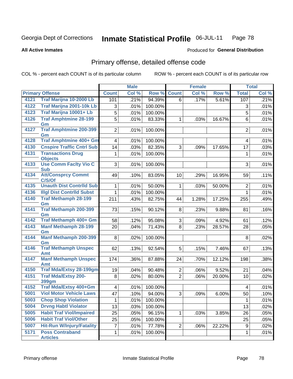#### Inmate Statistical Profile 06-JUL-11 Page 78

**All Active Inmates** 

### Produced for General Distribution

## Primary offense, detailed offense code

COL % - percent each COUNT is of its particular column

|      |                                                |                         | <b>Male</b> |         |                 | <b>Female</b> |        |                         | <b>Total</b> |
|------|------------------------------------------------|-------------------------|-------------|---------|-----------------|---------------|--------|-------------------------|--------------|
|      | <b>Primary Offense</b>                         | <b>Count</b>            | Col %       | Row %   | <b>Count</b>    | Col %         | Row %  | <b>Total</b>            | Col%         |
| 4121 | Traf Marijna 10-2000 Lb                        | 101                     | .21%        | 94.39%  | 6               | .17%          | 5.61%  | 107                     | .21%         |
| 4122 | Traf Marijna 2001-10k Lb                       | 3                       | .01%        | 100.00% |                 |               |        | 3                       | .01%         |
| 4123 | Traf Marijna 10001+ Lb                         | $\overline{5}$          | .01%        | 100.00% |                 |               |        | 5                       | .01%         |
| 4126 | <b>Traf Amphtmine 28-199</b>                   | 5                       | .01%        | 83.33%  | $\mathbf{1}$    | .03%          | 16.67% | 6                       | .01%         |
|      | Gm                                             |                         |             |         |                 |               |        |                         |              |
| 4127 | <b>Traf Amphtmine 200-399</b><br>Gm            | 2                       | .01%        | 100.00% |                 |               |        | $\overline{2}$          | .01%         |
| 4128 | <b>Traf Amphtmine 400+ Gm</b>                  | 4 <sup>1</sup>          | .01%        | 100.00% |                 |               |        | $\overline{\mathbf{4}}$ | .01%         |
| 4130 | <b>Cnspire Traffic Cntrl Sub</b>               | 14                      | .03%        | 82.35%  | 3               | .09%          | 17.65% | 17                      | .03%         |
| 4131 | <b>Transactions Drug</b>                       | $\mathbf{1}$            | .01%        | 100.00% |                 |               |        | 1                       | .01%         |
| 4133 | <b>Objects</b><br><b>Use Comm Facity Vio C</b> | 3 <sup>1</sup>          | .01%        | 100.00% |                 |               |        | 3                       | .01%         |
|      | <b>Sub</b>                                     |                         |             |         |                 |               |        |                         |              |
| 4134 | <b>Att/Consprcy Commt</b><br>C/S/Of            | 49                      | .10%        | 83.05%  | 10 <sup>1</sup> | .29%          | 16.95% | 59                      | .11%         |
| 4135 | <b>Unauth Dist Contrild Sub</b>                | 1                       | .01%        | 50.00%  | $\mathbf{1}$    | .03%          | 50.00% | $\overline{2}$          | .01%         |
| 4136 | <b>Illgl Dist Contrild Subst</b>               | $\mathbf{1}$            | .01%        | 100.00% |                 |               |        | $\mathbf{1}$            | .01%         |
| 4140 | <b>Traf Methamph 28-199</b><br>Gm              | 211                     | .43%        | 82.75%  | 44              | 1.28%         | 17.25% | 255                     | .49%         |
| 4141 | <b>Traf Methamph 200-399</b><br>Gm             | 73                      | .15%        | 90.12%  | 8               | .23%          | 9.88%  | 81                      | .16%         |
| 4142 | Traf Methamph 400+ Gm                          | 58                      | .12%        | 95.08%  | 3 <sup>1</sup>  | .09%          | 4.92%  | 61                      | .12%         |
| 4143 | <b>Manf Methamph 28-199</b>                    | 20                      | .04%        | 71.43%  | 8               | .23%          | 28.57% | 28                      | .05%         |
|      | Gm                                             |                         |             |         |                 |               |        |                         |              |
| 4144 | <b>Manf Methamph 200-399</b><br>Gm             | 8 <sup>1</sup>          | .02%        | 100.00% |                 |               |        | 8                       | .02%         |
| 4146 | <b>Traf Methamph Unspec</b>                    | 62                      | .13%        | 92.54%  | 5               | .15%          | 7.46%  | 67                      | .13%         |
|      | Amt                                            |                         |             |         |                 |               |        |                         |              |
| 4147 | <b>Manf Methamph Unspec</b><br>Amt             | 174                     | .36%        | 87.88%  | 24              | .70%          | 12.12% | 198                     | .38%         |
| 4150 | <b>Traf Mda/Extsy 28-199gm</b>                 | 19                      | .04%        | 90.48%  | $\overline{2}$  | .06%          | 9.52%  | 21                      | .04%         |
| 4151 | <b>Traf Mda/Extsy 200-</b>                     | 8                       | .02%        | 80.00%  | $\overline{2}$  | .06%          | 20.00% | 10                      | .02%         |
|      | 399gm                                          |                         |             |         |                 |               |        |                         |              |
| 4152 | Traf Mda/Extsy 400+Gm                          | $\overline{\mathbf{4}}$ | .01%        | 100.00% |                 |               |        | $\overline{4}$          | .01%         |
| 5001 | <b>Viol Motor Vehicle Laws</b>                 | 47                      | .10%        | 94.00%  | 3               | .09%          | 6.00%  | 50                      | .10%         |
| 5003 | <b>Chop Shop Violation</b>                     | $\mathbf 1$             | .01%        | 100.00% |                 |               |        | 1                       | .01%         |
| 5004 | <b>Drvng Habtl Violator</b>                    | 13                      | .03%        | 100.00% |                 |               |        | 13                      | .02%         |
| 5005 | <b>Habit Traf Viol/Impaired</b>                | 25                      | .05%        | 96.15%  | $\mathbf{1}$    | .03%          | 3.85%  | 26                      | .05%         |
| 5006 | <b>Habit Traf Viol/Other</b>                   | 25                      | .05%        | 100.00% |                 |               |        | 25                      | .05%         |
| 5007 | <b>Hit-Run W/Injury/Fatality</b>               | $\overline{7}$          | .01%        | 77.78%  | $\overline{2}$  | .06%          | 22.22% | 9                       | .02%         |
| 5171 | <b>Poss Contraband</b><br><b>Articles</b>      | $\mathbf 1$             | .01%        | 100.00% |                 |               |        | 1                       | .01%         |
|      |                                                |                         |             |         |                 |               |        |                         |              |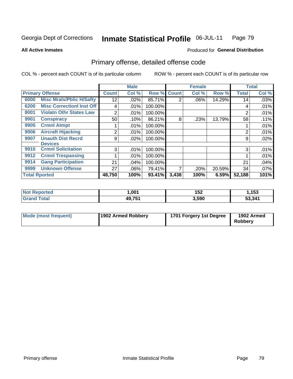### Inmate Statistical Profile 06-JUL-11 Page 79

**All Active Inmates** 

### Produced for General Distribution

## Primary offense, detailed offense code

COL % - percent each COUNT is of its particular column

|                      |                                  |                | <b>Male</b> |             |       | <b>Female</b> |        |              | <b>Total</b> |
|----------------------|----------------------------------|----------------|-------------|-------------|-------|---------------|--------|--------------|--------------|
|                      | <b>Primary Offense</b>           | <b>Count</b>   | Col %       | Row % Count |       | Col %         | Row %  | <b>Total</b> | Col %        |
| 6000                 | <b>Misc Mrals/Pblic H/Safty</b>  | 12             | .02%        | 85.71%      | 2     | $.06\%$       | 14.29% | 14           | .03%         |
| 6200                 | <b>Misc CorrectionI Inst Off</b> | 4              | .01%        | 100.00%     |       |               |        | 4            | .01%         |
| 8001                 | <b>Violatn Othr States Law</b>   | 2              | .01%        | 100.00%     |       |               |        | 2            | .01%         |
| 9901                 | <b>Conspiracy</b>                | 50             | .10%        | 86.21%      | 8     | .23%          | 13.79% | 58           | .11%         |
| 9905                 | <b>Crmnl Atmpt</b>               |                | .01%        | 100.00%     |       |               |        |              | .01%         |
| 9906                 | <b>Aircraft Hijacking</b>        | 2              | .01%        | 100.00%     |       |               |        | 2            | .01%         |
| 9907                 | <b>Unauth Dist Recrd</b>         | 9              | .02%        | 100.00%     |       |               |        | 9            | .02%         |
|                      | <b>Devices</b>                   |                |             |             |       |               |        |              |              |
| 9910                 | <b>Crmnl Solicitation</b>        | 3 <sub>l</sub> | .01%        | 100.00%     |       |               |        | 3            | .01%         |
| 9912                 | <b>Crmnl Trespassing</b>         |                | .01%        | 100.00%     |       |               |        |              | .01%         |
| 9914                 | <b>Gang Participation</b>        | 21             | .04%        | 100.00%     |       |               |        | 21           | .04%         |
| 9999                 | <b>Unknown Offense</b>           | 27             | .06%        | 79.41%      | 7     | .20%          | 20.59% | 34           | $.07\%$      |
| <b>Total Rported</b> |                                  | 48,750         | 100%        | 93.41%      | 3,438 | 100%          | 6.59%  | 52,188       | 101%         |

| eported<br>NO | ,001               | 152   | ,153   |
|---------------|--------------------|-------|--------|
| <b>otal</b>   | <b>AQ 751</b><br>. | 3,590 | 53,341 |

| Mode (most frequent) | 1902 Armed Robbery | 1701 Forgery 1st Degree | 1902 Armed<br><b>Robbery</b> |
|----------------------|--------------------|-------------------------|------------------------------|
|----------------------|--------------------|-------------------------|------------------------------|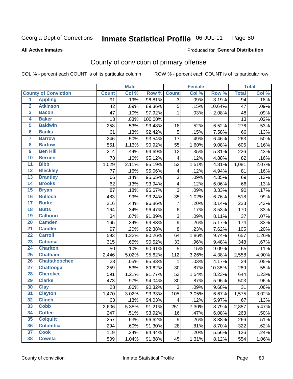#### Inmate Statistical Profile 06-JUL-11 Page 80

### **All Active Inmates**

## **Produced for General Distribution**

## County of conviction of primary offense

COL % - percent each COUNT is of its particular column

|                 |                             |              | <b>Male</b> |         |                  | Female |        |                 | <b>Total</b>        |
|-----------------|-----------------------------|--------------|-------------|---------|------------------|--------|--------|-----------------|---------------------|
|                 | <b>County of Conviction</b> | <b>Count</b> | Col %       | Row %   | <b>Count</b>     | Col %  | Row %  | <b>Total</b>    | Col %               |
| $\overline{1}$  | <b>Appling</b>              | 91           | .19%        | 96.81%  | 3                | .09%   | 3.19%  | $\overline{94}$ | .18%                |
| $\overline{2}$  | <b>Atkinson</b>             | 42           | .09%        | 89.36%  | 5                | .15%   | 10.64% | 47              | .09%                |
| 3               | <b>Bacon</b>                | 47           | .10%        | 97.92%  | 1                | .03%   | 2.08%  | 48              | .09%                |
| 4               | <b>Baker</b>                | 13           | .03%        | 100.00% |                  |        |        | 13              | .02%                |
| $\overline{5}$  | <b>Baldwin</b>              | 258          | .53%        | 93.48%  | 18               | .52%   | 6.52%  | 276             | .53%                |
| $6\phantom{a}$  | <b>Banks</b>                | 61           | .13%        | 92.42%  | 5                | .15%   | 7.58%  | 66              | .13%                |
| 7               | <b>Barrow</b>               | 246          | .50%        | 93.54%  | 17               | .49%   | 6.46%  | 263             | .50%                |
| 8               | <b>Bartow</b>               | 551          | 1.13%       | 90.92%  | 55               | 1.60%  | 9.08%  | 606             | 1.16%               |
| $\overline{9}$  | <b>Ben Hill</b>             | 214          | .44%        | 94.69%  | 12               | .35%   | 5.31%  | 226             | .43%                |
| 10              | <b>Berrien</b>              | 78           | .16%        | 95.12%  | 4                | .12%   | 4.88%  | 82              | .16%                |
| $\overline{11}$ | <b>Bibb</b>                 | 1,029        | 2.11%       | 95.19%  | 52               | 1.51%  | 4.81%  | 1,081           | 2.07%               |
| 12              | <b>Bleckley</b>             | 77           | .16%        | 95.06%  | 4                | .12%   | 4.94%  | 81              | .16%                |
| 13              | <b>Brantley</b>             | 66           | .14%        | 95.65%  | 3                | .09%   | 4.35%  | 69              | .13%                |
| $\overline{14}$ | <b>Brooks</b>               | 62           | .13%        | 93.94%  | 4                | .12%   | 6.06%  | 66              | .13%                |
| $\overline{15}$ | <b>Bryan</b>                | 87           | .18%        | 96.67%  | 3                | .09%   | 3.33%  | 90              | .17%                |
| 16              | <b>Bulloch</b>              | 483          | .99%        | 93.24%  | 35               | 1.02%  | 6.76%  | 518             | .99%                |
| $\overline{17}$ | <b>Burke</b>                | 216          | .44%        | 96.86%  | $\overline{7}$   | .20%   | 3.14%  | 223             | .43%                |
| 18              | <b>Butts</b>                | 164          | .34%        | 96.47%  | 6                | .17%   | 3.53%  | 170             | .33%                |
| 19              | <b>Calhoun</b>              | 34           | .07%        | 91.89%  | 3                | .09%   | 8.11%  | 37              | .07%                |
| 20              | <b>Camden</b>               | 165          | .34%        | 94.83%  | $\boldsymbol{9}$ | .26%   | 5.17%  | 174             | .33%                |
| $\overline{21}$ | <b>Candler</b>              | 97           | .20%        | 92.38%  | 8                | .23%   | 7.62%  | 105             | .20%                |
| $\overline{22}$ | <b>Carroll</b>              | 593          | 1.22%       | 90.26%  | 64               | 1.86%  | 9.74%  | 657             | 1.26%               |
| 23              | <b>Catoosa</b>              | 315          | .65%        | 90.52%  | 33               | .96%   | 9.48%  | 348             | .67%                |
| 24              | <b>Charlton</b>             | 50           | .10%        | 90.91%  | $\overline{5}$   | .15%   | 9.09%  | 55              | .11%                |
| $\overline{25}$ | <b>Chatham</b>              | 2,446        | 5.02%       | 95.62%  | 112              | 3.26%  | 4.38%  | 2,558           | 4.90%               |
| 26              | <b>Chattahoochee</b>        | 23           | .05%        | 95.83%  | 1                | .03%   | 4.17%  | 24              | .05%                |
| $\overline{27}$ | <b>Chattooga</b>            | 259          | .53%        | 89.62%  | 30               | .87%   | 10.38% | 289             | .55%                |
| 28              | <b>Cherokee</b>             | 591          | 1.21%       | 91.77%  | 53               | 1.54%  | 8.23%  | 644             | 1.23%               |
| 29              | <b>Clarke</b>               | 473          | .97%        | 94.04%  | 30               | .87%   | 5.96%  | 503             | .96%                |
| 30              | <b>Clay</b>                 | 28           | .06%        | 90.32%  | 3                | .09%   | 9.68%  | 31              | .06%                |
| $\overline{31}$ | <b>Clayton</b>              | 1,470        | 3.02%       | 93.33%  | 105              | 3.05%  | 6.67%  | 1,575           | 3.02%               |
| 32              | <b>Clinch</b>               | 63           | .13%        | 94.03%  | 4                | .12%   | 5.97%  | 67              | .13%                |
| 33              | <b>Cobb</b>                 | 2,606        | 5.35%       | 91.21%  | 251              | 7.30%  | 8.79%  | 2,857           | $\overline{5.47\%}$ |
| 34              | <b>Coffee</b>               | 247          | .51%        | 93.92%  | 16               | .47%   | 6.08%  | 263             | .50%                |
| 35              | <b>Colquitt</b>             | 257          | .53%        | 96.62%  | 9                | .26%   | 3.38%  | 266             | .51%                |
| 36              | <b>Columbia</b>             | 294          | .60%        | 91.30%  | 28               | .81%   | 8.70%  | 322             | .62%                |
| 37              | <b>Cook</b>                 | 119          | .24%        | 94.44%  | $\overline{7}$   | .20%   | 5.56%  | 126             | .24%                |
| 38              | <b>Coweta</b>               | 509          | 1.04%       | 91.88%  | 45               | 1.31%  | 8.12%  | 554             | 1.06%               |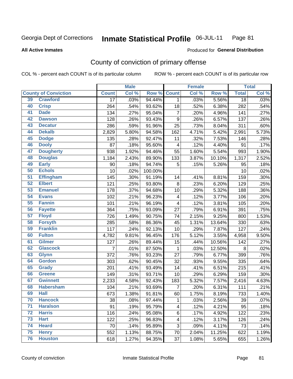#### Inmate Statistical Profile 06-JUL-11 Page 81

### **All Active Inmates**

### Produced for General Distribution

## County of conviction of primary offense

COL % - percent each COUNT is of its particular column

|    |                             |                 | <b>Male</b> |         |                          | <b>Female</b> |        |                 | <b>Total</b> |
|----|-----------------------------|-----------------|-------------|---------|--------------------------|---------------|--------|-----------------|--------------|
|    | <b>County of Conviction</b> | <b>Count</b>    | Col %       | Row %   | <b>Count</b>             | Col %         | Row %  | <b>Total</b>    | Col %        |
| 39 | <b>Crawford</b>             | $\overline{17}$ | .03%        | 94.44%  | 1                        | .03%          | 5.56%  | $\overline{18}$ | .03%         |
| 40 | <b>Crisp</b>                | 264             | .54%        | 93.62%  | 18                       | .52%          | 6.38%  | 282             | .54%         |
| 41 | <b>Dade</b>                 | 134             | .27%        | 95.04%  | $\overline{7}$           | .20%          | 4.96%  | 141             | .27%         |
| 42 | <b>Dawson</b>               | 128             | .26%        | 93.43%  | 9                        | .26%          | 6.57%  | 137             | .26%         |
| 43 | <b>Decatur</b>              | 286             | .59%        | 91.96%  | 25                       | .73%          | 8.04%  | 311             | .60%         |
| 44 | <b>Dekalb</b>               | 2,829           | 5.80%       | 94.58%  | 162                      | 4.71%         | 5.42%  | 2,991           | 5.73%        |
| 45 | <b>Dodge</b>                | 135             | .28%        | 92.47%  | 11                       | .32%          | 7.53%  | 146             | .28%         |
| 46 | <b>Dooly</b>                | 87              | .18%        | 95.60%  | 4                        | .12%          | 4.40%  | 91              | .17%         |
| 47 | <b>Dougherty</b>            | 938             | 1.92%       | 94.46%  | 55                       | 1.60%         | 5.54%  | 993             | 1.90%        |
| 48 | <b>Douglas</b>              | 1,184           | 2.43%       | 89.90%  | 133                      | 3.87%         | 10.10% | 1,317           | 2.52%        |
| 49 | <b>Early</b>                | 90              | .18%        | 94.74%  | 5                        | .15%          | 5.26%  | 95              | .18%         |
| 50 | <b>Echols</b>               | 10              | .02%        | 100.00% |                          |               |        | 10              | .02%         |
| 51 | <b>Effingham</b>            | 145             | .30%        | 91.19%  | 14                       | .41%          | 8.81%  | 159             | .30%         |
| 52 | <b>Elbert</b>               | 121             | .25%        | 93.80%  | 8                        | .23%          | 6.20%  | 129             | .25%         |
| 53 | <b>Emanuel</b>              | 178             | .37%        | 94.68%  | 10                       | .29%          | 5.32%  | 188             | .36%         |
| 54 | <b>Evans</b>                | 102             | .21%        | 96.23%  | $\overline{\mathcal{A}}$ | .12%          | 3.77%  | 106             | .20%         |
| 55 | <b>Fannin</b>               | 101             | .21%        | 96.19%  | $\overline{\mathbf{4}}$  | .12%          | 3.81%  | 105             | .20%         |
| 56 | <b>Fayette</b>              | 364             | .75%        | 93.09%  | 27                       | .79%          | 6.91%  | 391             | .75%         |
| 57 | <b>Floyd</b>                | 726             | 1.49%       | 90.75%  | 74                       | 2.15%         | 9.25%  | 800             | 1.53%        |
| 58 | <b>Forsyth</b>              | 285             | .58%        | 86.36%  | 45                       | 1.31%         | 13.64% | 330             | .63%         |
| 59 | <b>Franklin</b>             | 117             | .24%        | 92.13%  | 10                       | .29%          | 7.87%  | 127             | .24%         |
| 60 | <b>Fulton</b>               | 4,782           | 9.81%       | 96.45%  | 176                      | 5.12%         | 3.55%  | 4,958           | 9.50%        |
| 61 | <b>Gilmer</b>               | 127             | .26%        | 89.44%  | 15                       | .44%          | 10.56% | 142             | .27%         |
| 62 | <b>Glascock</b>             | 7               | .01%        | 87.50%  | $\mathbf{1}$             | .03%          | 12.50% | 8               | .02%         |
| 63 | <b>Glynn</b>                | 372             | .76%        | 93.23%  | 27                       | .79%          | 6.77%  | 399             | .76%         |
| 64 | <b>Gordon</b>               | 303             | .62%        | 90.45%  | 32                       | .93%          | 9.55%  | 335             | .64%         |
| 65 | <b>Grady</b>                | 201             | .41%        | 93.49%  | 14                       | .41%          | 6.51%  | 215             | .41%         |
| 66 | <b>Greene</b>               | 149             | .31%        | 93.71%  | 10                       | .29%          | 6.29%  | 159             | .30%         |
| 67 | <b>Gwinnett</b>             | 2,233           | 4.58%       | 92.43%  | 183                      | 5.32%         | 7.57%  | 2,416           | 4.63%        |
| 68 | <b>Habersham</b>            | 104             | .21%        | 93.69%  | $\overline{7}$           | .20%          | 6.31%  | 111             | .21%         |
| 69 | <b>Hall</b>                 | 673             | 1.38%       | 91.81%  | 60                       | 1.75%         | 8.19%  | 733             | 1.40%        |
| 70 | <b>Hancock</b>              | 38              | .08%        | 97.44%  | 1                        | .03%          | 2.56%  | 39              | $.07\%$      |
| 71 | <b>Haralson</b>             | 91              | .19%        | 95.79%  | $\overline{\mathbf{4}}$  | .12%          | 4.21%  | 95              | .18%         |
| 72 | <b>Harris</b>               | 116             | .24%        | 95.08%  | 6                        | .17%          | 4.92%  | 122             | .23%         |
| 73 | <b>Hart</b>                 | 122             | .25%        | 96.83%  | $\overline{\mathbf{4}}$  | .12%          | 3.17%  | 126             | .24%         |
| 74 | <b>Heard</b>                | 70              | .14%        | 95.89%  | 3                        | .09%          | 4.11%  | 73              | .14%         |
| 75 | <b>Henry</b>                | 552             | 1.13%       | 88.75%  | 70                       | 2.04%         | 11.25% | 622             | 1.19%        |
| 76 | <b>Houston</b>              | 618             | 1.27%       | 94.35%  | 37                       | 1.08%         | 5.65%  | 655             | 1.26%        |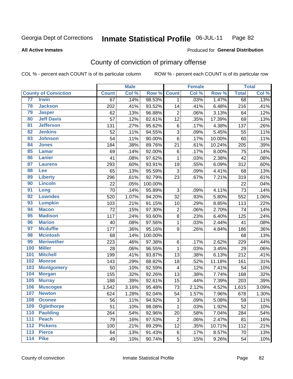#### Inmate Statistical Profile 06-JUL-11 Page 82

### **All Active Inmates**

## Produced for General Distribution

## County of conviction of primary offense

COL % - percent each COUNT is of its particular column

|                  |                             |              | <b>Male</b> |         |                         | <b>Female</b> |        |              | <b>Total</b> |
|------------------|-----------------------------|--------------|-------------|---------|-------------------------|---------------|--------|--------------|--------------|
|                  | <b>County of Conviction</b> | <b>Count</b> | Col %       | Row %   | <b>Count</b>            | Col %         | Row %  | <b>Total</b> | Col %        |
| 77               | <b>Irwin</b>                | 67           | .14%        | 98.53%  | 1                       | .03%          | 1.47%  | 68           | .13%         |
| 78               | <b>Jackson</b>              | 202          | .41%        | 93.52%  | 14                      | .41%          | 6.48%  | 216          | .41%         |
| 79               | <b>Jasper</b>               | 62           | .13%        | 96.88%  | $\overline{2}$          | .06%          | 3.13%  | 64           | .12%         |
| 80               | <b>Jeff Davis</b>           | 57           | .12%        | 82.61%  | 12                      | .35%          | 17.39% | 69           | .13%         |
| 81               | <b>Jefferson</b>            | 131          | .27%        | 95.62%  | 6                       | .17%          | 4.38%  | 137          | .26%         |
| 82               | <b>Jenkins</b>              | 52           | .11%        | 94.55%  | 3                       | .09%          | 5.45%  | 55           | .11%         |
| 83               | <b>Johnson</b>              | 54           | .11%        | 90.00%  | $6\phantom{1}$          | .17%          | 10.00% | 60           | .11%         |
| 84               | <b>Jones</b>                | 184          | .38%        | 89.76%  | 21                      | .61%          | 10.24% | 205          | .39%         |
| 85               | Lamar                       | 69           | .14%        | 92.00%  | 6                       | .17%          | 8.00%  | 75           | .14%         |
| 86               | <b>Lanier</b>               | 41           | .08%        | 97.62%  | 1                       | .03%          | 2.38%  | 42           | .08%         |
| 87               | <b>Laurens</b>              | 293          | .60%        | 93.91%  | 19                      | .55%          | 6.09%  | 312          | .60%         |
| 88               | Lee                         | 65           | .13%        | 95.59%  | 3                       | .09%          | 4.41%  | 68           | .13%         |
| 89               | <b>Liberty</b>              | 296          | .61%        | 92.79%  | 23                      | .67%          | 7.21%  | 319          | .61%         |
| 90               | <b>Lincoln</b>              | 22           | .05%        | 100.00% |                         |               |        | 22           | .04%         |
| 91               | Long                        | 70           | .14%        | 95.89%  | 3                       | .09%          | 4.11%  | 73           | .14%         |
| 92               | <b>Lowndes</b>              | 520          | 1.07%       | 94.20%  | 32                      | .93%          | 5.80%  | 552          | 1.06%        |
| 93               | <b>Lumpkin</b>              | 103          | .21%        | 91.15%  | 10                      | .29%          | 8.85%  | 113          | .22%         |
| 94               | <b>Macon</b>                | 72           | .15%        | 97.30%  | 2                       | .06%          | 2.70%  | 74           | .14%         |
| 95               | <b>Madison</b>              | 117          | .24%        | 93.60%  | 8                       | .23%          | 6.40%  | 125          | .24%         |
| 96               | <b>Marion</b>               | 40           | .08%        | 97.56%  | 1                       | .03%          | 2.44%  | 41           | .08%         |
| 97               | <b>Mcduffie</b>             | 177          | .36%        | 95.16%  | 9                       | .26%          | 4.84%  | 186          | .36%         |
| 98               | <b>Mcintosh</b>             | 68           | .14%        | 100.00% |                         |               |        | 68           | .13%         |
| 99               | <b>Meriwether</b>           | 223          | .46%        | 97.38%  | 6                       | .17%          | 2.62%  | 229          | .44%         |
| 100              | <b>Miller</b>               | 28           | .06%        | 96.55%  | $\mathbf 1$             | .03%          | 3.45%  | 29           | .06%         |
| 101              | <b>Mitchell</b>             | 199          | .41%        | 93.87%  | 13                      | .38%          | 6.13%  | 212          | .41%         |
| 102              | <b>Monroe</b>               | 143          | .29%        | 88.82%  | 18                      | .52%          | 11.18% | 161          | .31%         |
| 103              | <b>Montgomery</b>           | 50           | .10%        | 92.59%  | $\overline{\mathbf{4}}$ | .12%          | 7.41%  | 54           | .10%         |
| 104              | <b>Morgan</b>               | 155          | .32%        | 92.26%  | 13                      | .38%          | 7.74%  | 168          | .32%         |
| 105              | <b>Murray</b>               | 188          | .39%        | 92.61%  | 15                      | .44%          | 7.39%  | 203          | .39%         |
| 106              | <b>Muscogee</b>             | 1,542        | 3.16%       | 95.48%  | 73                      | 2.12%         | 4.52%  | 1,615        | 3.09%        |
| 107              | <b>Newton</b>               | 624          | 1.28%       | 92.04%  | 54                      | 1.57%         | 7.96%  | 678          | 1.30%        |
| 108              | <b>Oconee</b>               | 56           | .11%        | 94.92%  | 3                       | .09%          | 5.08%  | 59           | .11%         |
| 109              | <b>Oglethorpe</b>           | 51           | .10%        | 98.08%  | 1                       | .03%          | 1.92%  | 52           | .10%         |
| 110              | <b>Paulding</b>             | 264          | .54%        | 92.96%  | 20                      | .58%          | 7.04%  | 284          | .54%         |
| 111              | <b>Peach</b>                | 79           | .16%        | 97.53%  | 2                       | .06%          | 2.47%  | 81           | .16%         |
| 112              | <b>Pickens</b>              | 100          | .21%        | 89.29%  | 12                      | .35%          | 10.71% | 112          | .21%         |
| $\overline{113}$ | <b>Pierce</b>               | 64           | .13%        | 91.43%  | 6                       | .17%          | 8.57%  | 70           | .13%         |
| $\overline{114}$ | <b>Pike</b>                 | 49           | .10%        | 90.74%  | 5                       | .15%          | 9.26%  | 54           | .10%         |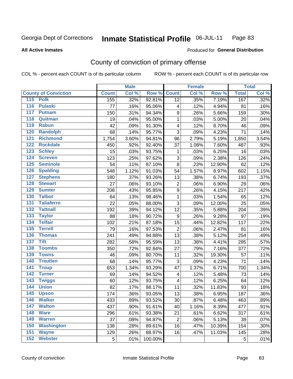#### Inmate Statistical Profile 06-JUL-11 Page 83

### **All Active Inmates**

## Produced for General Distribution

## County of conviction of primary offense

COL % - percent each COUNT is of its particular column

|                                     |              | <b>Male</b> |         |                         | <b>Female</b> |        |              | <b>Total</b> |
|-------------------------------------|--------------|-------------|---------|-------------------------|---------------|--------|--------------|--------------|
| <b>County of Conviction</b>         | <b>Count</b> | Col %       | Row %   | <b>Count</b>            | Col %         | Row %  | <b>Total</b> | Col %        |
| 115 Polk                            | 155          | .32%        | 92.81%  | 12                      | .35%          | 7.19%  | 167          | .32%         |
| 116<br><b>Pulaski</b>               | 77           | .16%        | 95.06%  | 4                       | .12%          | 4.94%  | 81           | .16%         |
| 117<br><b>Putnam</b>                | 150          | .31%        | 94.34%  | 9                       | .26%          | 5.66%  | 159          | .30%         |
| 118<br>Quitman                      | 19           | .04%        | 95.00%  | 1                       | .03%          | 5.00%  | 20           | .04%         |
| 119<br><b>Rabun</b>                 | 42           | .09%        | 91.30%  | 4                       | .12%          | 8.70%  | 46           | .09%         |
| 120<br><b>Randolph</b>              | 68           | .14%        | 95.77%  | 3                       | .09%          | 4.23%  | 71           | .14%         |
| 121<br><b>Richmond</b>              | 1,754        | 3.60%       | 94.81%  | 96                      | 2.79%         | 5.19%  | 1,850        | 3.54%        |
| 122<br><b>Rockdale</b>              | 450          | .92%        | 92.40%  | 37                      | 1.08%         | 7.60%  | 487          | .93%         |
| 123<br><b>Schley</b>                | 15           | .03%        | 93.75%  | 1                       | .03%          | 6.25%  | 16           | .03%         |
| 124<br><b>Screven</b>               | 123          | .25%        | 97.62%  | 3                       | .09%          | 2.38%  | 126          | .24%         |
| 125<br><b>Seminole</b>              | 54           | .11%        | 87.10%  | 8                       | .23%          | 12.90% | 62           | .12%         |
| <b>Spalding</b><br>126              | 548          | 1.12%       | 91.03%  | 54                      | 1.57%         | 8.97%  | 602          | 1.15%        |
| 127<br><b>Stephens</b>              | 180          | .37%        | 93.26%  | 13                      | .38%          | 6.74%  | 193          | .37%         |
| 128<br><b>Stewart</b>               | 27           | .06%        | 93.10%  | $\overline{2}$          | .06%          | 6.90%  | 29           | .06%         |
| <b>Sumter</b><br>129                | 208          | .43%        | 95.85%  | $\boldsymbol{9}$        | .26%          | 4.15%  | 217          | .42%         |
| <b>Talbot</b><br>130                | 64           | .13%        | 98.46%  | $\mathbf 1$             | .03%          | 1.54%  | 65           | .12%         |
| 131<br><b>Taliaferro</b>            | 22           | .05%        | 88.00%  | 3                       | .09%          | 12.00% | 25           | .05%         |
| $\overline{132}$<br><b>Tattnall</b> | 192          | .39%        | 94.12%  | 12                      | .35%          | 5.88%  | 204          | .39%         |
| 133<br><b>Taylor</b>                | 88           | .18%        | 90.72%  | 9                       | .26%          | 9.28%  | 97           | .19%         |
| <b>Telfair</b><br>134               | 102          | .21%        | 87.18%  | 15                      | .44%          | 12.82% | 117          | .22%         |
| 135<br><b>Terrell</b>               | 79           | .16%        | 97.53%  | $\overline{2}$          | .06%          | 2.47%  | 81           | .16%         |
| 136<br><b>Thomas</b>                | 241          | .49%        | 94.88%  | 13                      | .38%          | 5.12%  | 254          | .49%         |
| 137<br><b>Tift</b>                  | 282          | .58%        | 95.59%  | 13                      | .38%          | 4.41%  | 295          | .57%         |
| <b>Toombs</b><br>138                | 350          | .72%        | 92.84%  | 27                      | .79%          | 7.16%  | 377          | .72%         |
| 139<br><b>Towns</b>                 | 46           | .09%        | 80.70%  | 11                      | .32%          | 19.30% | 57           | .11%         |
| 140<br><b>Treutlen</b>              | 68           | .14%        | 95.77%  | 3                       | .09%          | 4.23%  | 71           | .14%         |
| <b>Troup</b><br>141                 | 653          | 1.34%       | 93.29%  | 47                      | 1.37%         | 6.71%  | 700          | 1.34%        |
| 142<br><b>Turner</b>                | 69           | .14%        | 94.52%  | $\overline{\mathbf{4}}$ | .12%          | 5.48%  | 73           | .14%         |
| 143<br><b>Twiggs</b>                | 60           | .12%        | 93.75%  | 4                       | .12%          | 6.25%  | 64           | .12%         |
| 144<br><b>Union</b>                 | 82           | .17%        | 88.17%  | 11                      | .32%          | 11.83% | 93           | .18%         |
| 145<br><b>Upson</b>                 | 174          | .36%        | 93.05%  | 13                      | .38%          | 6.95%  | 187          | .36%         |
| 146<br><b>Walker</b>                | 433          | .89%        | 93.52%  | 30                      | .87%          | 6.48%  | 463          | .89%         |
| 147<br><b>Walton</b>                | 437          | .90%        | 91.61%  | 40                      | 1.16%         | 8.39%  | 477          | .91%         |
| 148<br><b>Ware</b>                  | 296          | .61%        | 93.38%  | 21                      | .61%          | 6.62%  | 317          | .61%         |
| <b>Warren</b><br>149                | 37           | .08%        | 94.87%  | $\overline{2}$          | .06%          | 5.13%  | 39           | .07%         |
| <b>Washington</b><br>150            | 138          | .28%        | 89.61%  | 16                      | .47%          | 10.39% | 154          | .30%         |
| 151<br><b>Wayne</b>                 | 129          | .26%        | 88.97%  | 16                      | .47%          | 11.03% | 145          | .28%         |
| 152<br><b>Webster</b>               | 5            | .01%        | 100.00% |                         |               |        | 5            | .01%         |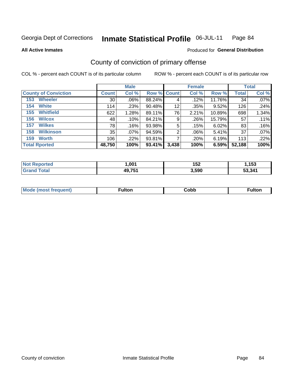### Inmate Statistical Profile 06-JUL-11 Page 84

### **All Active Inmates**

## **Produced for General Distribution**

## County of conviction of primary offense

COL % - percent each COUNT is of its particular column

|                             |                 | <b>Male</b> |                    |       | <b>Female</b> |        |              | <b>Total</b> |
|-----------------------------|-----------------|-------------|--------------------|-------|---------------|--------|--------------|--------------|
| <b>County of Conviction</b> | <b>Count</b>    | Col %       | <b>Row % Count</b> |       | Col %         | Row %  | <b>Total</b> | Col %        |
| <b>Wheeler</b><br>153       | 30 <sup>1</sup> | $.06\%$     | 88.24%             | 4     | .12%          | 11.76% | 34           | $.07\%$      |
| <b>White</b><br>154         | 114             | .23%        | 90.48%             | 12    | .35%          | 9.52%  | 126          | .24%         |
| <b>Whitfield</b><br>155     | 622             | 1.28%       | 89.11%             | 76    | 2.21%         | 10.89% | 698          | 1.34%        |
| <b>Wilcox</b><br>156        | 48              | .10%        | 84.21%             | 9     | .26%          | 15.79% | 57           | .11%         |
| <b>Wilkes</b><br>157        | 78              | .16%        | 93.98%             | 5     | .15%          | 6.02%  | 83           | .16%         |
| <b>Wilkinson</b><br>158     | 35              | $.07\%$     | 94.59%             | 2     | .06%          | 5.41%  | 37           | $.07\%$      |
| <b>Worth</b><br>159         | 106             | .22%        | 93.81%             |       | .20%          | 6.19%  | 113          | .22%         |
| <b>Total Rported</b>        | 48,750          | 100%        | 93.41%             | 3,438 | 100%          | 6.59%  | 52,188       | 100%         |

| teo:<br>'N ( | .00 <sup>4</sup> | 152   | <b>AE2</b><br> |
|--------------|------------------|-------|----------------|
| <b>otal</b>  | 49,751           | 3,590 | 53.341         |

| <b>Mode</b><br>---<br>luent)<br>nost tren | ™ulton | ;obb | Fulto |
|-------------------------------------------|--------|------|-------|
|                                           |        |      |       |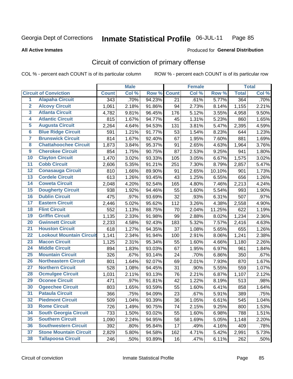### Inmate Statistical Profile 06-JUL-11 Page 85

### **All Active Inmates**

## **Produced for General Distribution**

## Circuit of conviction of primary offense

COL % - percent each COUNT is of its particular column

|                         |                                 |                  | <b>Male</b> |        |              | <b>Female</b> |        |              | <b>Total</b> |
|-------------------------|---------------------------------|------------------|-------------|--------|--------------|---------------|--------|--------------|--------------|
|                         | <b>Circuit of Conviction</b>    | <b>Count</b>     | Col %       | Row %  | <b>Count</b> | Col %         | Row %  | <b>Total</b> | Col %        |
| 1                       | <b>Alapaha Circuit</b>          | $\overline{343}$ | .70%        | 94.23% | 21           | .61%          | 5.77%  | 364          | .70%         |
| $\overline{2}$          | <b>Alcovy Circuit</b>           | 1,061            | 2.18%       | 91.86% | 94           | 2.73%         | 8.14%  | 1,155        | 2.21%        |
| $\overline{\mathbf{3}}$ | <b>Atlanta Circuit</b>          | 4,782            | 9.81%       | 96.45% | 176          | 5.12%         | 3.55%  | 4,958        | 9.50%        |
| 4                       | <b>Atlantic Circuit</b>         | 815              | 1.67%       | 94.77% | 45           | 1.31%         | 5.23%  | 860          | 1.65%        |
| 5                       | <b>Augusta Circuit</b>          | 2,264            | 4.64%       | 94.53% | 131          | 3.81%         | 5.47%  | 2,395        | 4.59%        |
| $\overline{6}$          | <b>Blue Ridge Circuit</b>       | 591              | 1.21%       | 91.77% | 53           | 1.54%         | 8.23%  | 644          | 1.23%        |
| $\overline{\mathbf{7}}$ | <b>Brunswick Circuit</b>        | 814              | 1.67%       | 92.40% | 67           | 1.95%         | 7.60%  | 881          | 1.69%        |
| 8                       | <b>Chattahoochee Circuit</b>    | 1,873            | 3.84%       | 95.37% | 91           | 2.65%         | 4.63%  | 1,964        | 3.76%        |
| $\overline{9}$          | <b>Cherokee Circuit</b>         | 854              | 1.75%       | 90.75% | 87           | 2.53%         | 9.25%  | 941          | 1.80%        |
| 10                      | <b>Clayton Circuit</b>          | 1,470            | 3.02%       | 93.33% | 105          | 3.05%         | 6.67%  | 1,575        | 3.02%        |
| $\overline{11}$         | <b>Cobb Circuit</b>             | 2,606            | 5.35%       | 91.21% | 251          | 7.30%         | 8.79%  | 2,857        | 5.47%        |
| $\overline{12}$         | <b>Conasauga Circuit</b>        | 810              | 1.66%       | 89.90% | 91           | 2.65%         | 10.10% | 901          | 1.73%        |
| 13                      | <b>Cordele Circuit</b>          | 613              | 1.26%       | 93.45% | 43           | 1.25%         | 6.55%  | 656          | 1.26%        |
| 14                      | <b>Coweta Circuit</b>           | 2,048            | 4.20%       | 92.54% | 165          | 4.80%         | 7.46%  | 2,213        | 4.24%        |
| 15                      | <b>Dougherty Circuit</b>        | 938              | 1.92%       | 94.46% | 55           | 1.60%         | 5.54%  | 993          | 1.90%        |
| 16                      | <b>Dublin Circuit</b>           | 475              | .97%        | 93.69% | 32           | .93%          | 6.31%  | 507          | .97%         |
| 17                      | <b>Eastern Circuit</b>          | 2,446            | 5.02%       | 95.62% | 112          | 3.26%         | 4.38%  | 2,558        | 4.90%        |
| 18                      | <b>Flint Circuit</b>            | 552              | 1.13%       | 88.75% | 70           | 2.04%         | 11.25% | 622          | 1.19%        |
| 19                      | <b>Griffin Circuit</b>          | 1,135            | 2.33%       | 91.98% | 99           | 2.88%         | 8.02%  | 1,234        | 2.36%        |
| 20                      | <b>Gwinnett Circuit</b>         | 2,233            | 4.58%       | 92.43% | 183          | 5.32%         | 7.57%  | 2,416        | 4.63%        |
| $\overline{21}$         | <b>Houston Circuit</b>          | 618              | 1.27%       | 94.35% | 37           | 1.08%         | 5.65%  | 655          | 1.26%        |
| $\overline{22}$         | <b>Lookout Mountain Circuit</b> | 1,141            | 2.34%       | 91.94% | 100          | 2.91%         | 8.06%  | 1,241        | 2.38%        |
| 23                      | <b>Macon Circuit</b>            | 1,125            | 2.31%       | 95.34% | 55           | 1.60%         | 4.66%  | 1,180        | 2.26%        |
| $\overline{24}$         | <b>Middle Circuit</b>           | 894              | 1.83%       | 93.03% | 67           | 1.95%         | 6.97%  | 961          | 1.84%        |
| 25                      | <b>Mountain Circuit</b>         | 326              | .67%        | 93.14% | 24           | .70%          | 6.86%  | 350          | .67%         |
| 26                      | <b>Northeastern Circuit</b>     | 801              | 1.64%       | 92.07% | 69           | 2.01%         | 7.93%  | 870          | 1.67%        |
| $\overline{27}$         | <b>Northern Circuit</b>         | 528              | 1.08%       | 94.45% | 31           | .90%          | 5.55%  | 559          | 1.07%        |
| 28                      | <b>Ocmulgee Circuit</b>         | 1,031            | 2.11%       | 93.13% | 76           | 2.21%         | 6.87%  | 1,107        | 2.12%        |
| 29                      | <b>Oconee Circuit</b>           | 471              | .97%        | 91.81% | 42           | 1.22%         | 8.19%  | 513          | .98%         |
| 30                      | <b>Ogeechee Circuit</b>         | 803              | 1.65%       | 93.59% | 55           | 1.60%         | 6.41%  | 858          | 1.64%        |
| $\overline{31}$         | <b>Pataula Circuit</b>          | 366              | .75%        | 94.09% | 23           | .67%          | 5.91%  | 389          | .75%         |
| 32                      | <b>Piedmont Circuit</b>         | 509              | 1.04%       | 93.39% | 36           | 1.05%         | 6.61%  | 545          | 1.04%        |
| 33                      | <b>Rome Circuit</b>             | 726              | 1.49%       | 90.75% | 74           | 2.15%         | 9.25%  | 800          | 1.53%        |
| 34                      | <b>South Georgia Circuit</b>    | 733              | 1.50%       | 93.02% | 55           | 1.60%         | 6.98%  | 788          | 1.51%        |
| 35                      | <b>Southern Circuit</b>         | 1,090            | 2.24%       | 94.95% | 58           | 1.69%         | 5.05%  | 1,148        | 2.20%        |
| 36                      | <b>Southwestern Circuit</b>     | 392              | .80%        | 95.84% | 17           | .49%          | 4.16%  | 409          | .78%         |
| 37                      | <b>Stone Mountain Circuit</b>   | 2,829            | 5.80%       | 94.58% | 162          | 4.71%         | 5.42%  | 2,991        | 5.73%        |
| 38                      | <b>Tallapoosa Circuit</b>       | 246              | .50%        | 93.89% | 16           | .47%          | 6.11%  | 262          | .50%         |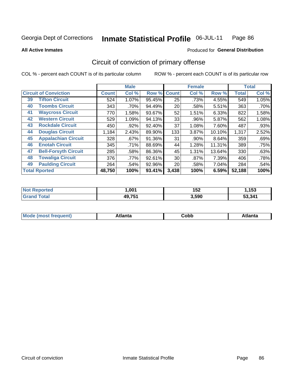### Inmate Statistical Profile 06-JUL-11 Page 86

Produced for General Distribution

### **All Active Inmates**

## Circuit of conviction of primary offense

COL % - percent each COUNT is of its particular column

|                                   |              | <b>Male</b> |        |              | <b>Female</b> |        |              | <b>Total</b> |
|-----------------------------------|--------------|-------------|--------|--------------|---------------|--------|--------------|--------------|
| <b>Circuit of Conviction</b>      | <b>Count</b> | Col %       | Row %  | <b>Count</b> | Col %         | Row %  | <b>Total</b> | Col %        |
| <b>Tifton Circuit</b><br>39       | 524          | 1.07%       | 95.45% | 25           | .73%          | 4.55%  | 549          | 1.05%        |
| <b>Toombs Circuit</b><br>40       | 343          | .70%        | 94.49% | 20           | .58%          | 5.51%  | 363          | .70%         |
| <b>Waycross Circuit</b><br>41     | 770          | 1.58%       | 93.67% | 52           | 1.51%         | 6.33%  | 822          | 1.58%        |
| <b>Western Circuit</b><br>42      | 529          | 1.09%       | 94.13% | 33           | .96%          | 5.87%  | 562          | 1.08%        |
| <b>Rockdale Circuit</b><br>43     | 450          | .92%        | 92.40% | 37           | 1.08%         | 7.60%  | 487          | .93%         |
| <b>Douglas Circuit</b><br>44      | 1,184        | 2.43%       | 89.90% | 133          | 3.87%         | 10.10% | 1,317        | 2.52%        |
| 45<br><b>Appalachian Circuit</b>  | 328          | .67%        | 91.36% | 31           | .90%          | 8.64%  | 359          | .69%         |
| <b>Enotah Circuit</b><br>46       | 345          | .71%        | 88.69% | 44           | 1.28%         | 11.31% | 389          | .75%         |
| <b>Bell-Forsyth Circuit</b><br>47 | 285          | .58%        | 86.36% | 45           | 1.31%         | 13.64% | 330          | .63%         |
| <b>Towaliga Circuit</b><br>48     | 376          | .77%        | 92.61% | 30           | .87%          | 7.39%  | 406          | .78%         |
| <b>Paulding Circuit</b><br>49     | 264          | .54%        | 92.96% | 20           | .58%          | 7.04%  | 284          | .54%         |
| <b>Total Rported</b>              | 48,750       | 100%        | 93.41% | 3,438        | 100%          | 6.59%  | 52,188       | 100%         |

| тес | ,001   | 152   | 152<br>טטו |
|-----|--------|-------|------------|
|     | 49,75* | 3,590 | 53.341     |

| M<br>- - -<br>.<br>.<br>⊂opp<br>нс |
|------------------------------------|
|------------------------------------|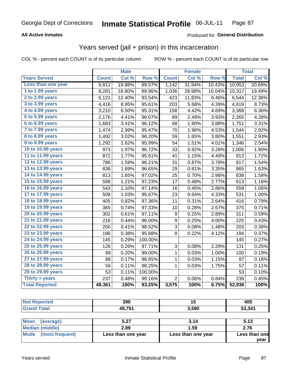### **All Active Inmates**

### Produced for General Distribution

## Years served (jail + prison) in this incarceration

COL % - percent each COUNT is of its particular column

|                                           |              | <b>Male</b> |         |                  | <b>Female</b> |        |              | <b>Total</b> |
|-------------------------------------------|--------------|-------------|---------|------------------|---------------|--------|--------------|--------------|
| <b>Years Served</b>                       | <b>Count</b> | Col %       | Row %   | <b>Count</b>     | Col %         | Row %  | <b>Total</b> | Col %        |
| Less than one year                        | 9,811        | 19.88%      | 89.57%  | 1,142            | 31.94%        | 10.43% | 10,953       | 20.69%       |
| 1 to 1.99 years                           | 9,281        | 18.80%      | 89.96%  | 1,036            | 28.98%        | 10.04% | 10,317       | 19.49%       |
| 2 to 2.99 years                           | 6,121        | 12.40%      | 93.54%  | 423              | 11.83%        | 6.46%  | 6,544        | 12.36%       |
| 3 to 3.99 years                           | 4,416        | 8.95%       | 95.61%  | 203              | 5.68%         | 4.39%  | 4,619        | 8.73%        |
| $\overline{4}$ to 4.99 years              | 3,210        | 6.50%       | 95.31%  | 158              | 4.42%         | 4.69%  | 3,368        | 6.36%        |
| $\overline{5}$ to $\overline{5.99}$ years | 2,176        | 4.41%       | 96.07%  | 89               | 2.49%         | 3.93%  | 2,265        | 4.28%        |
| $6$ to $6.99$ years                       | 1,683        | 3.41%       | 96.12%  | 68               | 1.90%         | 3.88%  | 1,751        | 3.31%        |
| 7 to 7.99 years                           | 1,474        | 2.99%       | 95.47%  | 70               | 1.96%         | 4.53%  | 1,544        | 2.92%        |
| 8 to 8.99 years                           | 1,492        | 3.02%       | 96.20%  | 59               | 1.65%         | 3.80%  | 1,551        | 2.93%        |
| 9 to 9.99 years                           | 1,292        | 2.62%       | 95.99%  | 54               | 1.51%         | 4.01%  | 1,346        | 2.54%        |
| 10 to 10.99 years                         | 973          | 1.97%       | 96.72%  | 33               | 0.92%         | 3.28%  | 1,006        | 1.90%        |
| 11 to 11.99 years                         | 872          | 1.77%       | 95.51%  | 41               | 1.15%         | 4.49%  | 913          | 1.72%        |
| 12 to 12.99 years                         | 786          | 1.59%       | 96.21%  | 31               | 0.87%         | 3.79%  | 817          | 1.54%        |
| 13 to 13.99 years                         | 836          | 1.69%       | 96.65%  | 29               | 0.81%         | 3.35%  | 865          | 1.63%        |
| 14 to 14.99 years                         | 813          | 1.65%       | 97.02%  | 25               | 0.70%         | 2.98%  | 838          | 1.58%        |
| 15 to 15.99 years                         | 596          | 1.21%       | 97.23%  | 17               | 0.48%         | 2.77%  | 613          | 1.16%        |
| 16 to 16.99 years                         | 543          | 1.10%       | 97.14%  | 16               | 0.45%         | 2.86%  | 559          | 1.06%        |
| 17 to 17.99 years                         | 508          | 1.03%       | 95.67%  | 23               | 0.64%         | 4.33%  | 531          | 1.00%        |
| 18 to 18.99 years                         | 405          | 0.82%       | 97.36%  | 11               | 0.31%         | 2.64%  | 416          | 0.79%        |
| 19 to 19.99 years                         | 365          | 0.74%       | 97.33%  | 10               | 0.28%         | 2.67%  | 375          | 0.71%        |
| 20 to 20.99 years                         | 302          | 0.61%       | 97.11%  | $\boldsymbol{9}$ | 0.25%         | 2.89%  | 311          | 0.59%        |
| 21 to 21.99 years                         | 216          | 0.44%       | 96.00%  | 9                | 0.25%         | 4.00%  | 225          | 0.43%        |
| 22 to 22.99 years                         | 200          | 0.41%       | 98.52%  | 3                | 0.08%         | 1.48%  | 203          | 0.38%        |
| 23 to 23.99 years                         | 186          | 0.38%       | 95.88%  | 8                | 0.22%         | 4.12%  | 194          | 0.37%        |
| 24 to 24.99 years                         | 145          | 0.29%       | 100.00% |                  |               |        | 145          | 0.27%        |
| 25 to 25.99 years                         | 128          | 0.26%       | 97.71%  | 3                | 0.08%         | 2.29%  | 131          | 0.25%        |
| 26 to 26.99 years                         | 99           | 0.20%       | 99.00%  | $\mathbf{1}$     | 0.03%         | 1.00%  | 100          | 0.19%        |
| 27 to 27.99 years                         | 86           | 0.17%       | 98.85%  | 1                | 0.03%         | 1.15%  | 87           | 0.16%        |
| 28 to 28.99 years                         | 56           | 0.11%       | 98.25%  | $\mathbf{1}$     | 0.03%         | 1.75%  | 57           | 0.11%        |
| 29 to 29.99 years                         | 53           | 0.11%       | 100.00% |                  |               |        | 53           | 0.10%        |
| Thirty + years                            | 237          | 0.48%       | 99.16%  | $\overline{2}$   | 0.06%         | 0.84%  | 239          | 0.45%        |
| <b>Total Reported</b>                     | 49,361       | 100%        | 93.25%  | 3,575            | 100%          | 6.75%  | 52,936       | 100%         |

| 390    | יי    | 405    |
|--------|-------|--------|
| 49,751 | 3.590 | 53.341 |
|        |       |        |

| Mean<br>(average)    | 5.27               | 3.14               | 5.13          |
|----------------------|--------------------|--------------------|---------------|
| Median (middle)      | 2.89               | 1.59               | 2.76          |
| Mode (most frequent) | Less than one year | Less than one year | Less than one |
|                      |                    |                    | vear          |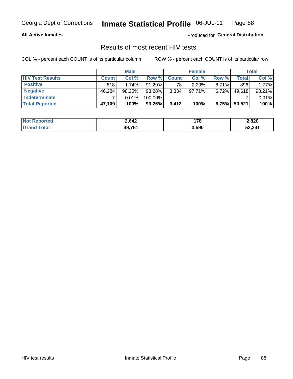### **All Active Inmates**

Produced for General Distribution

## Results of most recent HIV tests

COL % - percent each COUNT is of its particular column

|                         | <b>Male</b>  |           |           | <b>Female</b> |        |          | Total  |        |
|-------------------------|--------------|-----------|-----------|---------------|--------|----------|--------|--------|
| <b>HIV Test Results</b> | <b>Count</b> | Col%      | Row %     | <b>Count</b>  | Col %  | Row %    | Total  | Col %  |
| <b>Positive</b>         | 818          | 1.74%     | $91.29\%$ | 78            | 2.29%  | $8.71\%$ | 896    | 1.77%  |
| <b>Negative</b>         | 46,284       | $98.25\%$ | 93.28%    | 3,334         | 97.71% | 6.72%    | 49,618 | 98.21% |
| <b>Indeterminate</b>    |              | 0.01%     | 100.00%   |               |        |          |        | 0.01%  |
| <b>Total Reported</b>   | 47,109       | 100%      | 93.25%    | 3,412         | 100%   | 6.75%    | 50,521 | 100%   |

| <b>Not Reported</b>     | 2,642  | 170   | 2,820  |
|-------------------------|--------|-------|--------|
| <b>Total</b><br>' Grand | 49,751 | 3,590 | 53,341 |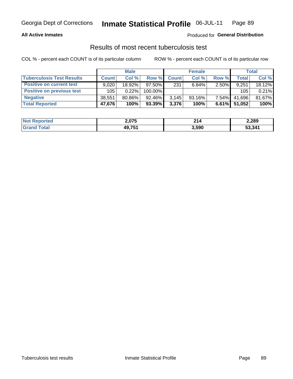### **All Active Inmates**

### Produced for General Distribution

## Results of most recent tuberculosis test

COL % - percent each COUNT is of its particular column

|                                  | <b>Male</b>  |        |           | <b>Female</b> |           |          | Total  |        |
|----------------------------------|--------------|--------|-----------|---------------|-----------|----------|--------|--------|
| <b>Tuberculosis Test Results</b> | <b>Count</b> | Col %  | Row %     | <b>Count</b>  | Col %     | Row %    | Total  | Col %  |
| <b>Positive on current test</b>  | 9.020        | 18.92% | $97.50\%$ | 231           | 6.84%     | $2.50\%$ | 9,251  | 18.12% |
| <b>Positive on previous test</b> | 105          | 0.22%  | 100.00%   |               |           |          | 105    | 0.21%  |
| <b>Negative</b>                  | 38.551       | 80.86% | $92.46\%$ | 3.145         | $93.16\%$ | $7.54\%$ | 41.696 | 81.67% |
| <b>Total Reported</b>            | 47,676       | 100%   | 93.39%    | 3,376         | 100%      | $6.61\%$ | 51,052 | 100%   |

| <b>Not Reported</b> | 2,075  | ີ<br>4 I 4 | 2,289  |
|---------------------|--------|------------|--------|
| <b>Total</b>        | 49,751 | 3,590      | 53,341 |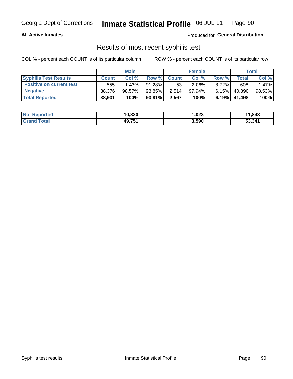### **All Active Inmates**

Produced for General Distribution

## Results of most recent syphilis test

COL % - percent each COUNT is of its particular column

|                                 | <b>Male</b>  |        |           | <b>Female</b> |           |          | Total   |        |
|---------------------------------|--------------|--------|-----------|---------------|-----------|----------|---------|--------|
| <b>Syphilis Test Results</b>    | <b>Count</b> | Col%   | Row %     | <b>Count</b>  | Col %     | Row %    | Total I | Col %  |
| <b>Positive on current test</b> | 555          | 1.43%  | $91.28\%$ | 53            | $2.06\%$  | $8.72\%$ | 608     | 1.47%  |
| <b>Negative</b>                 | 38.376       | 98.57% | 93.85%    | 2.514         | $97.94\%$ | $6.15\%$ | 40,890  | 98.53% |
| <b>Total Reported</b>           | 38,931       | 100%   | $93.81\%$ | 2,567         | 100%      | 6.19%    | 41,498  | 100%   |

| <b>Not Reported</b> | 10,820 | 1,023 | 11,843 |
|---------------------|--------|-------|--------|
| <b>Grand Total</b>  | 49,751 | 3,590 | 53,341 |